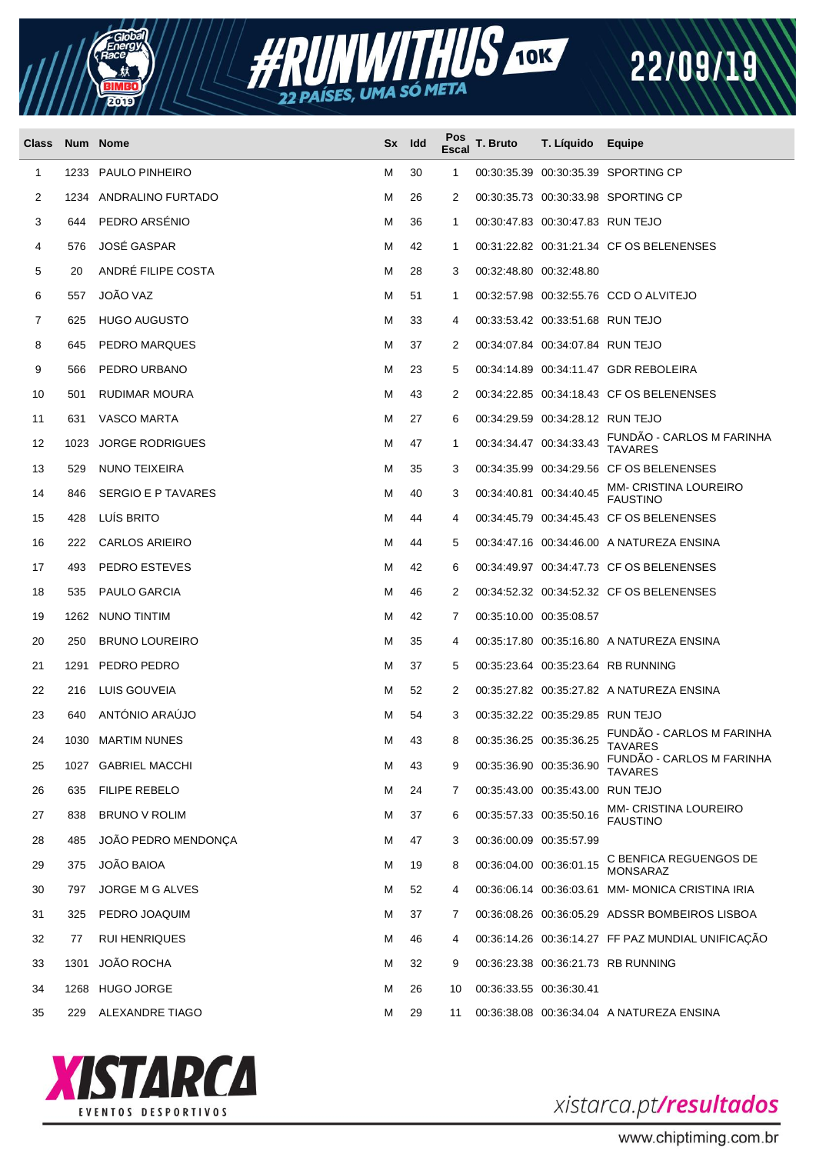



| Class |      | Num Nome               | Sx | ldd | Pos<br><b>Escal</b> | T. Bruto                | T. Líquido                       | Equipe                                            |
|-------|------|------------------------|----|-----|---------------------|-------------------------|----------------------------------|---------------------------------------------------|
| 1     | 1233 | PAULO PINHEIRO         | м  | 30  | 1                   |                         |                                  | 00:30:35.39 00:30:35.39 SPORTING CP               |
| 2     | 1234 | ANDRALINO FURTADO      | м  | 26  | 2                   |                         |                                  | 00:30:35.73 00:30:33.98 SPORTING CP               |
| 3     | 644  | PEDRO ARSENIO          | м  | 36  | 1                   |                         | 00:30:47.83 00:30:47.83 RUN TEJO |                                                   |
| 4     | 576  | <b>JOSÉ GASPAR</b>     | м  | 42  | 1                   |                         |                                  | 00:31:22.82 00:31:21.34 CF OS BELENENSES          |
| 5     | 20   | ANDRÉ FILIPE COSTA     | м  | 28  | 3                   | 00:32:48.80 00:32:48.80 |                                  |                                                   |
| 6     | 557  | <b>JOÃO VAZ</b>        | м  | 51  | 1                   |                         |                                  | 00:32:57.98 00:32:55.76 CCD O ALVITEJO            |
| 7     | 625  | <b>HUGO AUGUSTO</b>    | м  | 33  | 4                   |                         | 00:33:53.42 00:33:51.68 RUN TEJO |                                                   |
| 8     | 645  | PEDRO MARQUES          | м  | 37  | 2                   |                         | 00:34:07.84 00:34:07.84 RUN TEJO |                                                   |
| 9     | 566  | PEDRO URBANO           | м  | 23  | 5                   |                         |                                  | 00:34:14.89 00:34:11.47 GDR REBOLEIRA             |
| 10    | 501  | RUDIMAR MOURA          | м  | 43  | 2                   |                         |                                  | 00:34:22.85 00:34:18.43 CF OS BELENENSES          |
| 11    | 631  | VASCO MARTA            | м  | 27  | 6                   |                         | 00:34:29.59 00:34:28.12 RUN TEJO |                                                   |
| 12    | 1023 | <b>JORGE RODRIGUES</b> | M  | 47  | 1                   |                         | 00:34:34.47 00:34:33.43          | FUNDAO - CARLOS M FARINHA<br><b>TAVARES</b>       |
| 13    | 529  | NUNO TEIXEIRA          | м  | 35  | 3                   |                         |                                  | 00:34:35.99 00:34:29.56 CF OS BELENENSES          |
| 14    | 846  | SERGIO E P TAVARES     | м  | 40  | 3                   | 00:34:40.81 00:34:40.45 |                                  | <b>MM- CRISTINA LOUREIRO</b><br><b>FAUSTINO</b>   |
| 15    | 428  | LUIS BRITO             | м  | 44  | 4                   |                         |                                  | 00:34:45.79 00:34:45.43 CF OS BELENENSES          |
| 16    | 222  | <b>CARLOS ARIEIRO</b>  | м  | 44  | 5                   |                         |                                  | 00:34:47.16 00:34:46.00 A NATUREZA ENSINA         |
| 17    | 493  | PEDRO ESTEVES          | м  | 42  | 6                   |                         |                                  | 00:34:49.97 00:34:47.73 CF OS BELENENSES          |
| 18    | 535  | PAULO GARCIA           | м  | 46  | 2                   |                         |                                  | 00:34:52.32 00:34:52.32 CF OS BELENENSES          |
| 19    |      | 1262 NUNO TINTIM       | м  | 42  | 7                   | 00:35:10.00 00:35:08.57 |                                  |                                                   |
| 20    | 250  | <b>BRUNO LOUREIRO</b>  | м  | 35  | 4                   |                         |                                  | 00:35:17.80 00:35:16.80 A NATUREZA ENSINA         |
| 21    | 1291 | PEDRO PEDRO            | м  | 37  | 5                   |                         |                                  | 00:35:23.64 00:35:23.64 RB RUNNING                |
| 22    | 216  | LUIS GOUVEIA           | м  | 52  | 2                   |                         |                                  | 00:35:27.82 00:35:27.82 A NATUREZA ENSINA         |
| 23    | 640  | ANTÓNIO ARAÚJO         | м  | 54  | 3                   |                         | 00:35:32.22 00:35:29.85 RUN TEJO |                                                   |
| 24    |      | 1030 MARTIM NUNES      | м  | 43  | 8                   |                         |                                  | 00:35:36.25 00:35:36.25 FUNDÃO - CARLOS M FARINHA |
| 25    |      | 1027 GABRIEL MACCHI    | м  | 43  | 9                   | 00:35:36.90 00:35:36.90 |                                  | FUNDÃO - CARLOS M FARINHA<br><b>TAVARES</b>       |
| 26    | 635  | <b>FILIPE REBELO</b>   | м  | 24  | 7                   |                         | 00:35:43.00 00:35:43.00 RUN TEJO |                                                   |
| 27    | 838  | BRUNO V ROLIM          | м  | 37  | 6                   | 00:35:57.33 00:35:50.16 |                                  | MM- CRISTINA LOUREIRO<br><b>FAUSTINO</b>          |
| 28    | 485  | JOÃO PEDRO MENDONÇA    | м  | 47  | 3                   | 00:36:00.09 00:35:57.99 |                                  |                                                   |
| 29    | 375  | <b>JOÃO BAIOA</b>      | м  | 19  | 8                   | 00:36:04.00 00:36:01.15 |                                  | C BENFICA REGUENGOS DE<br><b>MONSARAZ</b>         |
| 30    | 797  | JORGE M G ALVES        | м  | 52  | 4                   |                         |                                  | 00:36:06.14 00:36:03.61 MM-MONICA CRISTINA IRIA   |
| 31    | 325  | PEDRO JOAQUIM          | м  | 37  | 7                   |                         |                                  | 00:36:08.26 00:36:05.29 ADSSR BOMBEIROS LISBOA    |
| 32    | 77   | <b>RUI HENRIQUES</b>   | м  | 46  | 4                   |                         |                                  | 00:36:14.26 00:36:14.27 FF PAZ MUNDIAL UNIFICAÇÃO |
| 33    | 1301 | JOÃO ROCHA             | м  | 32  | 9                   |                         |                                  | 00:36:23.38 00:36:21.73 RB RUNNING                |
| 34    | 1268 | <b>HUGO JORGE</b>      | м  | 26  | 10                  | 00:36:33.55 00:36:30.41 |                                  |                                                   |
| 35    | 229  | ALEXANDRE TIAGO        | M  | 29  | 11                  |                         |                                  | 00:36:38.08 00:36:34.04 A NATUREZA ENSINA         |



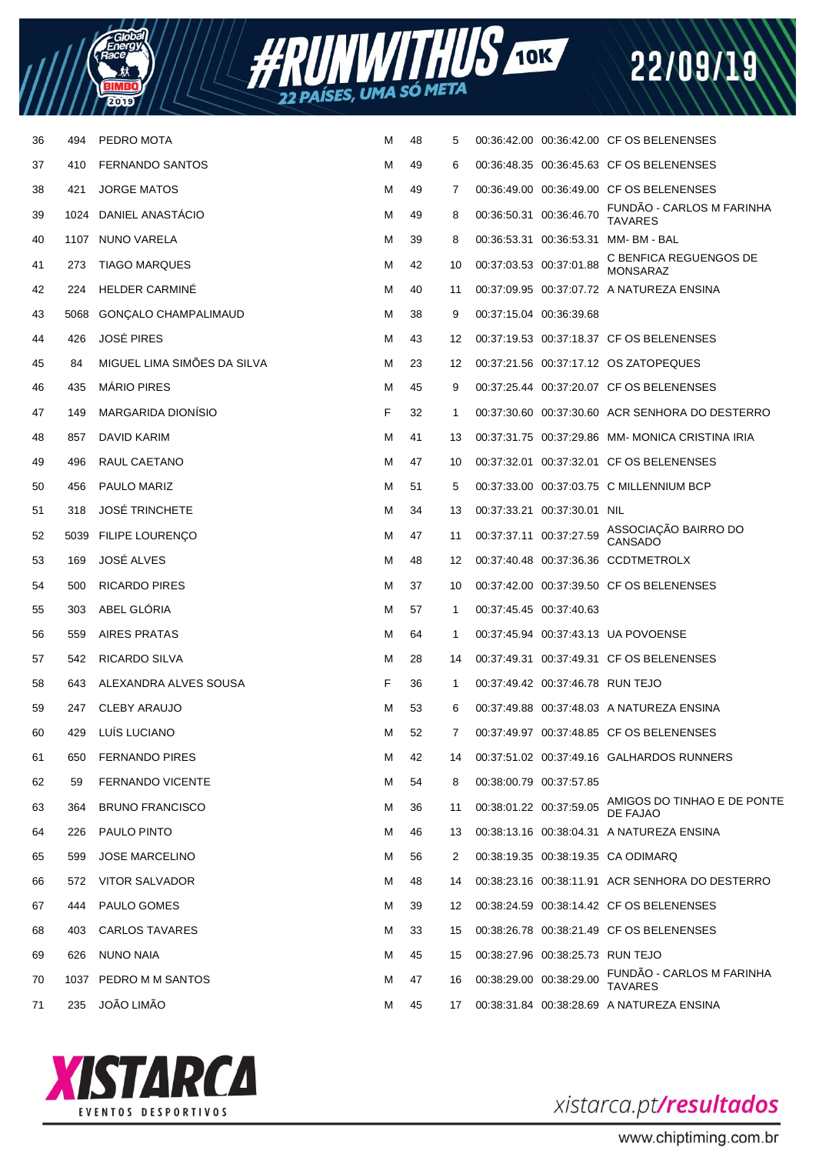



| 36 | 494  | PEDRO MOTA                  | м | 48 | 5              |                                  | 00:36:42.00 00:36:42.00 CF OS BELENENSES        |
|----|------|-----------------------------|---|----|----------------|----------------------------------|-------------------------------------------------|
| 37 | 410  | <b>FERNANDO SANTOS</b>      | M | 49 | 6              |                                  | 00:36:48.35 00:36:45.63 CF OS BELENENSES        |
| 38 | 421  | <b>JORGE MATOS</b>          | м | 49 | $\overline{7}$ |                                  | 00:36:49.00 00:36:49.00 CF OS BELENENSES        |
| 39 | 1024 | DANIEL ANASTÁCIO            | M | 49 | 8              | 00:36:50.31 00:36:46.70          | FUNDÃO - CARLOS M FARINHA<br><b>TAVARES</b>     |
| 40 |      | 1107 NUNO VARELA            | м | 39 | 8              |                                  | 00:36:53.31  00:36:53.31  MM- BM - BAL          |
| 41 | 273  | <b>TIAGO MARQUES</b>        | M | 42 | 10             | 00:37:03.53 00:37:01.88          | C BENFICA REGUENGOS DE<br><b>MONSARAZ</b>       |
| 42 | 224  | <b>HELDER CARMINE</b>       | м | 40 | 11             |                                  | 00:37:09.95  00:37:07.72  A NATUREZA ENSINA     |
| 43 | 5068 | GONÇALO CHAMPALIMAUD        | M | 38 | 9              | 00:37:15.04 00:36:39.68          |                                                 |
| 44 | 426  | <b>JOSÉ PIRES</b>           | м | 43 | 12             |                                  | 00:37:19.53 00:37:18.37 CF OS BELENENSES        |
| 45 | 84   | MIGUEL LIMA SIMÕES DA SILVA | M | 23 | 12             |                                  | 00:37:21.56 00:37:17.12 OS ZATOPEQUES           |
| 46 | 435  | <b>MÁRIO PIRES</b>          | м | 45 | 9              |                                  | 00:37:25.44 00:37:20.07 CF OS BELENENSES        |
| 47 | 149  | <b>MARGARIDA DIONISIO</b>   | F | 32 | $\mathbf{1}$   |                                  | 00:37:30.60 00:37:30.60 ACR SENHORA DO DESTERRO |
| 48 | 857  | DAVID KARIM                 | м | 41 | 13             |                                  | 00:37:31.75 00:37:29.86 MM-MONICA CRISTINA IRIA |
| 49 | 496  | RAUL CAETANO                | м | 47 | 10             |                                  | 00:37:32.01 00:37:32.01 CF OS BELENENSES        |
| 50 | 456  | PAULO MARIZ                 | м | 51 | 5              |                                  | 00:37:33.00 00:37:03.75 C MILLENNIUM BCP        |
| 51 | 318  | <b>JOSÉ TRINCHETE</b>       | M | 34 | 13             | 00:37:33.21 00:37:30.01 NIL      |                                                 |
| 52 |      | 5039 FILIPE LOURENÇO        | м | 47 | 11             | 00:37:37.11 00:37:27.59          | ASSOCIAÇÃO BAIRRO DO<br>CANSADO                 |
| 53 | 169  | JOSÉ ALVES                  | м | 48 | 12             |                                  | 00:37:40.48 00:37:36.36 CCDTMETROLX             |
| 54 | 500  | <b>RICARDO PIRES</b>        | м | 37 | 10             |                                  | 00:37:42.00 00:37:39.50 CF OS BELENENSES        |
| 55 | 303  | ABEL GLÓRIA                 | M | 57 | 1              | 00:37:45.45 00:37:40.63          |                                                 |
| 56 | 559  | <b>AIRES PRATAS</b>         | м | 64 | 1              |                                  | 00:37:45.94 00:37:43.13 UA POVOENSE             |
| 57 | 542  | RICARDO SILVA               | м | 28 | 14             |                                  | 00:37:49.31 00:37:49.31 CF OS BELENENSES        |
| 58 | 643  | ALEXANDRA ALVES SOUSA       | F | 36 | 1              | 00:37:49.42 00:37:46.78 RUN TEJO |                                                 |
| 59 | 247  | <b>CLEBY ARAUJO</b>         | M | 53 | 6              |                                  | 00:37:49.88 00:37:48.03 A NATUREZA ENSINA       |
| 60 | 429  | LUÍS LUCIANO                | M | 52 | $\overline{7}$ |                                  | 00:37:49.97 00:37:48.85 CF OS BELENENSES        |
| 61 | 650  | <b>FERNANDO PIRES</b>       | м | 42 | 14             |                                  | 00:37:51.02 00:37:49.16 GALHARDOS RUNNERS       |
| 62 | 59   | <b>FERNANDO VICENTE</b>     | M | 54 | 8              | 00:38:00.79 00:37:57.85          |                                                 |
| 63 | 364  | <b>BRUNO FRANCISCO</b>      | м | 36 | 11             | 00:38:01.22 00:37:59.05          | AMIGOS DO TINHAO E DE PONTE<br>DE FAJAO         |
| 64 | 226  | PAULO PINTO                 | м | 46 | 13             |                                  | 00:38:13.16  00:38:04.31  A NATUREZA ENSINA     |
| 65 | 599  | <b>JOSE MARCELINO</b>       | м | 56 | 2              |                                  | 00:38:19.35 00:38:19.35 CA ODIMARQ              |
| 66 | 572  | VITOR SALVADOR              | м | 48 | 14             |                                  | 00:38:23.16 00:38:11.91 ACR SENHORA DO DESTERRO |
| 67 | 444  | PAULO GOMES                 | м | 39 | 12             |                                  | 00:38:24.59 00:38:14.42 CF OS BELENENSES        |
| 68 | 403  | CARLOS TAVARES              | м | 33 | 15             |                                  | 00:38:26.78 00:38:21.49 CF OS BELENENSES        |
| 69 | 626  | NUNO NAIA                   | м | 45 | 15             | 00:38:27.96 00:38:25.73 RUN TEJO |                                                 |
| 70 |      | 1037 PEDRO M M SANTOS       | м | 47 | 16             | 00:38:29.00 00:38:29.00          | FUNDÃO - CARLOS M FARINHA<br><b>TAVARES</b>     |
| 71 | 235  | <b>JOÃO LIMÃO</b>           | м | 45 | 17             |                                  | 00:38:31.84 00:38:28.69 A NATUREZA ENSINA       |



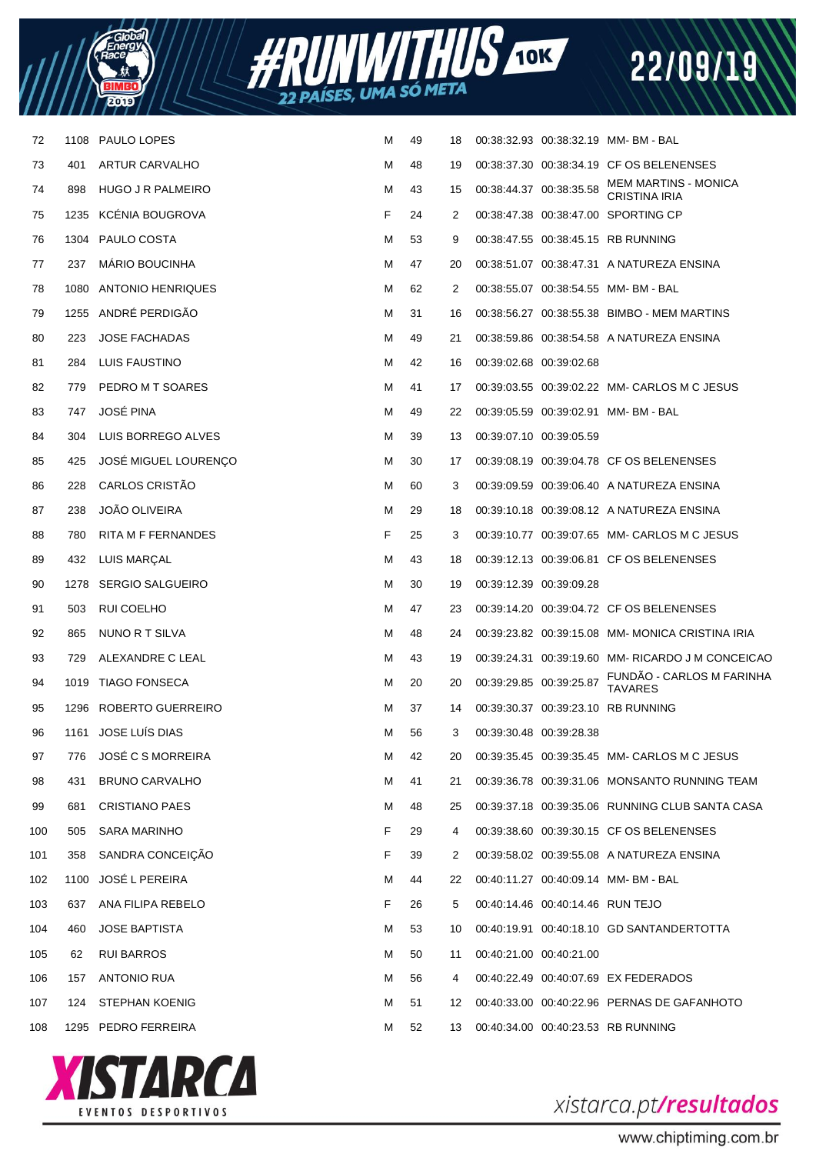



| 72  | 1108 | PAULO LOPES                 | M | 49 | 18 |                                  | 00:38:32.93 00:38:32.19 MM-BM-BAL                   |
|-----|------|-----------------------------|---|----|----|----------------------------------|-----------------------------------------------------|
| 73  | 401  | <b>ARTUR CARVALHO</b>       | M | 48 | 19 |                                  | 00:38:37.30 00:38:34.19 CF OS BELENENSES            |
| 74  | 898  | HUGO J R PALMEIRO           | M | 43 | 15 | 00:38:44.37 00:38:35.58          | <b>MEM MARTINS - MONICA</b><br><b>CRISTINA IRIA</b> |
| 75  | 1235 | <b>KCENIA BOUGROVA</b>      | F | 24 | 2  |                                  | 00:38:47.38 00:38:47.00 SPORTING CP                 |
| 76  | 1304 | PAULO COSTA                 | м | 53 | 9  |                                  | 00:38:47.55 00:38:45.15 RB RUNNING                  |
| 77  | 237  | <b>MARIO BOUCINHA</b>       | м | 47 | 20 |                                  | 00:38:51.07 00:38:47.31 A NATUREZA ENSINA           |
| 78  | 1080 | <b>ANTONIO HENRIQUES</b>    | м | 62 | 2  |                                  | 00:38:55.07 00:38:54.55 MM-BM-BAL                   |
| 79  | 1255 | ANDRÉ PERDIGÃO              | M | 31 | 16 |                                  | 00:38:56.27 00:38:55.38 BIMBO - MEM MARTINS         |
| 80  | 223  | <b>JOSE FACHADAS</b>        | м | 49 | 21 |                                  | 00:38:59.86 00:38:54.58 A NATUREZA ENSINA           |
| 81  | 284  | LUIS FAUSTINO               | M | 42 | 16 | 00:39:02.68 00:39:02.68          |                                                     |
| 82  | 779  | PEDRO M T SOARES            | м | 41 | 17 |                                  | 00:39:03.55 00:39:02.22 MM- CARLOS M C JESUS        |
| 83  | 747  | <b>JOSÉ PINA</b>            | M | 49 | 22 |                                  | 00:39:05.59 00:39:02.91 MM-BM-BAL                   |
| 84  | 304  | LUIS BORREGO ALVES          | м | 39 | 13 | 00:39:07.10 00:39:05.59          |                                                     |
| 85  | 425  | <b>JOSÉ MIGUEL LOURENCO</b> | M | 30 | 17 |                                  | 00:39:08.19 00:39:04.78 CF OS BELENENSES            |
| 86  | 228  | CARLOS CRISTÃO              | м | 60 | 3  |                                  | 00:39:09.59 00:39:06.40 A NATUREZA ENSINA           |
| 87  | 238  | <b>JOÃO OLIVEIRA</b>        | M | 29 | 18 |                                  | 00:39:10.18 00:39:08.12 A NATUREZA ENSINA           |
| 88  | 780  | RITA M F FERNANDES          | F | 25 | 3  |                                  | 00:39:10.77 00:39:07.65 MM- CARLOS M C JESUS        |
| 89  | 432  | LUIS MARÇAL                 | м | 43 | 18 |                                  | 00:39:12.13 00:39:06.81 CF OS BELENENSES            |
| 90  | 1278 | <b>SERGIO SALGUEIRO</b>     | м | 30 | 19 | 00:39:12.39 00:39:09.28          |                                                     |
| 91  | 503  | RUI COELHO                  | м | 47 | 23 |                                  | 00:39:14.20 00:39:04.72 CF OS BELENENSES            |
| 92  | 865  | NUNO R T SILVA              | м | 48 | 24 |                                  | 00:39:23.82 00:39:15.08 MM-MONICA CRISTINA IRIA     |
| 93  | 729  | ALEXANDRE C LEAL            | м | 43 | 19 |                                  | 00:39:24.31 00:39:19.60 MM-RICARDO J M CONCEICAO    |
| 94  |      | 1019 TIAGO FONSECA          | м | 20 | 20 | 00:39:29.85 00:39:25.87          | FUNDÃO - CARLOS M FARINHA<br><b>TAVARES</b>         |
| 95  | 1296 | ROBERTO GUERREIRO           | M | 37 | 14 |                                  | 00:39:30.37 00:39:23.10 RB RUNNING                  |
| 96  |      | 1161 JOSE LUÍS DIAS         | M | 56 | 3  | 00:39:30.48 00:39:28.38          |                                                     |
| 97  | 776  | <b>JOSÉ C S MORREIRA</b>    | M | 42 | 20 |                                  | 00:39:35.45 00:39:35.45 MM- CARLOS M C JESUS        |
| 98  | 431  | <b>BRUNO CARVALHO</b>       | M | 41 | 21 |                                  | 00:39:36.78 00:39:31.06 MONSANTO RUNNING TEAM       |
| 99  | 681  | <b>CRISTIANO PAES</b>       | M | 48 | 25 |                                  | 00:39:37.18 00:39:35.06 RUNNING CLUB SANTA CASA     |
| 100 | 505  | <b>SARA MARINHO</b>         | F | 29 | 4  |                                  | 00:39:38.60 00:39:30.15 CF OS BELENENSES            |
| 101 | 358  | SANDRA CONCEIÇÃO            | F | 39 | 2  |                                  | 00:39:58.02 00:39:55.08 A NATUREZA ENSINA           |
| 102 | 1100 | <b>JOSÉ L PEREIRA</b>       | M | 44 | 22 |                                  | 00:40:11.27 00:40:09.14 MM-BM-BAL                   |
| 103 | 637  | ANA FILIPA REBELO           | F | 26 | 5  | 00:40:14.46 00:40:14.46 RUN TEJO |                                                     |
| 104 | 460  | <b>JOSE BAPTISTA</b>        | м | 53 | 10 |                                  | 00:40:19.91 00:40:18.10 GD SANTANDERTOTTA           |
| 105 | 62   | <b>RUI BARROS</b>           | м | 50 | 11 | 00:40:21.00 00:40:21.00          |                                                     |
| 106 | 157  | ANTONIO RUA                 | м | 56 | 4  |                                  | 00:40:22.49 00:40:07.69 EX FEDERADOS                |
| 107 | 124  | STEPHAN KOENIG              | м | 51 | 12 |                                  | 00:40:33.00 00:40:22.96 PERNAS DE GAFANHOTO         |
| 108 | 1295 | PEDRO FERREIRA              | м | 52 | 13 |                                  | 00:40:34.00 00:40:23.53 RB RUNNING                  |
|     |      |                             |   |    |    |                                  |                                                     |



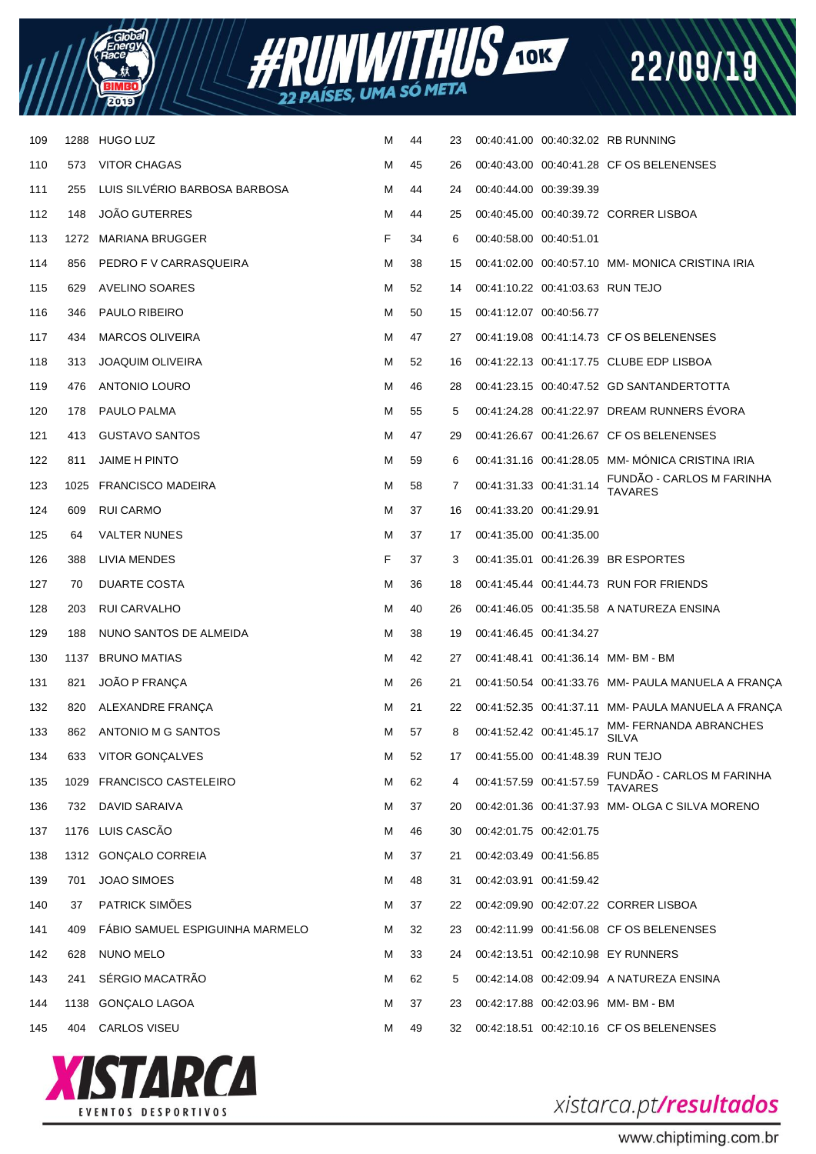



| 109 | 1288 | <b>HUGO LUZ</b>                 | м | 44 | 23 |                         |                                  | 00:40:41.00 00:40:32.02 RB RUNNING                 |
|-----|------|---------------------------------|---|----|----|-------------------------|----------------------------------|----------------------------------------------------|
| 110 | 573  | <b>VITOR CHAGAS</b>             | M | 45 | 26 |                         |                                  | 00:40:43.00 00:40:41.28 CF OS BELENENSES           |
| 111 | 255  | LUIS SILVÉRIO BARBOSA BARBOSA   | M | 44 | 24 | 00:40:44.00 00:39:39.39 |                                  |                                                    |
| 112 | 148  | <b>JOÃO GUTERRES</b>            | M | 44 | 25 |                         |                                  | 00:40:45.00 00:40:39.72 CORRER LISBOA              |
| 113 |      | 1272 MARIANA BRUGGER            | F | 34 | 6  | 00:40:58.00 00:40:51.01 |                                  |                                                    |
| 114 | 856  | PEDRO F V CARRASQUEIRA          | M | 38 | 15 |                         |                                  | 00:41:02.00 00:40:57.10 MM-MONICA CRISTINA IRIA    |
| 115 | 629  | AVELINO SOARES                  | M | 52 | 14 |                         | 00:41:10.22 00:41:03.63 RUN TEJO |                                                    |
| 116 | 346  | <b>PAULO RIBEIRO</b>            | M | 50 | 15 | 00:41:12.07 00:40:56.77 |                                  |                                                    |
| 117 | 434  | <b>MARCOS OLIVEIRA</b>          | м | 47 | 27 |                         |                                  | 00:41:19.08 00:41:14.73 CF OS BELENENSES           |
| 118 | 313  | <b>JOAQUIM OLIVEIRA</b>         | м | 52 | 16 |                         |                                  | 00:41:22.13 00:41:17.75 CLUBE EDP LISBOA           |
| 119 | 476  | ANTONIO LOURO                   | M | 46 | 28 |                         |                                  | 00:41:23.15 00:40:47.52 GD SANTANDERTOTTA          |
| 120 | 178  | PAULO PALMA                     | м | 55 | 5  |                         |                                  | 00:41:24.28 00:41:22.97 DREAM RUNNERS EVORA        |
| 121 | 413  | <b>GUSTAVO SANTOS</b>           | м | 47 | 29 |                         |                                  | 00:41:26.67 00:41:26.67 CF OS BELENENSES           |
| 122 | 811  | <b>JAIME H PINTO</b>            | м | 59 | 6  |                         |                                  | 00:41:31.16 00:41:28.05 MM- MÓNICA CRISTINA IRIA   |
| 123 |      | 1025 FRANCISCO MADEIRA          | M | 58 | 7  |                         | 00:41:31.33 00:41:31.14          | FUNDÃO - CARLOS M FARINHA<br><b>TAVARES</b>        |
| 124 | 609  | RUI CARMO                       | M | 37 | 16 | 00:41:33.20 00:41:29.91 |                                  |                                                    |
| 125 | 64   | <b>VALTER NUNES</b>             | м | 37 | 17 | 00:41:35.00 00:41:35.00 |                                  |                                                    |
| 126 | 388  | LIVIA MENDES                    | F | 37 | 3  |                         |                                  | 00:41:35.01 00:41:26.39 BR ESPORTES                |
| 127 | 70   | DUARTE COSTA                    | M | 36 | 18 |                         |                                  | 00:41:45.44 00:41:44.73 RUN FOR FRIENDS            |
| 128 | 203  | RUI CARVALHO                    | M | 40 | 26 |                         |                                  | 00:41:46.05 00:41:35.58 A NATUREZA ENSINA          |
| 129 | 188  | NUNO SANTOS DE ALMEIDA          | м | 38 | 19 | 00:41:46.45 00:41:34.27 |                                  |                                                    |
| 130 | 1137 | <b>BRUNO MATIAS</b>             | M | 42 | 27 |                         |                                  | 00:41:48.41 00:41:36.14 MM-BM-BM                   |
| 131 | 821  | JOÃO P FRANCA                   | M | 26 | 21 |                         |                                  | 00:41:50.54 00:41:33.76 MM- PAULA MANUELA A FRANÇA |
| 132 | 820  | ALEXANDRE FRANCA                | М | 21 | 22 |                         |                                  | 00:41:52.35 00:41:37.11 MM- PAULA MANUELA A FRANÇA |
| 133 | 862  | ANTONIO M G SANTOS              | M | 57 | 8  | 00:41:52.42 00:41:45.17 |                                  | MM- FERNANDA ABRANCHES<br><b>SILVA</b>             |
| 134 | 633  | VITOR GONÇALVES                 | М | 52 | 17 |                         | 00:41:55.00 00:41:48.39 RUN TEJO |                                                    |
| 135 |      | 1029 FRANCISCO CASTELEIRO       | М | 62 | 4  | 00:41:57.59 00:41:57.59 |                                  | FUNDÃO - CARLOS M FARINHA<br><b>TAVARES</b>        |
| 136 | 732  | DAVID SARAIVA                   | м | 37 | 20 |                         |                                  | 00:42:01.36 00:41:37.93 MM- OLGA C SILVA MORENO    |
| 137 |      | 1176 LUIS CASCÃO                | M | 46 | 30 | 00:42:01.75 00:42:01.75 |                                  |                                                    |
| 138 |      | 1312 GONÇALO CORREIA            | M | 37 | 21 | 00:42:03.49 00:41:56.85 |                                  |                                                    |
| 139 | 701  | <b>JOAO SIMOES</b>              | M | 48 | 31 | 00:42:03.91 00:41:59.42 |                                  |                                                    |
| 140 | 37   | PATRICK SIMÕES                  | м | 37 | 22 |                         |                                  | 00:42:09.90 00:42:07.22 CORRER LISBOA              |
| 141 | 409  | FABIO SAMUEL ESPIGUINHA MARMELO | M | 32 | 23 |                         |                                  | 00:42:11.99 00:41:56.08 CF OS BELENENSES           |
| 142 | 628  | NUNO MELO                       | M | 33 | 24 |                         |                                  | 00:42:13.51 00:42:10.98 EY RUNNERS                 |
| 143 | 241  | SÉRGIO MACATRÃO                 | M | 62 | 5  |                         |                                  | 00:42:14.08 00:42:09.94 A NATUREZA ENSINA          |
| 144 |      | 1138 GONÇALO LAGOA              | M | 37 | 23 |                         |                                  | 00:42:17.88 00:42:03.96 MM-BM-BM                   |
| 145 | 404  | CARLOS VISEU                    | М | 49 | 32 |                         |                                  | 00:42:18.51 00:42:10.16 CF OS BELENENSES           |



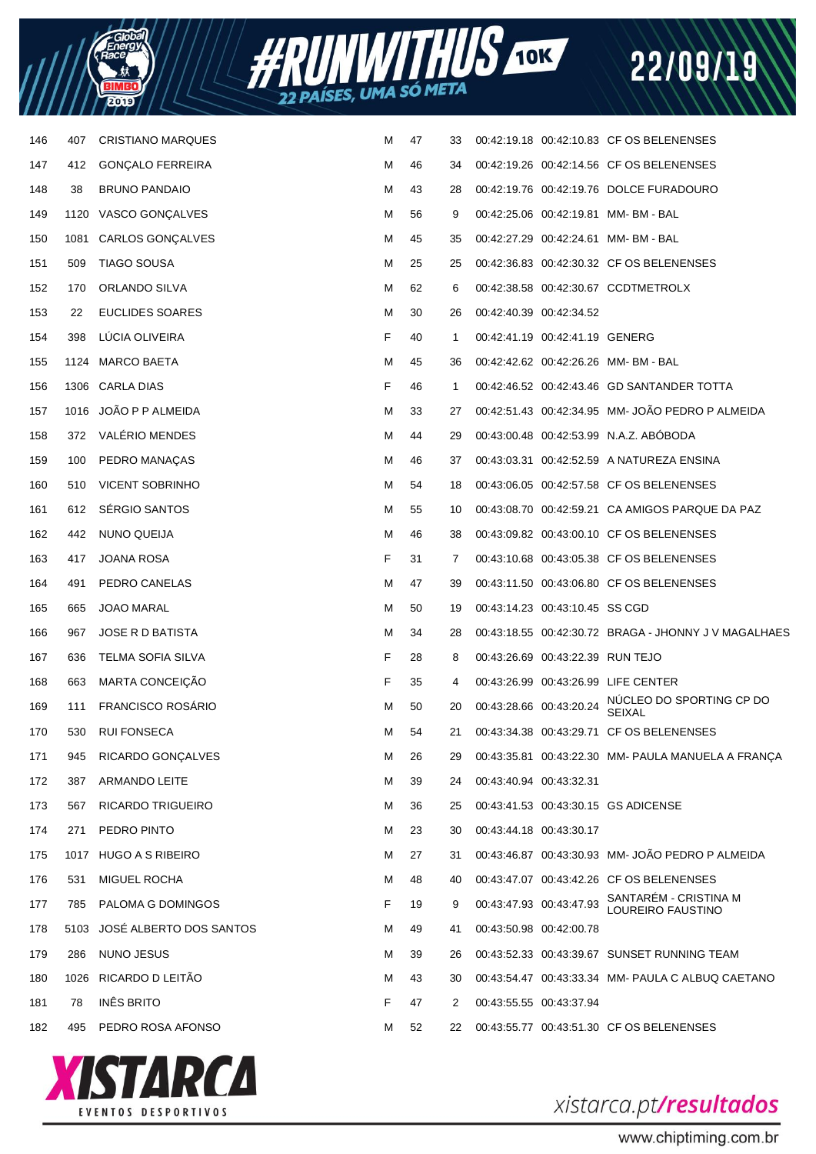



| 412  | <b>GONÇALO FERREIRA</b>  | M                                                                                                                                                                      | 46 | 34 |  |                                                                                                                                                                                                                                                                                                                                                                                                                                                                                                                                                                                                                                                                                                                                                                                                                                                                                                                                                                                                                                                        |
|------|--------------------------|------------------------------------------------------------------------------------------------------------------------------------------------------------------------|----|----|--|--------------------------------------------------------------------------------------------------------------------------------------------------------------------------------------------------------------------------------------------------------------------------------------------------------------------------------------------------------------------------------------------------------------------------------------------------------------------------------------------------------------------------------------------------------------------------------------------------------------------------------------------------------------------------------------------------------------------------------------------------------------------------------------------------------------------------------------------------------------------------------------------------------------------------------------------------------------------------------------------------------------------------------------------------------|
| 38   | <b>BRUNO PANDAIO</b>     | м                                                                                                                                                                      | 43 | 28 |  |                                                                                                                                                                                                                                                                                                                                                                                                                                                                                                                                                                                                                                                                                                                                                                                                                                                                                                                                                                                                                                                        |
|      |                          | M                                                                                                                                                                      | 56 | 9  |  |                                                                                                                                                                                                                                                                                                                                                                                                                                                                                                                                                                                                                                                                                                                                                                                                                                                                                                                                                                                                                                                        |
| 1081 | CARLOS GONÇALVES         | M                                                                                                                                                                      | 45 | 35 |  |                                                                                                                                                                                                                                                                                                                                                                                                                                                                                                                                                                                                                                                                                                                                                                                                                                                                                                                                                                                                                                                        |
| 509  | TIAGO SOUSA              | м                                                                                                                                                                      | 25 | 25 |  |                                                                                                                                                                                                                                                                                                                                                                                                                                                                                                                                                                                                                                                                                                                                                                                                                                                                                                                                                                                                                                                        |
| 170  | ORLANDO SILVA            | м                                                                                                                                                                      | 62 | 6  |  |                                                                                                                                                                                                                                                                                                                                                                                                                                                                                                                                                                                                                                                                                                                                                                                                                                                                                                                                                                                                                                                        |
| 22   | EUCLIDES SOARES          | м                                                                                                                                                                      | 30 | 26 |  |                                                                                                                                                                                                                                                                                                                                                                                                                                                                                                                                                                                                                                                                                                                                                                                                                                                                                                                                                                                                                                                        |
| 398  | LÚCIA OLIVEIRA           | F                                                                                                                                                                      | 40 | 1  |  |                                                                                                                                                                                                                                                                                                                                                                                                                                                                                                                                                                                                                                                                                                                                                                                                                                                                                                                                                                                                                                                        |
|      |                          | M                                                                                                                                                                      | 45 | 36 |  |                                                                                                                                                                                                                                                                                                                                                                                                                                                                                                                                                                                                                                                                                                                                                                                                                                                                                                                                                                                                                                                        |
|      |                          | F                                                                                                                                                                      | 46 | 1  |  | 00:42:46.52 00:42:43.46 GD SANTANDER TOTTA                                                                                                                                                                                                                                                                                                                                                                                                                                                                                                                                                                                                                                                                                                                                                                                                                                                                                                                                                                                                             |
|      |                          | м                                                                                                                                                                      | 33 | 27 |  | 00:42:51.43 00:42:34.95 MM- JOÃO PEDRO P ALMEIDA                                                                                                                                                                                                                                                                                                                                                                                                                                                                                                                                                                                                                                                                                                                                                                                                                                                                                                                                                                                                       |
| 372  | VALÉRIO MENDES           | M                                                                                                                                                                      | 44 | 29 |  |                                                                                                                                                                                                                                                                                                                                                                                                                                                                                                                                                                                                                                                                                                                                                                                                                                                                                                                                                                                                                                                        |
| 100  | PEDRO MANAÇAS            | м                                                                                                                                                                      | 46 | 37 |  |                                                                                                                                                                                                                                                                                                                                                                                                                                                                                                                                                                                                                                                                                                                                                                                                                                                                                                                                                                                                                                                        |
| 510  | <b>VICENT SOBRINHO</b>   | M                                                                                                                                                                      | 54 | 18 |  |                                                                                                                                                                                                                                                                                                                                                                                                                                                                                                                                                                                                                                                                                                                                                                                                                                                                                                                                                                                                                                                        |
| 612  | SÉRGIO SANTOS            | м                                                                                                                                                                      | 55 | 10 |  | 00:43:08.70 00:42:59.21 CA AMIGOS PARQUE DA PAZ                                                                                                                                                                                                                                                                                                                                                                                                                                                                                                                                                                                                                                                                                                                                                                                                                                                                                                                                                                                                        |
| 442  | NUNO QUEIJA              | M                                                                                                                                                                      | 46 | 38 |  |                                                                                                                                                                                                                                                                                                                                                                                                                                                                                                                                                                                                                                                                                                                                                                                                                                                                                                                                                                                                                                                        |
| 417  | JOANA ROSA               | F                                                                                                                                                                      | 31 | 7  |  |                                                                                                                                                                                                                                                                                                                                                                                                                                                                                                                                                                                                                                                                                                                                                                                                                                                                                                                                                                                                                                                        |
| 491  | PEDRO CANELAS            | M                                                                                                                                                                      | 47 | 39 |  |                                                                                                                                                                                                                                                                                                                                                                                                                                                                                                                                                                                                                                                                                                                                                                                                                                                                                                                                                                                                                                                        |
| 665  | <b>JOAO MARAL</b>        | м                                                                                                                                                                      | 50 | 19 |  |                                                                                                                                                                                                                                                                                                                                                                                                                                                                                                                                                                                                                                                                                                                                                                                                                                                                                                                                                                                                                                                        |
| 967  | <b>JOSE R D BATISTA</b>  | M                                                                                                                                                                      | 34 | 28 |  | 00:43:18.55 00:42:30.72 BRAGA - JHONNY J V MAGALHAES                                                                                                                                                                                                                                                                                                                                                                                                                                                                                                                                                                                                                                                                                                                                                                                                                                                                                                                                                                                                   |
| 636  | <b>TELMA SOFIA SILVA</b> | F                                                                                                                                                                      | 28 | 8  |  |                                                                                                                                                                                                                                                                                                                                                                                                                                                                                                                                                                                                                                                                                                                                                                                                                                                                                                                                                                                                                                                        |
| 663  | MARTA CONCEIÇÃO          | F                                                                                                                                                                      | 35 | 4  |  |                                                                                                                                                                                                                                                                                                                                                                                                                                                                                                                                                                                                                                                                                                                                                                                                                                                                                                                                                                                                                                                        |
| 111  | <b>FRANCISCO ROSARIO</b> | M                                                                                                                                                                      | 50 | 20 |  | NÚCLEO DO SPORTING CP DO<br>SEIXAL                                                                                                                                                                                                                                                                                                                                                                                                                                                                                                                                                                                                                                                                                                                                                                                                                                                                                                                                                                                                                     |
| 530  | <b>RUI FONSECA</b>       | M                                                                                                                                                                      | 54 | 21 |  |                                                                                                                                                                                                                                                                                                                                                                                                                                                                                                                                                                                                                                                                                                                                                                                                                                                                                                                                                                                                                                                        |
| 945  | RICARDO GONÇALVES        | M                                                                                                                                                                      | 26 | 29 |  | 00:43:35.81 00:43:22.30 MM- PAULA MANUELA A FRANÇA                                                                                                                                                                                                                                                                                                                                                                                                                                                                                                                                                                                                                                                                                                                                                                                                                                                                                                                                                                                                     |
| 387  | <b>ARMANDO LEITE</b>     | м                                                                                                                                                                      | 39 | 24 |  |                                                                                                                                                                                                                                                                                                                                                                                                                                                                                                                                                                                                                                                                                                                                                                                                                                                                                                                                                                                                                                                        |
| 567  | <b>RICARDO TRIGUEIRO</b> | м                                                                                                                                                                      | 36 | 25 |  |                                                                                                                                                                                                                                                                                                                                                                                                                                                                                                                                                                                                                                                                                                                                                                                                                                                                                                                                                                                                                                                        |
| 271  | PEDRO PINTO              | м                                                                                                                                                                      | 23 | 30 |  |                                                                                                                                                                                                                                                                                                                                                                                                                                                                                                                                                                                                                                                                                                                                                                                                                                                                                                                                                                                                                                                        |
|      |                          | м                                                                                                                                                                      | 27 | 31 |  | 00:43:46.87 00:43:30.93 MM- JOÃO PEDRO P ALMEIDA                                                                                                                                                                                                                                                                                                                                                                                                                                                                                                                                                                                                                                                                                                                                                                                                                                                                                                                                                                                                       |
| 531  | <b>MIGUEL ROCHA</b>      | м                                                                                                                                                                      | 48 | 40 |  |                                                                                                                                                                                                                                                                                                                                                                                                                                                                                                                                                                                                                                                                                                                                                                                                                                                                                                                                                                                                                                                        |
| 785  | PALOMA G DOMINGOS        | F                                                                                                                                                                      | 19 | 9  |  | SANTARÉM - CRISTINA M<br>LOUREIRO FAUSTINO                                                                                                                                                                                                                                                                                                                                                                                                                                                                                                                                                                                                                                                                                                                                                                                                                                                                                                                                                                                                             |
|      |                          | м                                                                                                                                                                      | 49 | 41 |  |                                                                                                                                                                                                                                                                                                                                                                                                                                                                                                                                                                                                                                                                                                                                                                                                                                                                                                                                                                                                                                                        |
| 286  | NUNO JESUS               | м                                                                                                                                                                      | 39 | 26 |  | 00:43:52.33 00:43:39.67 SUNSET RUNNING TEAM                                                                                                                                                                                                                                                                                                                                                                                                                                                                                                                                                                                                                                                                                                                                                                                                                                                                                                                                                                                                            |
|      |                          | м                                                                                                                                                                      | 43 | 30 |  | 00:43:54.47 00:43:33.34 MM- PAULA C ALBUQ CAETANO                                                                                                                                                                                                                                                                                                                                                                                                                                                                                                                                                                                                                                                                                                                                                                                                                                                                                                                                                                                                      |
| 78   | <b>INÊS BRITO</b>        | F                                                                                                                                                                      | 47 | 2  |  |                                                                                                                                                                                                                                                                                                                                                                                                                                                                                                                                                                                                                                                                                                                                                                                                                                                                                                                                                                                                                                                        |
| 495  | PEDRO ROSA AFONSO        | м                                                                                                                                                                      | 52 | 22 |  |                                                                                                                                                                                                                                                                                                                                                                                                                                                                                                                                                                                                                                                                                                                                                                                                                                                                                                                                                                                                                                                        |
|      |                          | 1120 VASCO GONÇALVES<br>1124 MARCO BAETA<br>1306 CARLA DIAS<br>1016 JOÃO P P ALMEIDA<br>1017 HUGO A S RIBEIRO<br>5103 JOSÉ ALBERTO DOS SANTOS<br>1026 RICARDO D LEITÃO |    |    |  | 00:42:19.26 00:42:14.56 CF OS BELENENSES<br>00:42:19.76 00:42:19.76 DOLCE FURADOURO<br>00:42:25.06  00:42:19.81  MM- BM - BAL<br>00:42:27.29 00:42:24.61 MM-BM-BAL<br>00:42:36.83 00:42:30.32 CF OS BELENENSES<br>00:42:38.58 00:42:30.67 CCDTMETROLX<br>00:42:40.39 00:42:34.52<br>00:42:42.62 00:42:26.26 MM-BM-BAL<br>00:43:00.48 00:42:53.99 N.A.Z. ABOBODA<br>00:43:03.31 00:42:52.59 A NATUREZA ENSINA<br>00:43:06.05 00:42:57.58 CF OS BELENENSES<br>00:43:09.82 00:43:00.10 CF OS BELENENSES<br>00:43:10.68 00:43:05.38 CF OS BELENENSES<br>00:43:11.50 00:43:06.80 CF OS BELENENSES<br>00:43:14.23 00:43:10.45 SS CGD<br>00:43:26.69 00:43:22.39 RUN TEJO<br>00:43:26.99 00:43:26.99 LIFE CENTER<br>00:43:28.66 00:43:20.24<br>00:43:34.38 00:43:29.71 CF OS BELENENSES<br>00:43:40.94 00:43:32.31<br>00:43:41.53 00:43:30.15 GS ADICENSE<br>00:43:44.18 00:43:30.17<br>00:43:47.07 00:43:42.26 CF OS BELENENSES<br>00:43:47.93 00:43:47.93<br>00:43:50.98 00:42:00.78<br>00:43:55.55 00:43:37.94<br>00:43:55.77 00:43:51.30 CF OS BELENENSES |



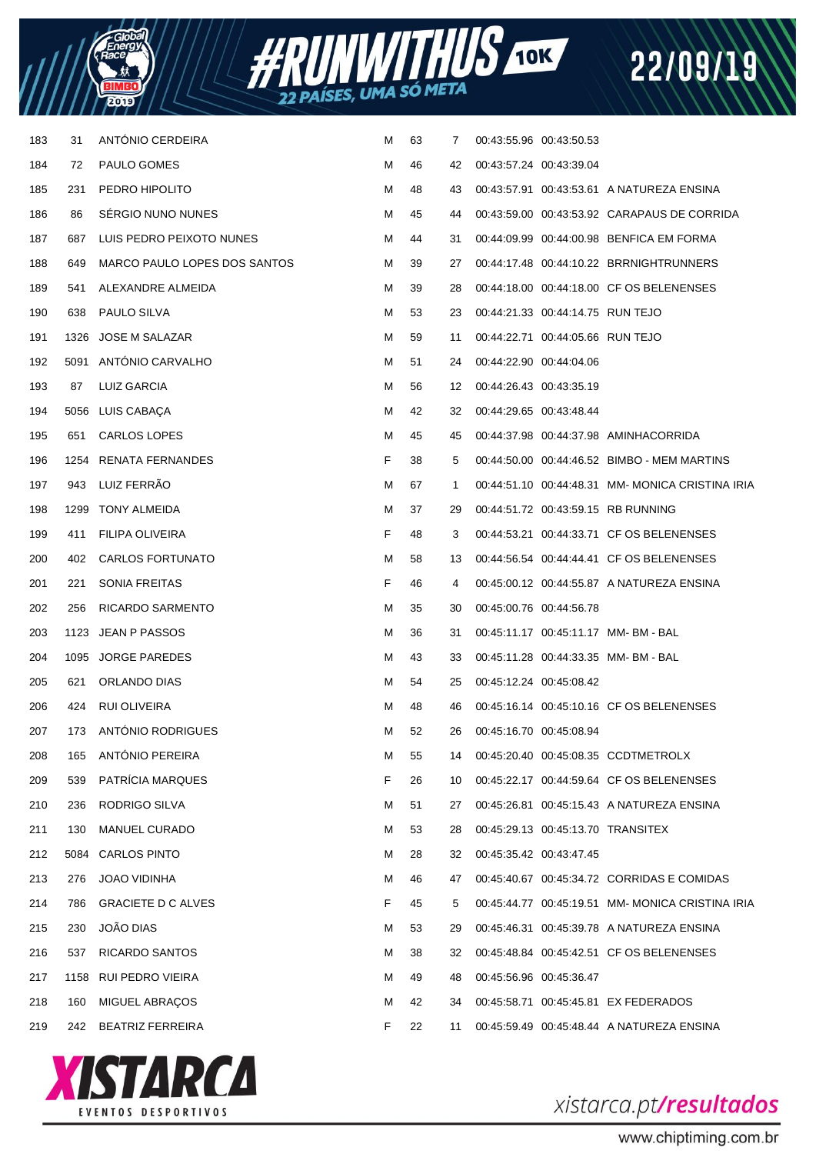



| 183 | 31   | ANTÓNIO CERDEIRA             | M | 63 | $\overline{7}$ | 00:43:55.96 00:43:50.53 |                                  |                                                 |
|-----|------|------------------------------|---|----|----------------|-------------------------|----------------------------------|-------------------------------------------------|
| 184 | 72   | PAULO GOMES                  | M | 46 | 42             | 00:43:57.24 00:43:39.04 |                                  |                                                 |
| 185 | 231  | PEDRO HIPOLITO               | м | 48 | 43             |                         |                                  | 00:43:57.91 00:43:53.61 A NATUREZA ENSINA       |
| 186 | 86   | SÉRGIO NUNO NUNES            | M | 45 | 44             |                         |                                  | 00:43:59.00 00:43:53.92 CARAPAUS DE CORRIDA     |
| 187 | 687  | LUIS PEDRO PEIXOTO NUNES     | M | 44 | 31             |                         |                                  | 00:44:09.99 00:44:00.98 BENFICA EM FORMA        |
| 188 | 649  | MARCO PAULO LOPES DOS SANTOS | M | 39 | 27             |                         |                                  | 00:44:17.48 00:44:10.22 BRRNIGHTRUNNERS         |
| 189 | 541  | ALEXANDRE ALMEIDA            | M | 39 | 28             |                         |                                  | 00:44:18.00 00:44:18.00 CF OS BELENENSES        |
| 190 | 638  | PAULO SILVA                  | M | 53 | 23             |                         | 00:44:21.33 00:44:14.75 RUN TEJO |                                                 |
| 191 | 1326 | JOSE M SALAZAR               | M | 59 | 11             |                         | 00:44:22.71 00:44:05.66 RUN TEJO |                                                 |
| 192 |      | 5091 ANTONIO CARVALHO        | M | 51 | 24             | 00:44:22.90 00:44:04.06 |                                  |                                                 |
| 193 | 87   | LUIZ GARCIA                  | M | 56 | 12             | 00:44:26.43 00:43:35.19 |                                  |                                                 |
| 194 |      | 5056 LUIS CABAÇA             | M | 42 | 32             | 00:44:29.65 00:43:48.44 |                                  |                                                 |
| 195 | 651  | CARLOS LOPES                 | M | 45 | 45             |                         |                                  | 00:44:37.98 00:44:37.98 AMINHACORRIDA           |
| 196 |      | 1254 RENATA FERNANDES        | F | 38 | 5              |                         |                                  | 00:44:50.00 00:44:46.52 BIMBO - MEM MARTINS     |
| 197 | 943  | LUIZ FERRÃO                  | M | 67 | 1              |                         |                                  | 00:44:51.10 00:44:48.31 MM-MONICA CRISTINA IRIA |
| 198 |      | 1299 TONY ALMEIDA            | M | 37 | 29             |                         |                                  | 00:44:51.72 00:43:59.15 RB RUNNING              |
| 199 | 411  | FILIPA OLIVEIRA              | F | 48 | 3              |                         |                                  | 00:44:53.21 00:44:33.71 CF OS BELENENSES        |
| 200 | 402  | <b>CARLOS FORTUNATO</b>      | M | 58 | 13             |                         |                                  | 00:44:56.54 00:44:44.41 CF OS BELENENSES        |
| 201 | 221  | <b>SONIA FREITAS</b>         | F | 46 | 4              |                         |                                  | 00:45:00.12 00:44:55.87 A NATUREZA ENSINA       |
| 202 | 256  | RICARDO SARMENTO             | M | 35 | 30             | 00:45:00.76 00:44:56.78 |                                  |                                                 |
| 203 |      | 1123 JEAN P PASSOS           | M | 36 | 31             |                         |                                  | 00:45:11.17 00:45:11.17 MM-BM-BAL               |
| 204 |      | 1095 JORGE PAREDES           | M | 43 | 33             |                         |                                  | 00:45:11.28 00:44:33.35 MM-BM-BAL               |
| 205 | 621  | ORLANDO DIAS                 | M | 54 | 25             | 00:45:12.24 00:45:08.42 |                                  |                                                 |
| 206 | 424  | RUI OLIVEIRA                 | M | 48 | 46             |                         |                                  | 00:45:16.14 00:45:10.16 CF OS BELENENSES        |
| 207 | 173  | ANTÓNIO RODRIGUES            | м | 52 | 26             | 00:45:16.70 00:45:08.94 |                                  |                                                 |
| 208 | 165  | ANTÓNIO PEREIRA              | M | 55 | 14             |                         |                                  | 00:45:20.40 00:45:08.35 CCDTMETROLX             |
| 209 | 539  | PATRÍCIA MARQUES             | F | 26 | 10             |                         |                                  | 00:45:22.17 00:44:59.64 CF OS BELENENSES        |
| 210 | 236  | RODRIGO SILVA                | M | 51 | 27             |                         |                                  | 00:45:26.81 00:45:15.43 A NATUREZA ENSINA       |
| 211 | 130  | <b>MANUEL CURADO</b>         | М | 53 | 28             |                         |                                  | 00:45:29.13 00:45:13.70 TRANSITEX               |
| 212 | 5084 | <b>CARLOS PINTO</b>          | M | 28 | 32             | 00:45:35.42 00:43:47.45 |                                  |                                                 |
| 213 | 276  | JOAO VIDINHA                 | M | 46 | 47             |                         |                                  | 00:45:40.67 00:45:34.72 CORRIDAS E COMIDAS      |
| 214 | 786  | <b>GRACIETE D C ALVES</b>    | F | 45 | 5              |                         |                                  | 00:45:44.77 00:45:19.51 MM-MONICA CRISTINA IRIA |
| 215 | 230  | JOÃO DIAS                    | M | 53 | 29             |                         |                                  | 00:45:46.31 00:45:39.78 A NATUREZA ENSINA       |
| 216 | 537  | RICARDO SANTOS               | M | 38 | 32             |                         |                                  | 00:45:48.84 00:45:42.51 CF OS BELENENSES        |
| 217 | 1158 | RUI PEDRO VIEIRA             | М | 49 | 48             | 00:45:56.96 00:45:36.47 |                                  |                                                 |
| 218 | 160  | <b>MIGUEL ABRAÇOS</b>        | M | 42 | 34             |                         |                                  | 00:45:58.71 00:45:45.81 EX FEDERADOS            |
| 219 | 242  | <b>BEATRIZ FERREIRA</b>      | F | 22 | 11             |                         |                                  | 00:45:59.49 00:45:48.44 A NATUREZA ENSINA       |



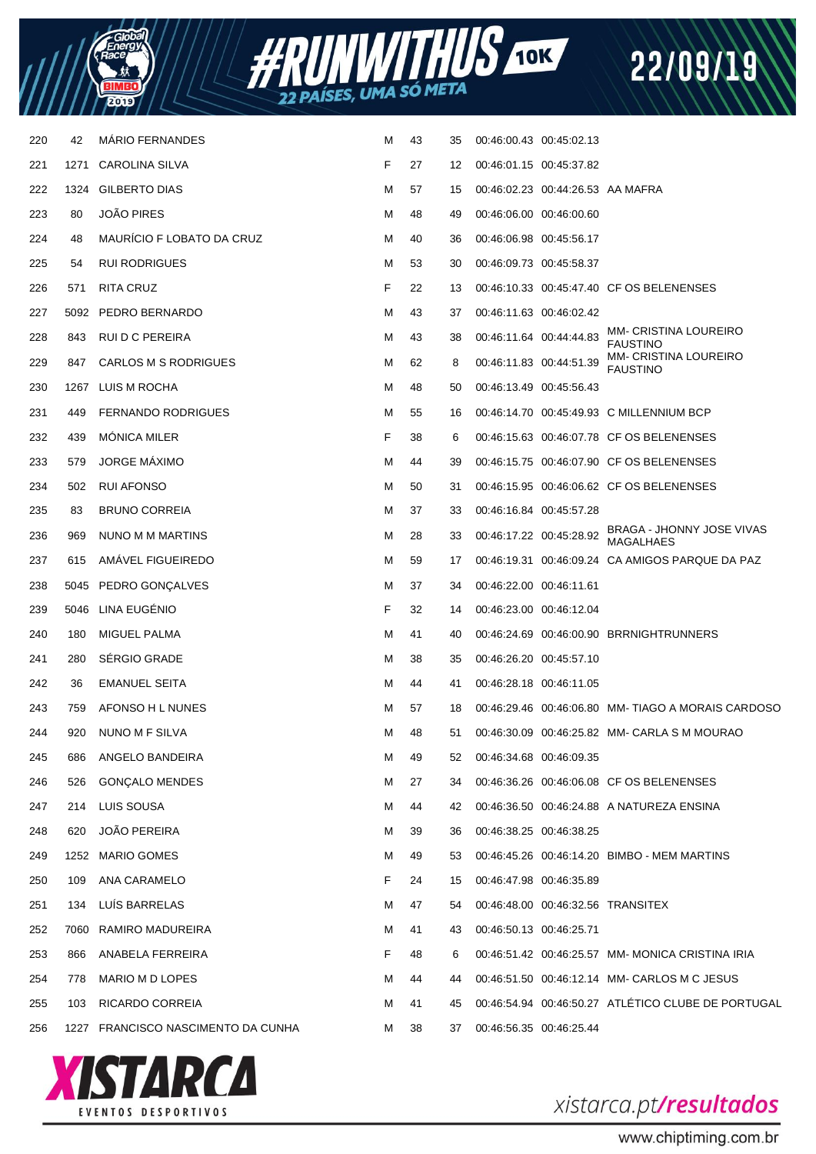



| 220 | 42   | <b>MARIO FERNANDES</b>             | M | 43 | 35 | 00:46:00.43 00:45:02.13 |                                  |                                                    |
|-----|------|------------------------------------|---|----|----|-------------------------|----------------------------------|----------------------------------------------------|
| 221 | 1271 | CAROLINA SILVA                     | F | 27 | 12 |                         | 00:46:01.15 00:45:37.82          |                                                    |
| 222 | 1324 | <b>GILBERTO DIAS</b>               | м | 57 | 15 |                         | 00:46:02.23 00:44:26.53 AA MAFRA |                                                    |
| 223 | 80   | <b>JOÃO PIRES</b>                  | м | 48 | 49 |                         | 00:46:06.00 00:46:00.60          |                                                    |
| 224 | 48   | <b>MAURICIO F LOBATO DA CRUZ</b>   | м | 40 | 36 |                         | 00:46:06.98 00:45:56.17          |                                                    |
| 225 | 54   | <b>RUI RODRIGUES</b>               | м | 53 | 30 |                         | 00:46:09.73 00:45:58.37          |                                                    |
| 226 | 571  | <b>RITA CRUZ</b>                   | F | 22 | 13 |                         |                                  | 00:46:10.33 00:45:47.40 CF OS BELENENSES           |
| 227 | 5092 | PEDRO BERNARDO                     | м | 43 | 37 |                         | 00:46:11.63 00:46:02.42          |                                                    |
| 228 | 843  | RUI D C PEREIRA                    | м | 43 | 38 | 00:46:11.64 00:44:44.83 |                                  | <b>MM- CRISTINA LOUREIRO</b><br><b>FAUSTINO</b>    |
| 229 | 847  | CARLOS M S RODRIGUES               | м | 62 | 8  | 00:46:11.83 00:44:51.39 |                                  | <b>MM- CRISTINA LOUREIRO</b><br><b>FAUSTINO</b>    |
| 230 | 1267 | LUIS M ROCHA                       | м | 48 | 50 | 00:46:13.49 00:45:56.43 |                                  |                                                    |
| 231 | 449  | <b>FERNANDO RODRIGUES</b>          | м | 55 | 16 |                         |                                  | 00:46:14.70 00:45:49.93 C MILLENNIUM BCP           |
| 232 | 439  | <b>MONICA MILER</b>                | F | 38 | 6  |                         |                                  | 00:46:15.63 00:46:07.78 CF OS BELENENSES           |
| 233 | 579  | <b>JORGE MÁXIMO</b>                | м | 44 | 39 |                         |                                  | 00:46:15.75 00:46:07.90 CF OS BELENENSES           |
| 234 | 502  | RUI AFONSO                         | м | 50 | 31 |                         |                                  | 00:46:15.95 00:46:06.62 CF OS BELENENSES           |
| 235 | 83   | <b>BRUNO CORREIA</b>               | м | 37 | 33 | 00:46:16.84 00:45:57.28 |                                  |                                                    |
| 236 | 969  | NUNO M M MARTINS                   | м | 28 | 33 | 00:46:17.22 00:45:28.92 |                                  | BRAGA - JHONNY JOSE VIVAS<br>MAGALHAES             |
| 237 | 615  | AMAVEL FIGUEIREDO                  | M | 59 | 17 |                         |                                  | 00:46:19.31 00:46:09.24 CA AMIGOS PARQUE DA PAZ    |
| 238 |      | 5045 PEDRO GONÇALVES               | м | 37 | 34 | 00:46:22.00 00:46:11.61 |                                  |                                                    |
| 239 | 5046 | LINA EUGÉNIO                       | F | 32 | 14 | 00:46:23.00 00:46:12.04 |                                  |                                                    |
| 240 | 180  | MIGUEL PALMA                       | м | 41 | 40 |                         |                                  |                                                    |
| 241 | 280  | SÉRGIO GRADE                       | м | 38 | 35 |                         | 00:46:26.20 00:45:57.10          |                                                    |
| 242 | 36   | <b>EMANUEL SEITA</b>               | м | 44 | 41 | 00:46:28.18 00:46:11.05 |                                  |                                                    |
| 243 | 759  | AFONSO H L NUNES                   | м | 57 | 18 |                         |                                  | 00:46:29.46 00:46:06.80 MM-TIAGO A MORAIS CARDOSO  |
| 244 | 920  | NUNO M F SILVA                     | м | 48 | 51 |                         |                                  | 00:46:30.09 00:46:25.82 MM- CARLA S M MOURAO       |
| 245 | 686  | ANGELO BANDEIRA                    | м | 49 | 52 | 00:46:34.68 00:46:09.35 |                                  |                                                    |
| 246 | 526  | <b>GONÇALO MENDES</b>              | м | 27 | 34 |                         |                                  | 00:46:36.26 00:46:06.08 CF OS BELENENSES           |
| 247 | 214  | LUIS SOUSA                         | м | 44 | 42 |                         |                                  | 00:46:36.50 00:46:24.88 A NATUREZA ENSINA          |
| 248 | 620  | <b>JOÃO PEREIRA</b>                | м | 39 | 36 |                         | 00:46:38.25 00:46:38.25          |                                                    |
| 249 |      | 1252 MARIO GOMES                   | м | 49 | 53 |                         |                                  | 00:46:45.26 00:46:14.20 BIMBO - MEM MARTINS        |
| 250 | 109  | ANA CARAMELO                       | F | 24 | 15 |                         | 00:46:47.98 00:46:35.89          |                                                    |
| 251 | 134  | LUÍS BARRELAS                      | м | 47 | 54 |                         |                                  | 00:46:48.00 00:46:32.56 TRANSITEX                  |
| 252 |      | 7060 RAMIRO MADUREIRA              | M | 41 | 43 | 00:46:50.13 00:46:25.71 |                                  |                                                    |
| 253 | 866  | ANABELA FERREIRA                   | F | 48 | 6  |                         |                                  | 00:46:51.42 00:46:25.57 MM-MONICA CRISTINA IRIA    |
| 254 | 778  | MARIO M D LOPES                    | м | 44 | 44 |                         |                                  | 00:46:51.50 00:46:12.14 MM- CARLOS M C JESUS       |
| 255 | 103  | RICARDO CORREIA                    | м | 41 | 45 |                         |                                  | 00:46:54.94 00:46:50.27 ATLÉTICO CLUBE DE PORTUGAL |
| 256 |      | 1227 FRANCISCO NASCIMENTO DA CUNHA | м | 38 | 37 | 00:46:56.35 00:46:25.44 |                                  |                                                    |
|     |      |                                    |   |    |    |                         |                                  |                                                    |



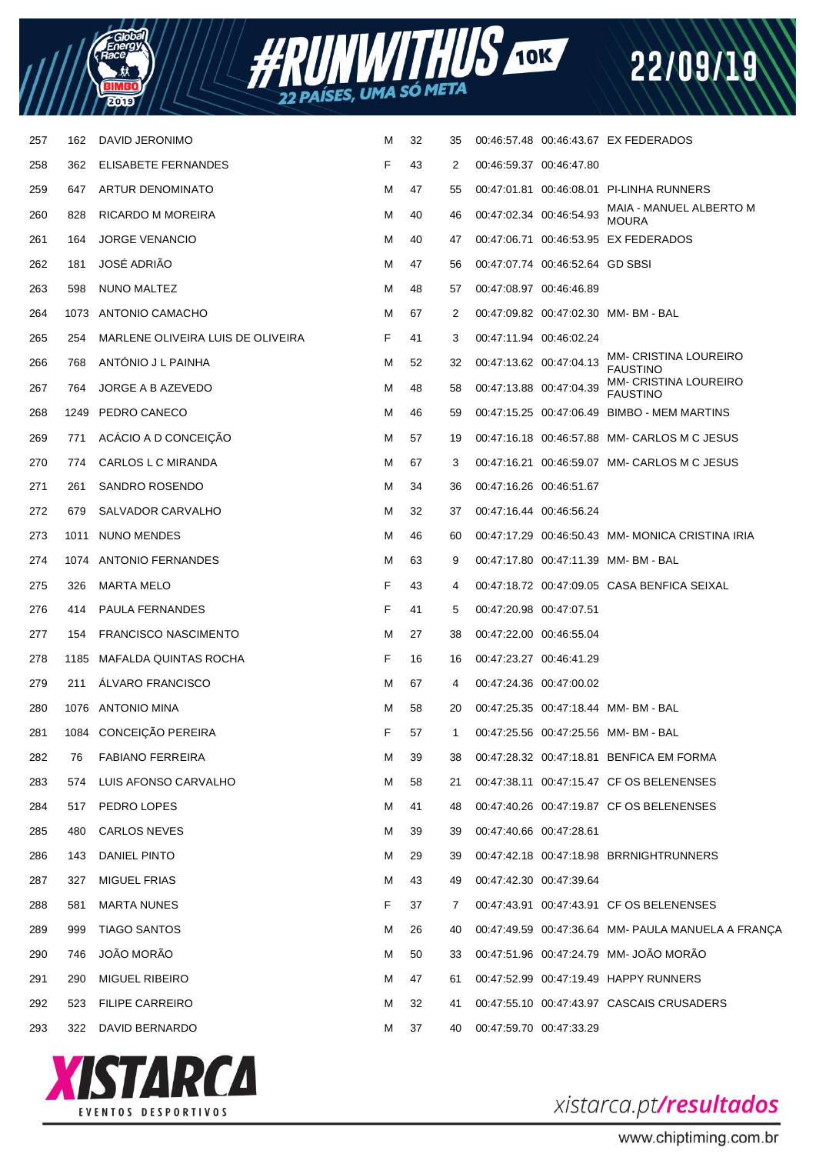



| 257 | 162  | DAVID JERONIMO                    | м | 32 | 35 |                         |                                 | 00:46:57.48 00:46:43.67 EX FEDERADOS               |
|-----|------|-----------------------------------|---|----|----|-------------------------|---------------------------------|----------------------------------------------------|
| 258 | 362  | ELISABETE FERNANDES               | F | 43 | 2  | 00:46:59.37 00:46:47.80 |                                 |                                                    |
| 259 | 647  | ARTUR DENOMINATO                  | м | 47 | 55 |                         |                                 | 00:47:01.81  00:46:08.01  PI-LINHA RUNNERS         |
| 260 | 828  | RICARDO M MOREIRA                 | м | 40 | 46 | 00:47:02.34 00:46:54.93 |                                 | MAIA - MANUEL ALBERTO M<br><b>MOURA</b>            |
| 261 | 164  | <b>JORGE VENANCIO</b>             | м | 40 | 47 |                         |                                 | 00:47:06.71 00:46:53.95 EX FEDERADOS               |
| 262 | 181  | JOSÉ ADRIÃO                       | м | 47 | 56 |                         | 00:47:07.74 00:46:52.64 GD SBSI |                                                    |
| 263 | 598  | NUNO MALTEZ                       | м | 48 | 57 | 00:47:08.97 00:46:46.89 |                                 |                                                    |
| 264 |      | 1073 ANTONIO CAMACHO              | м | 67 | 2  |                         |                                 | 00:47:09.82 00:47:02.30 MM-BM-BAL                  |
| 265 | 254  | MARLENE OLIVEIRA LUIS DE OLIVEIRA | F | 41 | 3  |                         | 00:47:11.94 00:46:02.24         |                                                    |
| 266 | 768  | ANTONIO J L PAINHA                | м | 52 | 32 |                         | 00:47:13.62 00:47:04.13         | MM- CRISTINA LOUREIRO<br><b>FAUSTINO</b>           |
| 267 | 764  | JORGE A B AZEVEDO                 | м | 48 | 58 | 00:47:13.88 00:47:04.39 |                                 | MM- CRISTINA LOUREIRO<br><b>FAUSTINO</b>           |
| 268 | 1249 | PEDRO CANECO                      | м | 46 | 59 |                         |                                 | 00:47:15.25 00:47:06.49 BIMBO - MEM MARTINS        |
| 269 | 771  | ACÁCIO A D CONCEIÇÃO              | M | 57 | 19 |                         |                                 | 00:47:16.18 00:46:57.88 MM- CARLOS M C JESUS       |
| 270 | 774  | CARLOS L C MIRANDA                | M | 67 | 3  |                         |                                 | 00:47:16.21 00:46:59.07 MM- CARLOS M C JESUS       |
| 271 | 261  | SANDRO ROSENDO                    | м | 34 | 36 | 00:47:16.26 00:46:51.67 |                                 |                                                    |
| 272 | 679  | SALVADOR CARVALHO                 | м | 32 | 37 | 00:47:16.44 00:46:56.24 |                                 |                                                    |
| 273 | 1011 | NUNO MENDES                       | м | 46 | 60 |                         |                                 | 00:47:17.29 00:46:50.43 MM-MONICA CRISTINA IRIA    |
| 274 |      | 1074 ANTONIO FERNANDES            | M | 63 | 9  |                         |                                 | 00:47:17.80  00:47:11.39  MM- BM - BAL             |
| 275 | 326  | <b>MARTA MELO</b>                 | F | 43 | 4  |                         |                                 | 00:47:18.72 00:47:09.05 CASA BENFICA SEIXAL        |
| 276 | 414  | <b>PAULA FERNANDES</b>            | F | 41 | 5  | 00:47:20.98 00:47:07.51 |                                 |                                                    |
| 277 | 154  | <b>FRANCISCO NASCIMENTO</b>       | M | 27 | 38 | 00:47:22.00 00:46:55.04 |                                 |                                                    |
| 278 | 1185 | MAFALDA QUINTAS ROCHA             | F | 16 | 16 | 00:47:23.27 00:46:41.29 |                                 |                                                    |
| 279 | 211  | ALVARO FRANCISCO                  | M | 67 | 4  | 00:47:24.36 00:47:00.02 |                                 |                                                    |
| 280 |      | 1076 ANTONIO MINA                 | M | 58 | 20 |                         |                                 | 00:47:25.35 00:47:18.44 MM-BM-BAL                  |
| 281 |      | 1084 CONCEIÇÃO PEREIRA            | F | 57 | -1 |                         |                                 | 00:47:25.56 00:47:25.56 MM-BM-BAL                  |
| 282 | 76   | <b>FABIANO FERREIRA</b>           | M | 39 | 38 |                         |                                 | 00:47:28.32 00:47:18.81 BENFICA EM FORMA           |
| 283 | 574  | LUIS AFONSO CARVALHO              | M | 58 | 21 |                         |                                 | 00:47:38.11 00:47:15.47 CF OS BELENENSES           |
| 284 | 517  | PEDRO LOPES                       | м | 41 | 48 |                         |                                 | 00:47:40.26 00:47:19.87 CF OS BELENENSES           |
| 285 | 480  | <b>CARLOS NEVES</b>               | M | 39 | 39 | 00:47:40.66 00:47:28.61 |                                 |                                                    |
| 286 | 143  | DANIEL PINTO                      | M | 29 | 39 |                         |                                 | 00:47:42.18 00:47:18.98 BRRNIGHTRUNNERS            |
| 287 | 327  | MIGUEL FRIAS                      | M | 43 | 49 | 00:47:42.30 00:47:39.64 |                                 |                                                    |
| 288 | 581  | <b>MARTA NUNES</b>                | F | 37 | 7  |                         |                                 | 00:47:43.91 00:47:43.91 CF OS BELENENSES           |
| 289 | 999  | <b>TIAGO SANTOS</b>               | M | 26 | 40 |                         |                                 | 00:47:49.59 00:47:36.64 MM- PAULA MANUELA A FRANÇA |
| 290 | 746  | JOÃO MORÃO                        | M | 50 | 33 |                         |                                 | 00:47:51.96 00:47:24.79 MM- JOÃO MORÃO             |
| 291 | 290  | <b>MIGUEL RIBEIRO</b>             | м | 47 | 61 |                         |                                 | 00:47:52.99 00:47:19.49 HAPPY RUNNERS              |
| 292 | 523  | <b>FILIPE CARREIRO</b>            | м | 32 | 41 |                         |                                 | 00:47:55.10 00:47:43.97 CASCAIS CRUSADERS          |
| 293 |      | 322 DAVID BERNARDO                | м | 37 | 40 | 00:47:59.70 00:47:33.29 |                                 |                                                    |
|     |      |                                   |   |    |    |                         |                                 |                                                    |



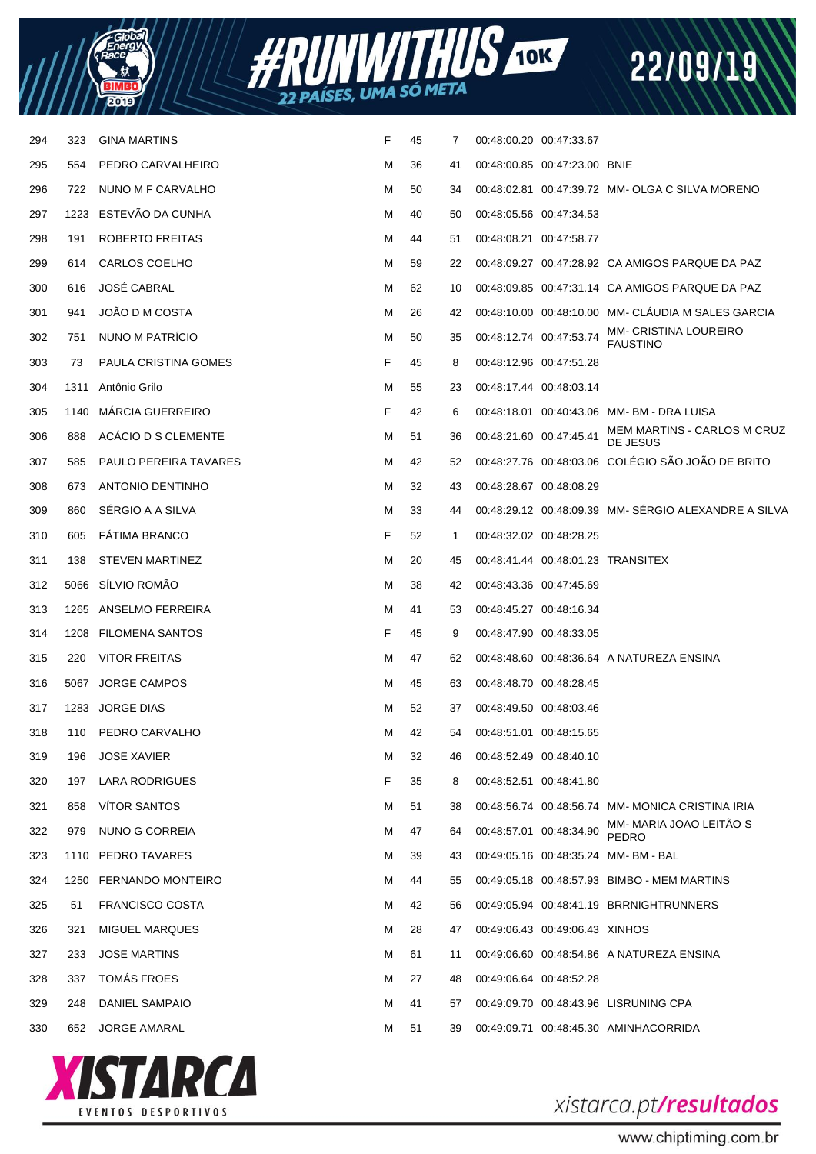



| 294 | 323  | <b>GINA MARTINS</b>          | F | 45 | 7  | 00:48:00.20 00:47:33.67 |                                |                                                     |
|-----|------|------------------------------|---|----|----|-------------------------|--------------------------------|-----------------------------------------------------|
| 295 | 554  | PEDRO CARVALHEIRO            | М | 36 | 41 |                         | 00:48:00.85 00:47:23.00 BNIE   |                                                     |
| 296 | 722  | NUNO M F CARVALHO            | м | 50 | 34 |                         |                                | 00:48:02.81 00:47:39.72 MM- OLGA C SILVA MORENO     |
| 297 | 1223 | ESTEVAO DA CUNHA             | M | 40 | 50 | 00:48:05.56 00:47:34.53 |                                |                                                     |
| 298 | 191  | ROBERTO FREITAS              | M | 44 | 51 | 00:48:08.21 00:47:58.77 |                                |                                                     |
| 299 | 614  | CARLOS COELHO                | M | 59 | 22 |                         |                                | 00:48:09.27 00:47:28.92 CA AMIGOS PARQUE DA PAZ     |
| 300 | 616  | <b>JOSÉ CABRAL</b>           | М | 62 | 10 |                         |                                | 00:48:09.85 00:47:31.14 CA AMIGOS PARQUE DA PAZ     |
| 301 | 941  | JOÃO D M COSTA               | М | 26 | 42 |                         |                                | 00:48:10.00 00:48:10.00 MM- CLAUDIA M SALES GARCIA  |
| 302 | 751  | NUNO M PATRÍCIO              | м | 50 | 35 | 00:48:12.74 00:47:53.74 |                                | MM- CRISTINA LOUREIRO<br><b>FAUSTINO</b>            |
| 303 | 73   | PAULA CRISTINA GOMES         | F | 45 | 8  | 00:48:12.96 00:47:51.28 |                                |                                                     |
| 304 | 1311 | Antônio Grilo                | M | 55 | 23 | 00:48:17.44 00:48:03.14 |                                |                                                     |
| 305 | 1140 | <b>MARCIA GUERREIRO</b>      | F | 42 | 6  |                         |                                | 00:48:18.01  00:40:43.06  MM- BM - DRA LUISA        |
| 306 | 888  | ACÁCIO D S CLEMENTE          | м | 51 | 36 | 00:48:21.60 00:47:45.41 |                                | MEM MARTINS - CARLOS M CRUZ<br>DE JESUS             |
| 307 | 585  | <b>PAULO PEREIRA TAVARES</b> | М | 42 | 52 |                         |                                | 00:48:27.76 00:48:03.06 COLÉGIO SÃO JOÃO DE BRITO   |
| 308 | 673  | <b>ANTONIO DENTINHO</b>      | М | 32 | 43 | 00:48:28.67 00:48:08.29 |                                |                                                     |
| 309 | 860  | SÉRGIO A A SILVA             | М | 33 | 44 |                         |                                | 00:48:29.12 00:48:09.39 MM-SÉRGIO ALEXANDRE A SILVA |
| 310 | 605  | <b>FATIMA BRANCO</b>         | F | 52 | 1  | 00:48:32.02 00:48:28.25 |                                |                                                     |
| 311 | 138  | <b>STEVEN MARTINEZ</b>       | М | 20 | 45 |                         |                                | 00:48:41.44 00:48:01.23 TRANSITEX                   |
| 312 | 5066 | SÍLVIO ROMÃO                 | М | 38 | 42 | 00:48:43.36 00:47:45.69 |                                |                                                     |
| 313 | 1265 | ANSELMO FERREIRA             | M | 41 | 53 | 00:48:45.27 00:48:16.34 |                                |                                                     |
| 314 | 1208 | <b>FILOMENA SANTOS</b>       | F | 45 | 9  | 00:48:47.90 00:48:33.05 |                                |                                                     |
| 315 | 220  | <b>VITOR FREITAS</b>         | м | 47 | 62 |                         |                                | 00:48:48.60 00:48:36.64 A NATUREZA ENSINA           |
| 316 |      | 5067 JORGE CAMPOS            | M | 45 | 63 | 00:48:48.70 00:48:28.45 |                                |                                                     |
| 317 |      | 1283 JORGE DIAS              | M | 52 | 37 | 00:48:49.50 00:48:03.46 |                                |                                                     |
| 318 | 110  | PEDRO CARVALHO               | м | 42 | 54 | 00:48:51.01 00:48:15.65 |                                |                                                     |
| 319 | 196  | <b>JOSE XAVIER</b>           | М | 32 | 46 | 00:48:52.49 00:48:40.10 |                                |                                                     |
| 320 | 197  | LARA RODRIGUES               | F | 35 | 8  | 00:48:52.51 00:48:41.80 |                                |                                                     |
| 321 | 858  | <b>VÍTOR SANTOS</b>          | М | 51 | 38 |                         |                                | 00:48:56.74 00:48:56.74 MM-MONICA CRISTINA IRIA     |
| 322 | 979  | NUNO G CORREIA               | М | 47 | 64 | 00:48:57.01 00:48:34.90 |                                | MM-MARIA JOAO LEITÃO S<br>PEDRO                     |
| 323 | 1110 | PEDRO TAVARES                | М | 39 | 43 |                         |                                | 00:49:05.16 00:48:35.24 MM-BM-BAL                   |
| 324 | 1250 | <b>FERNANDO MONTEIRO</b>     | М | 44 | 55 |                         |                                | 00:49:05.18 00:48:57.93 BIMBO - MEM MARTINS         |
| 325 | 51   | <b>FRANCISCO COSTA</b>       | М | 42 | 56 |                         |                                | 00:49:05.94  00:48:41.19  BRRNIGHTRUNNERS           |
| 326 | 321  | <b>MIGUEL MARQUES</b>        | М | 28 | 47 |                         | 00:49:06.43 00:49:06.43 XINHOS |                                                     |
| 327 | 233  | <b>JOSE MARTINS</b>          | М | 61 | 11 |                         |                                | 00:49:06.60 00:48:54.86 A NATUREZA ENSINA           |
| 328 | 337  | <b>TOMÁS FROES</b>           | М | 27 | 48 | 00:49:06.64 00:48:52.28 |                                |                                                     |
| 329 | 248  | DANIEL SAMPAIO               | м | 41 | 57 |                         |                                | 00:49:09.70 00:48:43.96 LISRUNING CPA               |
| 330 | 652  | <b>JORGE AMARAL</b>          | М | 51 | 39 |                         |                                | 00:49:09.71  00:48:45.30  AMINHACORRIDA             |
|     |      |                              |   |    |    |                         |                                |                                                     |



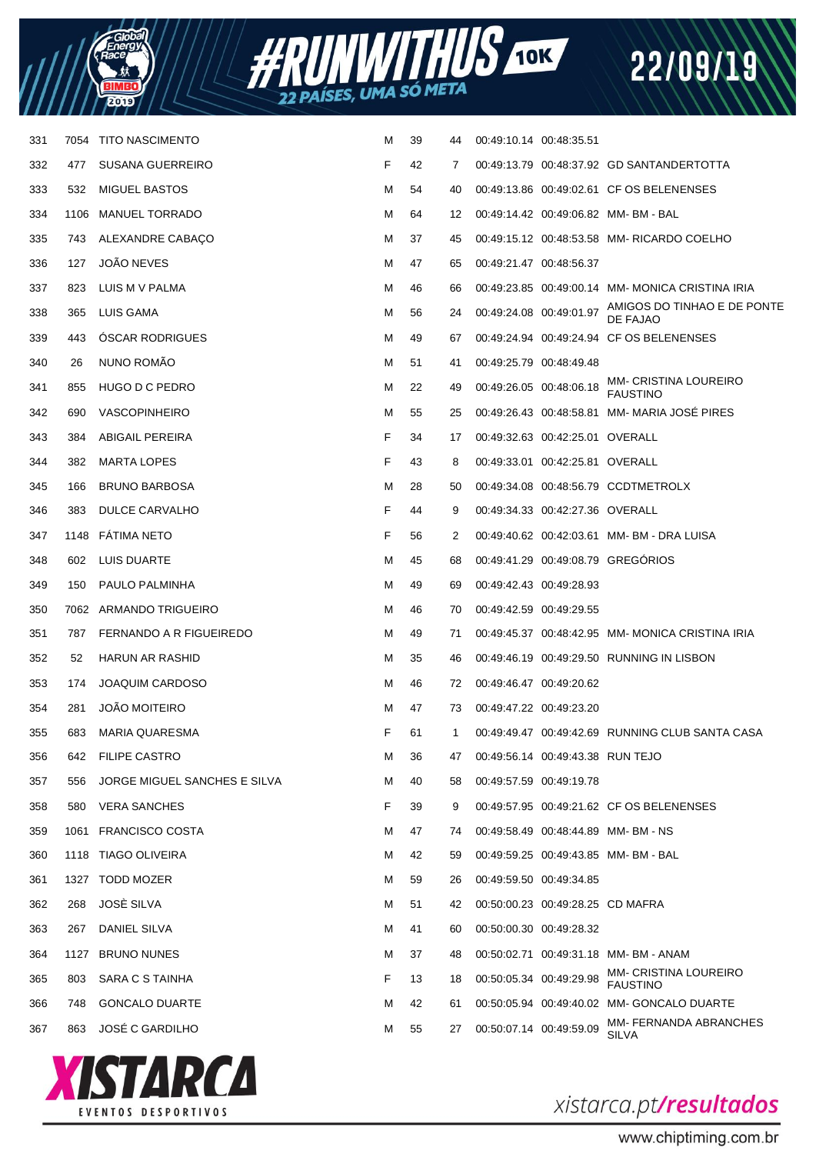



| 331 | 7054 | <b>TITO NASCIMENTO</b>       | M | 39 | 44 | 00:49:10.14 00:48:35.51 |                                   |                                                 |
|-----|------|------------------------------|---|----|----|-------------------------|-----------------------------------|-------------------------------------------------|
| 332 | 477  | <b>SUSANA GUERREIRO</b>      | F | 42 | 7  |                         |                                   | 00:49:13.79 00:48:37.92 GD SANTANDERTOTTA       |
| 333 | 532  | <b>MIGUEL BASTOS</b>         | м | 54 | 40 |                         |                                   | 00:49:13.86 00:49:02.61 CF OS BELENENSES        |
| 334 | 1106 | <b>MANUEL TORRADO</b>        | M | 64 | 12 |                         |                                   | 00:49:14.42 00:49:06.82 MM-BM-BAL               |
| 335 | 743  | ALEXANDRE CABAÇO             | м | 37 | 45 |                         |                                   | 00:49:15.12 00:48:53.58 MM- RICARDO COELHO      |
| 336 | 127  | <b>JOÃO NEVES</b>            | м | 47 | 65 | 00:49:21.47 00:48:56.37 |                                   |                                                 |
| 337 | 823  | LUIS M V PALMA               | M | 46 | 66 |                         |                                   | 00:49:23.85 00:49:00.14 MM-MONICA CRISTINA IRIA |
| 338 | 365  | LUIS GAMA                    | M | 56 | 24 | 00:49:24.08 00:49:01.97 |                                   | AMIGOS DO TINHAO E DE PONTE<br>DE FAJAO         |
| 339 | 443  | <b>OSCAR RODRIGUES</b>       | M | 49 | 67 |                         |                                   | 00:49:24.94 00:49:24.94 CF OS BELENENSES        |
| 340 | 26   | NUNO ROMÃO                   | M | 51 | 41 | 00:49:25.79 00:48:49.48 |                                   |                                                 |
| 341 | 855  | HUGO D C PEDRO               | M | 22 | 49 | 00:49:26.05 00:48:06.18 |                                   | <b>MM- CRISTINA LOUREIRO</b><br><b>FAUSTINO</b> |
| 342 | 690  | <b>VASCOPINHEIRO</b>         | M | 55 | 25 |                         |                                   | 00:49:26.43 00:48:58.81 MM- MARIA JOSÉ PIRES    |
| 343 | 384  | <b>ABIGAIL PEREIRA</b>       | F | 34 | 17 |                         | 00:49:32.63 00:42:25.01 OVERALL   |                                                 |
| 344 | 382  | <b>MARTA LOPES</b>           | F | 43 | 8  |                         | 00:49:33.01  00:42:25.81  OVERALL |                                                 |
| 345 | 166  | <b>BRUNO BARBOSA</b>         | M | 28 | 50 |                         |                                   | 00:49:34.08 00:48:56.79 CCDTMETROLX             |
| 346 | 383  | DULCE CARVALHO               | F | 44 | 9  |                         | 00:49:34.33 00:42:27.36 OVERALL   |                                                 |
| 347 |      | 1148 FÁTIMA NETO             | F | 56 | 2  |                         |                                   | 00:49:40.62 00:42:03.61 MM-BM-DRA LUISA         |
| 348 | 602  | LUIS DUARTE                  | M | 45 | 68 |                         |                                   | 00:49:41.29 00:49:08.79 GREGORIOS               |
| 349 | 150  | PAULO PALMINHA               | M | 49 | 69 | 00:49:42.43 00:49:28.93 |                                   |                                                 |
| 350 |      | 7062 ARMANDO TRIGUEIRO       | M | 46 | 70 | 00:49:42.59 00:49:29.55 |                                   |                                                 |
| 351 | 787  | FERNANDO A R FIGUEIREDO      | M | 49 | 71 |                         |                                   | 00:49:45.37 00:48:42.95 MM-MONICA CRISTINA IRIA |
| 352 | 52   | HARUN AR RASHID              | M | 35 | 46 |                         |                                   | 00:49:46.19 00:49:29.50 RUNNING IN LISBON       |
| 353 | 174  | <b>JOAQUIM CARDOSO</b>       | M | 46 | 72 | 00:49:46.47 00:49:20.62 |                                   |                                                 |
| 354 | 281  | <b>JOAO MOITEIRO</b>         | M | 47 | 73 | 00:49:47.22 00:49:23.20 |                                   |                                                 |
| 355 | 683  | <b>MARIA QUARESMA</b>        | F | 61 | 1  |                         |                                   | 00:49:49.47 00:49:42.69 RUNNING CLUB SANTA CASA |
| 356 | 642  | <b>FILIPE CASTRO</b>         | М | 36 | 47 |                         | 00:49:56.14 00:49:43.38 RUN TEJO  |                                                 |
| 357 | 556  | JORGE MIGUEL SANCHES E SILVA | M | 40 | 58 | 00:49:57.59 00:49:19.78 |                                   |                                                 |
| 358 | 580  | <b>VERA SANCHES</b>          | F | 39 | 9  |                         |                                   | 00:49:57.95 00:49:21.62 CF OS BELENENSES        |
| 359 |      | 1061 FRANCISCO COSTA         | M | 47 | 74 |                         |                                   | 00:49:58.49 00:48:44.89 MM-BM-NS                |
| 360 |      | 1118 TIAGO OLIVEIRA          | м | 42 | 59 |                         |                                   | 00:49:59.25 00:49:43.85 MM-BM-BAL               |
| 361 |      | 1327 TODD MOZER              | м | 59 | 26 | 00:49:59.50 00:49:34.85 |                                   |                                                 |
| 362 | 268  | JOSÈ SILVA                   | м | 51 | 42 |                         | 00:50:00.23 00:49:28.25 CD MAFRA  |                                                 |
| 363 | 267  | DANIEL SILVA                 | м | 41 | 60 | 00:50:00.30 00:49:28.32 |                                   |                                                 |
| 364 | 1127 | <b>BRUNO NUNES</b>           | м | 37 | 48 |                         |                                   | 00:50:02.71 00:49:31.18 MM-BM-ANAM              |
| 365 | 803  | SARA C S TAINHA              | F | 13 | 18 | 00:50:05.34 00:49:29.98 |                                   | <b>MM- CRISTINA LOUREIRO</b><br><b>FAUSTINO</b> |
| 366 | 748  | <b>GONCALO DUARTE</b>        | м | 42 | 61 |                         |                                   | 00:50:05.94 00:49:40.02 MM- GONCALO DUARTE      |
| 367 | 863  | <b>JOSÉ C GARDILHO</b>       | М | 55 | 27 | 00:50:07.14 00:49:59.09 |                                   | MM- FERNANDA ABRANCHES<br><b>SILVA</b>          |
|     |      |                              |   |    |    |                         |                                   |                                                 |



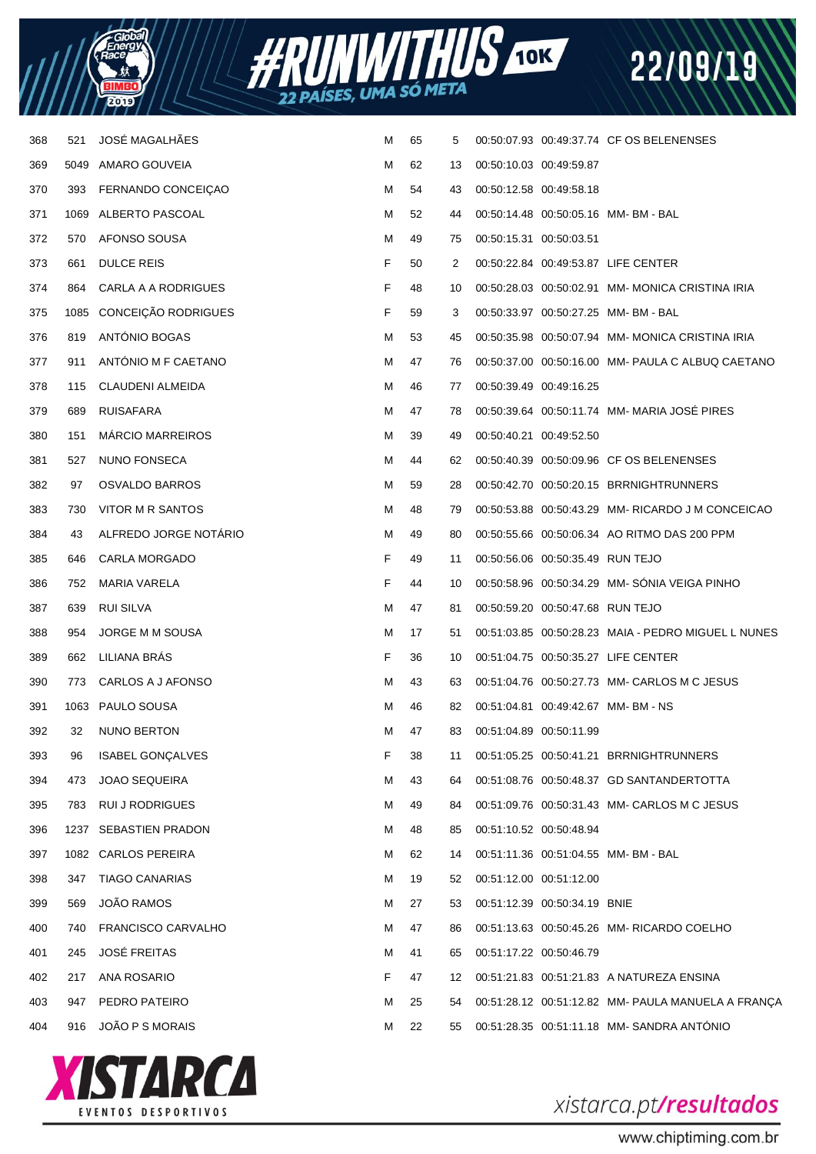



| 521  | JOSÉ MAGALHÃES          | м                                                                                                                 | 65 | 5  |  |                                                                                                                                                                                                                                                                                                                                                                                                                                                                                                                                                                                                                                                                                                                                                                                                                                                                                                                 |
|------|-------------------------|-------------------------------------------------------------------------------------------------------------------|----|----|--|-----------------------------------------------------------------------------------------------------------------------------------------------------------------------------------------------------------------------------------------------------------------------------------------------------------------------------------------------------------------------------------------------------------------------------------------------------------------------------------------------------------------------------------------------------------------------------------------------------------------------------------------------------------------------------------------------------------------------------------------------------------------------------------------------------------------------------------------------------------------------------------------------------------------|
|      |                         | М                                                                                                                 | 62 | 13 |  |                                                                                                                                                                                                                                                                                                                                                                                                                                                                                                                                                                                                                                                                                                                                                                                                                                                                                                                 |
| 393  | FERNANDO CONCEIÇÃO      | м                                                                                                                 | 54 | 43 |  |                                                                                                                                                                                                                                                                                                                                                                                                                                                                                                                                                                                                                                                                                                                                                                                                                                                                                                                 |
|      |                         | м                                                                                                                 | 52 | 44 |  |                                                                                                                                                                                                                                                                                                                                                                                                                                                                                                                                                                                                                                                                                                                                                                                                                                                                                                                 |
| 570  | AFONSO SOUSA            | м                                                                                                                 | 49 | 75 |  |                                                                                                                                                                                                                                                                                                                                                                                                                                                                                                                                                                                                                                                                                                                                                                                                                                                                                                                 |
| 661  | <b>DULCE REIS</b>       | F                                                                                                                 | 50 | 2  |  |                                                                                                                                                                                                                                                                                                                                                                                                                                                                                                                                                                                                                                                                                                                                                                                                                                                                                                                 |
| 864  | CARLA A A RODRIGUES     | F                                                                                                                 | 48 | 10 |  | 00:50:28.03 00:50:02.91 MM- MONICA CRISTINA IRIA                                                                                                                                                                                                                                                                                                                                                                                                                                                                                                                                                                                                                                                                                                                                                                                                                                                                |
|      |                         | F                                                                                                                 | 59 | 3  |  |                                                                                                                                                                                                                                                                                                                                                                                                                                                                                                                                                                                                                                                                                                                                                                                                                                                                                                                 |
| 819  | ANTÓNIO BOGAS           | м                                                                                                                 | 53 | 45 |  | 00:50:35.98 00:50:07.94 MM-MONICA CRISTINA IRIA                                                                                                                                                                                                                                                                                                                                                                                                                                                                                                                                                                                                                                                                                                                                                                                                                                                                 |
| 911  | ANTONIO M F CAETANO     | м                                                                                                                 | 47 | 76 |  | 00:50:37.00 00:50:16.00 MM- PAULA C ALBUQ CAETANO                                                                                                                                                                                                                                                                                                                                                                                                                                                                                                                                                                                                                                                                                                                                                                                                                                                               |
| 115  | CLAUDENI ALMEIDA        | м                                                                                                                 | 46 | 77 |  |                                                                                                                                                                                                                                                                                                                                                                                                                                                                                                                                                                                                                                                                                                                                                                                                                                                                                                                 |
| 689  | RUISAFARA               | м                                                                                                                 | 47 | 78 |  | 00:50:39.64 00:50:11.74 MM- MARIA JOSÉ PIRES                                                                                                                                                                                                                                                                                                                                                                                                                                                                                                                                                                                                                                                                                                                                                                                                                                                                    |
| 151  | <b>MARCIO MARREIROS</b> | м                                                                                                                 | 39 | 49 |  |                                                                                                                                                                                                                                                                                                                                                                                                                                                                                                                                                                                                                                                                                                                                                                                                                                                                                                                 |
| 527  | <b>NUNO FONSECA</b>     | м                                                                                                                 | 44 | 62 |  |                                                                                                                                                                                                                                                                                                                                                                                                                                                                                                                                                                                                                                                                                                                                                                                                                                                                                                                 |
| 97   | <b>OSVALDO BARROS</b>   | м                                                                                                                 | 59 | 28 |  |                                                                                                                                                                                                                                                                                                                                                                                                                                                                                                                                                                                                                                                                                                                                                                                                                                                                                                                 |
| 730  | VITOR M R SANTOS        | м                                                                                                                 | 48 | 79 |  | 00:50:53.88 00:50:43.29 MM-RICARDO J M CONCEICAO                                                                                                                                                                                                                                                                                                                                                                                                                                                                                                                                                                                                                                                                                                                                                                                                                                                                |
| 43   | ALFREDO JORGE NOTÁRIO   | м                                                                                                                 | 49 | 80 |  | 00:50:55.66 00:50:06.34 AO RITMO DAS 200 PPM                                                                                                                                                                                                                                                                                                                                                                                                                                                                                                                                                                                                                                                                                                                                                                                                                                                                    |
| 646  | <b>CARLA MORGADO</b>    | F                                                                                                                 | 49 | 11 |  |                                                                                                                                                                                                                                                                                                                                                                                                                                                                                                                                                                                                                                                                                                                                                                                                                                                                                                                 |
| 752  | MARIA VARELA            | F                                                                                                                 | 44 | 10 |  | 00:50:58.96 00:50:34.29 MM-SÓNIA VEIGA PINHO                                                                                                                                                                                                                                                                                                                                                                                                                                                                                                                                                                                                                                                                                                                                                                                                                                                                    |
| 639  | RUI SILVA               | м                                                                                                                 | 47 | 81 |  |                                                                                                                                                                                                                                                                                                                                                                                                                                                                                                                                                                                                                                                                                                                                                                                                                                                                                                                 |
| 954  | JORGE M M SOUSA         | м                                                                                                                 | 17 | 51 |  | 00:51:03.85 00:50:28.23 MAIA - PEDRO MIGUEL L NUNES                                                                                                                                                                                                                                                                                                                                                                                                                                                                                                                                                                                                                                                                                                                                                                                                                                                             |
| 662  | LILIANA BRÁS            | F                                                                                                                 | 36 | 10 |  |                                                                                                                                                                                                                                                                                                                                                                                                                                                                                                                                                                                                                                                                                                                                                                                                                                                                                                                 |
| 773  | CARLOS A J AFONSO       | м                                                                                                                 | 43 | 63 |  | 00:51:04.76 00:50:27.73 MM- CARLOS M C JESUS                                                                                                                                                                                                                                                                                                                                                                                                                                                                                                                                                                                                                                                                                                                                                                                                                                                                    |
|      |                         | м                                                                                                                 | 46 | 82 |  |                                                                                                                                                                                                                                                                                                                                                                                                                                                                                                                                                                                                                                                                                                                                                                                                                                                                                                                 |
| 32   | <b>NUNO BERTON</b>      | м                                                                                                                 | 47 | 83 |  |                                                                                                                                                                                                                                                                                                                                                                                                                                                                                                                                                                                                                                                                                                                                                                                                                                                                                                                 |
| 96   | <b>ISABEL GONÇALVES</b> | F                                                                                                                 | 38 | 11 |  |                                                                                                                                                                                                                                                                                                                                                                                                                                                                                                                                                                                                                                                                                                                                                                                                                                                                                                                 |
| 473  | <b>JOAO SEQUEIRA</b>    | M                                                                                                                 | 43 | 64 |  |                                                                                                                                                                                                                                                                                                                                                                                                                                                                                                                                                                                                                                                                                                                                                                                                                                                                                                                 |
| 783  | <b>RUI J RODRIGUES</b>  | м                                                                                                                 | 49 | 84 |  | 00:51:09.76 00:50:31.43 MM- CARLOS M C JESUS                                                                                                                                                                                                                                                                                                                                                                                                                                                                                                                                                                                                                                                                                                                                                                                                                                                                    |
| 1237 | SEBASTIEN PRADON        | м                                                                                                                 | 48 | 85 |  |                                                                                                                                                                                                                                                                                                                                                                                                                                                                                                                                                                                                                                                                                                                                                                                                                                                                                                                 |
|      |                         | м                                                                                                                 | 62 | 14 |  |                                                                                                                                                                                                                                                                                                                                                                                                                                                                                                                                                                                                                                                                                                                                                                                                                                                                                                                 |
| 347  | <b>TIAGO CANARIAS</b>   | м                                                                                                                 | 19 | 52 |  |                                                                                                                                                                                                                                                                                                                                                                                                                                                                                                                                                                                                                                                                                                                                                                                                                                                                                                                 |
| 569  | JOÃO RAMOS              | м                                                                                                                 | 27 | 53 |  |                                                                                                                                                                                                                                                                                                                                                                                                                                                                                                                                                                                                                                                                                                                                                                                                                                                                                                                 |
| 740  | FRANCISCO CARVALHO      | м                                                                                                                 | 47 | 86 |  | 00:51:13.63 00:50:45.26 MM- RICARDO COELHO                                                                                                                                                                                                                                                                                                                                                                                                                                                                                                                                                                                                                                                                                                                                                                                                                                                                      |
| 245  | <b>JOSÉ FREITAS</b>     | м                                                                                                                 | 41 | 65 |  |                                                                                                                                                                                                                                                                                                                                                                                                                                                                                                                                                                                                                                                                                                                                                                                                                                                                                                                 |
| 217  | ANA ROSARIO             | F                                                                                                                 | 47 | 12 |  |                                                                                                                                                                                                                                                                                                                                                                                                                                                                                                                                                                                                                                                                                                                                                                                                                                                                                                                 |
| 947  | PEDRO PATEIRO           | м                                                                                                                 | 25 | 54 |  | 00:51:28.12 00:51:12.82 MM- PAULA MANUELA A FRANÇA                                                                                                                                                                                                                                                                                                                                                                                                                                                                                                                                                                                                                                                                                                                                                                                                                                                              |
| 916  | JOÃO P S MORAIS         | M                                                                                                                 | 22 | 55 |  |                                                                                                                                                                                                                                                                                                                                                                                                                                                                                                                                                                                                                                                                                                                                                                                                                                                                                                                 |
|      |                         | 5049 AMARO GOUVEIA<br>1069 ALBERTO PASCOAL<br>1085 CONCEIÇÃO RODRIGUES<br>1063 PAULO SOUSA<br>1082 CARLOS PEREIRA |    |    |  | 00:50:07.93 00:49:37.74 CF OS BELENENSES<br>00:50:10.03 00:49:59.87<br>00:50:12.58 00:49:58.18<br>00:50:14.48 00:50:05.16 MM-BM-BAL<br>00:50:15.31 00:50:03.51<br>00:50:22.84 00:49:53.87 LIFE CENTER<br>00:50:33.97 00:50:27.25 MM-BM-BAL<br>00:50:39.49 00:49:16.25<br>00:50:40.21 00:49:52.50<br>00:50:40.39 00:50:09.96 CF OS BELENENSES<br>00:50:42.70 00:50:20.15 BRRNIGHTRUNNERS<br>00:50:56.06 00:50:35.49 RUN TEJO<br>00:50:59.20 00:50:47.68 RUN TEJO<br>00:51:04.75 00:50:35.27 LIFE CENTER<br>00:51:04.81  00:49:42.67  MM-BM-NS<br>00:51:04.89 00:50:11.99<br>00:51:05.25 00:50:41.21 BRRNIGHTRUNNERS<br>00:51:08.76 00:50:48.37 GD SANTANDERTOTTA<br>00:51:10.52 00:50:48.94<br>00:51:11.36 00:51:04.55 MM-BM-BAL<br>00:51:12.00 00:51:12.00<br>00:51:12.39 00:50:34.19 BNIE<br>00:51:17.22 00:50:46.79<br>00:51:21.83 00:51:21.83 A NATUREZA ENSINA<br>00:51:28.35 00:51:11.18 MM-SANDRA ANTÓNIO |



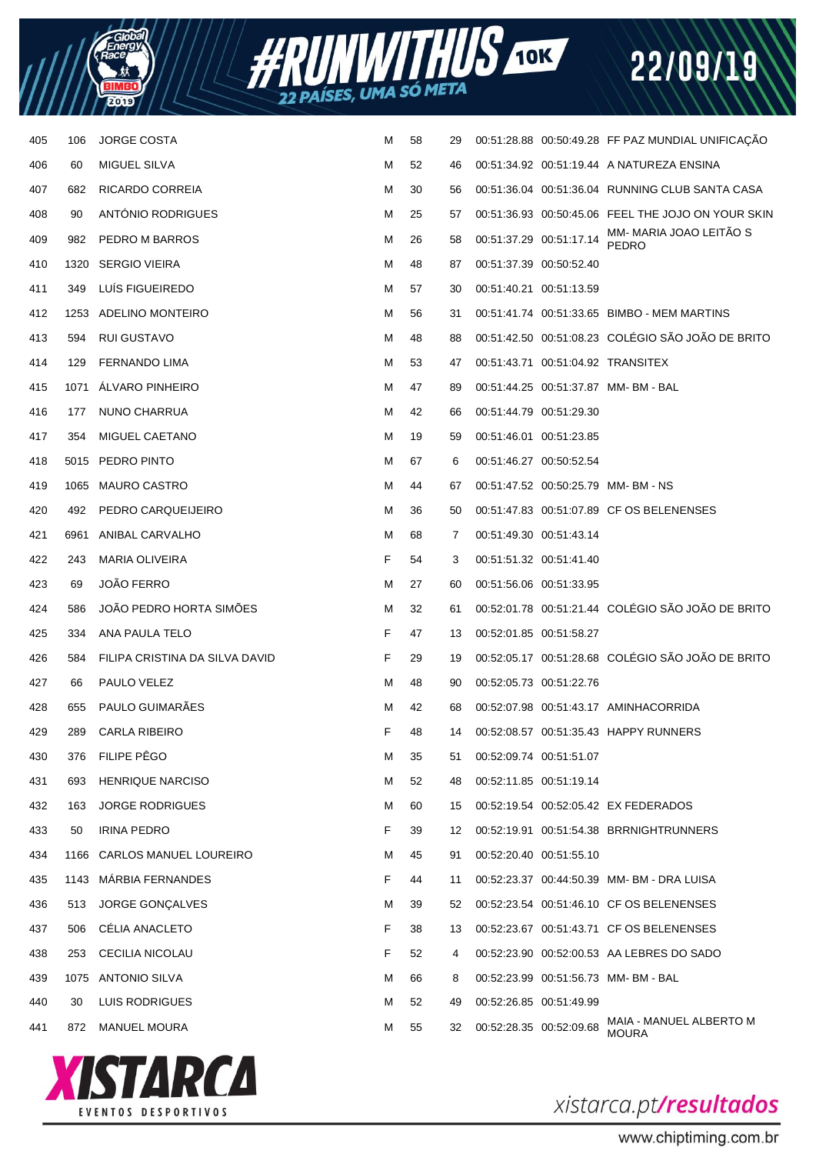



| 405 | 106  | <b>JORGE COSTA</b>             | м | 58 | 29 | 00:51:28.88 00:50:49.28 FF PAZ MUNDIAL UNIFICAÇÃO                  |
|-----|------|--------------------------------|---|----|----|--------------------------------------------------------------------|
| 406 | 60   | MIGUEL SILVA                   | м | 52 | 46 | 00:51:34.92 00:51:19.44 A NATUREZA ENSINA                          |
| 407 | 682  | RICARDO CORREIA                | м | 30 | 56 | 00:51:36.04 00:51:36.04 RUNNING CLUB SANTA CASA                    |
| 408 | 90   | <b>ANTONIO RODRIGUES</b>       | м | 25 | 57 | 00:51:36.93 00:50:45.06 FEEL THE JOJO ON YOUR SKIN                 |
| 409 | 982  | PEDRO M BARROS                 | м | 26 | 58 | MM- MARIA JOAO LEITÃO S<br>PEDRO<br>00:51:37.29 00:51:17.14        |
| 410 | 1320 | <b>SERGIO VIEIRA</b>           | м | 48 | 87 | 00:51:37.39 00:50:52.40                                            |
| 411 | 349  | LUIS FIGUEIREDO                | м | 57 | 30 | 00:51:40.21 00:51:13.59                                            |
| 412 |      | 1253 ADELINO MONTEIRO          | м | 56 | 31 | 00:51:41.74 00:51:33.65 BIMBO - MEM MARTINS                        |
| 413 | 594  | RUI GUSTAVO                    | м | 48 | 88 | 00:51:42.50 00:51:08.23 COLÉGIO SÃO JOÃO DE BRITO                  |
| 414 | 129  | <b>FERNANDO LIMA</b>           | м | 53 | 47 | 00:51:43.71 00:51:04.92 TRANSITEX                                  |
| 415 | 1071 | ALVARO PINHEIRO                | м | 47 | 89 | 00:51:44.25 00:51:37.87 MM-BM-BAL                                  |
| 416 | 177  | NUNO CHARRUA                   | м | 42 | 66 | 00:51:44.79 00:51:29.30                                            |
| 417 | 354  | MIGUEL CAETANO                 | м | 19 | 59 | 00:51:46.01 00:51:23.85                                            |
| 418 |      | 5015 PEDRO PINTO               | м | 67 | 6  | 00:51:46.27 00:50:52.54                                            |
| 419 |      | 1065 MAURO CASTRO              | м | 44 | 67 | 00:51:47.52 00:50:25.79 MM-BM-NS                                   |
| 420 | 492  | PEDRO CARQUEIJEIRO             | м | 36 | 50 | 00:51:47.83 00:51:07.89 CF OS BELENENSES                           |
| 421 | 6961 | ANIBAL CARVALHO                | м | 68 | 7  | 00:51:49.30 00:51:43.14                                            |
| 422 | 243  | <b>MARIA OLIVEIRA</b>          | F | 54 | 3  | 00:51:51.32 00:51:41.40                                            |
| 423 | 69   | <b>JOÃO FERRO</b>              | м | 27 | 60 | 00:51:56.06 00:51:33.95                                            |
| 424 | 586  | <b>JOAO PEDRO HORTA SIMOES</b> | м | 32 | 61 | 00:52:01.78 00:51:21.44 COLÉGIO SÃO JOÃO DE BRITO                  |
| 425 | 334  | ANA PAULA TELO                 | F | 47 | 13 | 00:52:01.85 00:51:58.27                                            |
| 426 | 584  | FILIPA CRISTINA DA SILVA DAVID | F | 29 | 19 | 00:52:05.17 00:51:28.68 COLÉGIO SÃO JOÃO DE BRITO                  |
| 427 | 66   | PAULO VELEZ                    | м | 48 | 90 | 00:52:05.73 00:51:22.76                                            |
| 428 | 655  | PAULO GUIMARÃES                | м | 42 | 68 | 00:52:07.98  00:51:43.17  AMINHACORRIDA                            |
| 429 | 289  | <b>CARLA RIBEIRO</b>           | F | 48 | 14 | 00:52:08.57 00:51:35.43 HAPPY RUNNERS                              |
| 430 | 376  | FILIPE PÊGO                    | M | 35 | 51 | 00:52:09.74 00:51:51.07                                            |
| 431 | 693  | <b>HENRIQUE NARCISO</b>        | M | 52 | 48 | 00:52:11.85 00:51:19.14                                            |
| 432 | 163  | <b>JORGE RODRIGUES</b>         | M | 60 | 15 | 00:52:19.54 00:52:05.42 EX FEDERADOS                               |
| 433 | 50   | <b>IRINA PEDRO</b>             | F | 39 | 12 | 00:52:19.91  00:51:54.38  BRRNIGHTRUNNERS                          |
| 434 | 1166 | <b>CARLOS MANUEL LOUREIRO</b>  | M | 45 | 91 | 00:52:20.40 00:51:55.10                                            |
| 435 | 1143 | MÁRBIA FERNANDES               | F | 44 | 11 | 00:52:23.37 00:44:50.39 MM-BM-DRA LUISA                            |
| 436 | 513  | <b>JORGE GONÇALVES</b>         | м | 39 | 52 | 00:52:23.54 00:51:46.10 CF OS BELENENSES                           |
| 437 | 506  | CÉLIA ANACLETO                 | F | 38 | 13 | 00:52:23.67 00:51:43.71 CF OS BELENENSES                           |
| 438 | 253  | CECILIA NICOLAU                | F | 52 | 4  | 00:52:23.90 00:52:00.53 AA LEBRES DO SADO                          |
| 439 |      | 1075 ANTONIO SILVA             | м | 66 | 8  | 00:52:23.99  00:51:56.73  MM- BM - BAL                             |
| 440 | 30   | LUIS RODRIGUES                 | м | 52 | 49 | 00:52:26.85 00:51:49.99                                            |
| 441 | 872  | <b>MANUEL MOURA</b>            | м | 55 | 32 | MAIA - MANUEL ALBERTO M<br>00:52:28.35 00:52:09.68<br><b>MOURA</b> |



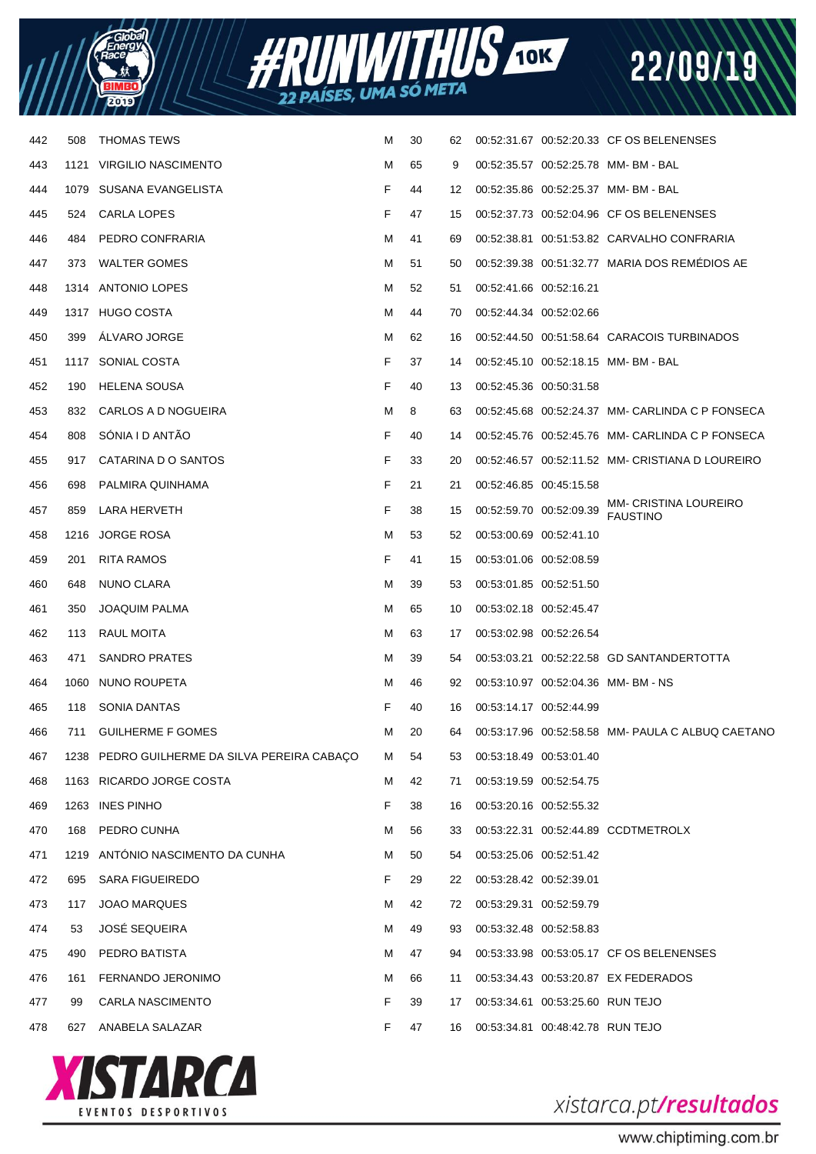



| 442 | 508  | <b>THOMAS TEWS</b>                           | м | 30 | 62 |                         |                                  | 00:52:31.67 00:52:20.33 CF OS BELENENSES          |
|-----|------|----------------------------------------------|---|----|----|-------------------------|----------------------------------|---------------------------------------------------|
| 443 |      | 1121 VIRGILIO NASCIMENTO                     | м | 65 | 9  |                         |                                  | 00:52:35.57 00:52:25.78 MM-BM-BAL                 |
| 444 |      | 1079 SUSANA EVANGELISTA                      | F | 44 | 12 |                         |                                  | 00:52:35.86 00:52:25.37 MM-BM-BAL                 |
| 445 | 524  | <b>CARLA LOPES</b>                           | F | 47 | 15 |                         |                                  | 00:52:37.73 00:52:04.96 CF OS BELENENSES          |
| 446 | 484  | PEDRO CONFRARIA                              | м | 41 | 69 |                         |                                  | 00:52:38.81 00:51:53.82 CARVALHO CONFRARIA        |
| 447 | 373. | <b>WALTER GOMES</b>                          | м | 51 | 50 |                         |                                  | 00:52:39.38 00:51:32.77 MARIA DOS REMÉDIOS AE     |
| 448 |      | 1314 ANTONIO LOPES                           | м | 52 | 51 | 00:52:41.66 00:52:16.21 |                                  |                                                   |
| 449 |      | 1317 HUGO COSTA                              | м | 44 | 70 | 00:52:44.34 00:52:02.66 |                                  |                                                   |
| 450 | 399  | ALVARO JORGE                                 | м | 62 | 16 |                         |                                  | 00:52:44.50 00:51:58.64 CARACOIS TURBINADOS       |
| 451 |      | 1117 SONIAL COSTA                            | F | 37 | 14 |                         |                                  | 00:52:45.10 00:52:18.15 MM-BM-BAL                 |
| 452 | 190  | <b>HELENA SOUSA</b>                          | F | 40 | 13 | 00:52:45.36 00:50:31.58 |                                  |                                                   |
| 453 | 832  | CARLOS A D NOGUEIRA                          | м | 8  | 63 |                         |                                  | 00:52:45.68 00:52:24.37 MM- CARLINDA C P FONSECA  |
| 454 | 808  | SONIA I D ANTAO                              | F | 40 | 14 |                         |                                  | 00:52:45.76 00:52:45.76 MM- CARLINDA C P FONSECA  |
| 455 | 917  | CATARINA D O SANTOS                          | F | 33 | 20 |                         |                                  | 00:52:46.57 00:52:11.52 MM- CRISTIANA D LOUREIRO  |
| 456 | 698  | PALMIRA QUINHAMA                             | F | 21 | 21 | 00:52:46.85 00:45:15.58 |                                  |                                                   |
| 457 | 859  | LARA HERVETH                                 | F | 38 | 15 |                         | 00:52:59.70 00:52:09.39          | <b>MM- CRISTINA LOUREIRO</b><br><b>FAUSTINO</b>   |
| 458 | 1216 | <b>JORGE ROSA</b>                            | м | 53 | 52 | 00:53:00.69 00:52:41.10 |                                  |                                                   |
| 459 | 201  | RITA RAMOS                                   | F | 41 | 15 | 00:53:01.06 00:52:08.59 |                                  |                                                   |
| 460 | 648  | NUNO CLARA                                   | м | 39 | 53 | 00:53:01.85 00:52:51.50 |                                  |                                                   |
| 461 | 350  | <b>JOAQUIM PALMA</b>                         | м | 65 | 10 |                         | 00:53:02.18 00:52:45.47          |                                                   |
| 462 | 113  | RAUL MOITA                                   | м | 63 | 17 | 00:53:02.98 00:52:26.54 |                                  |                                                   |
| 463 | 471  | <b>SANDRO PRATES</b>                         | м | 39 | 54 |                         |                                  | 00:53:03.21 00:52:22.58 GD SANTANDERTOTTA         |
| 464 | 1060 | NUNO ROUPETA                                 | м | 46 | 92 |                         |                                  | 00:53:10.97 00:52:04.36 MM-BM-NS                  |
| 465 | 118  | SONIA DANTAS                                 | F | 40 | 16 | 00:53:14.17 00:52:44.99 |                                  |                                                   |
| 466 | 711  | <b>GUILHERME F GOMES</b>                     | м | 20 | 64 |                         |                                  | 00:53:17.96 00:52:58.58 MM- PAULA C ALBUQ CAETANO |
| 467 |      | 1238 PEDRO GUILHERME DA SILVA PEREIRA CABAÇO | M | 54 | 53 | 00:53:18.49 00:53:01.40 |                                  |                                                   |
| 468 |      | 1163 RICARDO JORGE COSTA                     | м | 42 | 71 |                         | 00:53:19.59 00:52:54.75          |                                                   |
| 469 |      | 1263 INES PINHO                              | F | 38 | 16 |                         | 00:53:20.16 00:52:55.32          |                                                   |
| 470 | 168  | PEDRO CUNHA                                  | м | 56 | 33 |                         |                                  | 00:53:22.31 00:52:44.89 CCDTMETROLX               |
| 471 | 1219 | ANTÓNIO NASCIMENTO DA CUNHA                  | м | 50 | 54 |                         | 00:53:25.06 00:52:51.42          |                                                   |
| 472 | 695  | <b>SARA FIGUEIREDO</b>                       | F | 29 | 22 | 00:53:28.42 00:52:39.01 |                                  |                                                   |
| 473 | 117  | <b>JOAO MARQUES</b>                          | м | 42 | 72 | 00:53:29.31 00:52:59.79 |                                  |                                                   |
| 474 | 53   | <b>JOSÉ SEQUEIRA</b>                         | м | 49 | 93 |                         | 00:53:32.48 00:52:58.83          |                                                   |
| 475 | 490  | PEDRO BATISTA                                | м | 47 | 94 |                         |                                  | 00:53:33.98 00:53:05.17 CF OS BELENENSES          |
| 476 | 161  | FERNANDO JERONIMO                            | м | 66 | 11 |                         |                                  | 00:53:34.43 00:53:20.87 EX FEDERADOS              |
| 477 | 99   | <b>CARLA NASCIMENTO</b>                      | F | 39 | 17 |                         | 00:53:34.61 00:53:25.60 RUN TEJO |                                                   |
| 478 | 627  | ANABELA SALAZAR                              | F | 47 | 16 |                         | 00:53:34.81 00:48:42.78 RUN TEJO |                                                   |
|     |      |                                              |   |    |    |                         |                                  |                                                   |



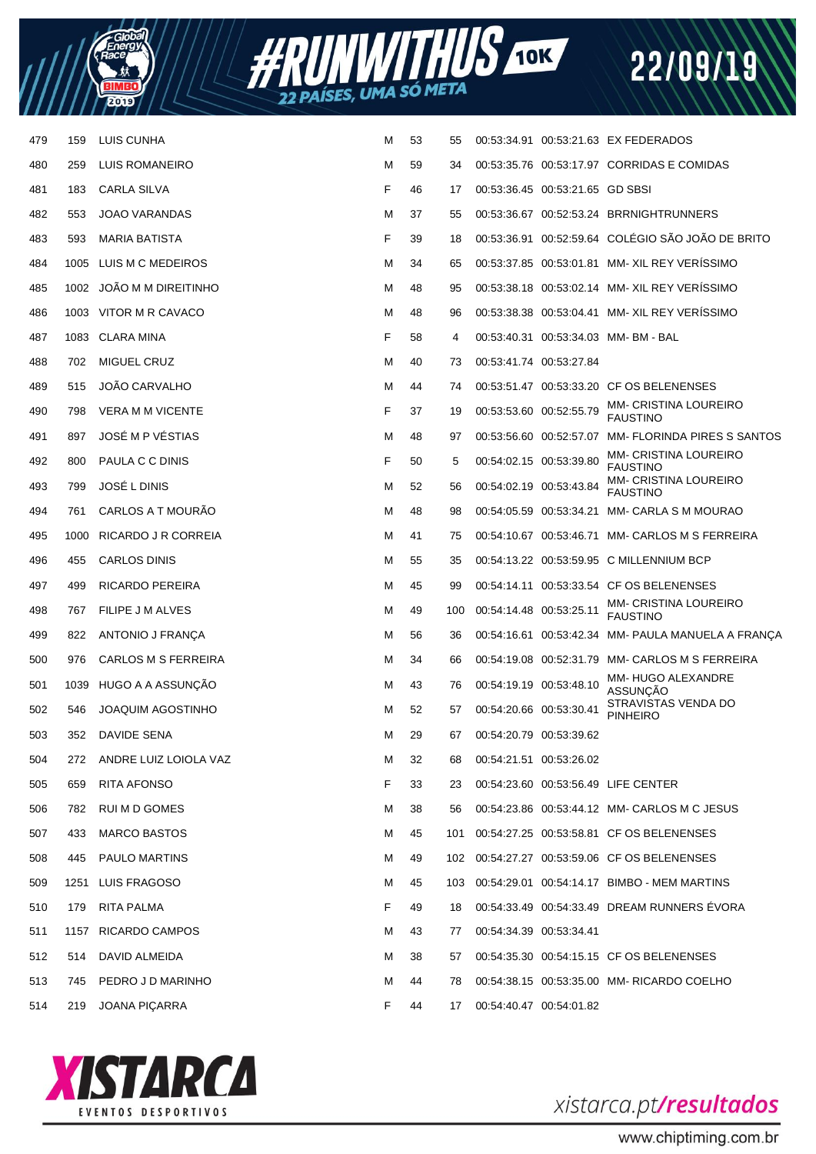



| 479 | 159  | LUIS CUNHA               | М | 53 | 55  |                         |                                 | 00:53:34.91 00:53:21.63 EX FEDERADOS               |
|-----|------|--------------------------|---|----|-----|-------------------------|---------------------------------|----------------------------------------------------|
| 480 | 259  | LUIS ROMANEIRO           | М | 59 | 34  |                         |                                 | 00:53:35.76 00:53:17.97 CORRIDAS E COMIDAS         |
| 481 | 183  | <b>CARLA SILVA</b>       | F | 46 | 17  |                         | 00:53:36.45 00:53:21.65 GD SBSI |                                                    |
| 482 | 553  | <b>JOAO VARANDAS</b>     | М | 37 | 55  |                         |                                 | 00:53:36.67 00:52:53.24 BRRNIGHTRUNNERS            |
| 483 | 593  | <b>MARIA BATISTA</b>     | F | 39 | 18  |                         |                                 | 00:53:36.91 00:52:59.64 COLÉGIO SÃO JOÃO DE BRITO  |
| 484 | 1005 | LUIS M C MEDEIROS        | М | 34 | 65  |                         |                                 | 00:53:37.85 00:53:01.81 MM- XIL REY VERISSIMO      |
| 485 | 1002 | JOÃO M M DIREITINHO      | М | 48 | 95  |                         |                                 | 00:53:38.18 00:53:02.14 MM- XIL REY VERISSIMO      |
| 486 |      | 1003 VITOR M R CAVACO    | М | 48 | 96  |                         |                                 | 00:53:38.38 00:53:04.41 MM- XIL REY VERISSIMO      |
| 487 | 1083 | CLARA MINA               | F | 58 | 4   |                         |                                 | 00:53:40.31 00:53:34.03 MM-BM-BAL                  |
| 488 | 702  | MIGUEL CRUZ              | М | 40 | 73  | 00:53:41.74 00:53:27.84 |                                 |                                                    |
| 489 | 515  | <b>JOÃO CARVALHO</b>     | М | 44 | 74  |                         |                                 | 00:53:51.47 00:53:33.20 CF OS BELENENSES           |
| 490 | 798  | <b>VERA M M VICENTE</b>  | F | 37 | 19  | 00:53:53.60 00:52:55.79 |                                 | <b>MM- CRISTINA LOUREIRO</b><br><b>FAUSTINO</b>    |
| 491 | 897  | JOSÉ M P VÉSTIAS         | М | 48 | 97  | 00:53:56.60 00:52:57.07 |                                 | <b>MM-FLORINDA PIRES S SANTOS</b>                  |
| 492 | 800  | PAULA C C DINIS          | F | 50 | 5   | 00:54:02.15 00:53:39.80 |                                 | <b>MM- CRISTINA LOUREIRO</b><br><b>FAUSTINO</b>    |
| 493 | 799  | JOSÉ L DINIS             | М | 52 | 56  | 00:54:02.19 00:53:43.84 |                                 | <b>MM- CRISTINA LOUREIRO</b><br><b>FAUSTINO</b>    |
| 494 | 761  | CARLOS A T MOURÃO        | М | 48 | 98  | 00:54:05.59 00:53:34.21 |                                 | <b>MM- CARLA S M MOURAO</b>                        |
| 495 | 1000 | RICARDO J R CORREIA      | М | 41 | 75  |                         |                                 | 00:54:10.67 00:53:46.71 MM- CARLOS M S FERREIRA    |
| 496 | 455  | CARLOS DINIS             | М | 55 | 35  |                         |                                 | 00:54:13.22 00:53:59.95 C MILLENNIUM BCP           |
| 497 | 499  | <b>RICARDO PEREIRA</b>   | М | 45 | 99  |                         |                                 | 00:54:14.11 00:53:33.54 CF OS BELENENSES           |
| 498 | 767  | FILIPE J M ALVES         | М | 49 | 100 | 00:54:14.48 00:53:25.11 |                                 | <b>MM- CRISTINA LOUREIRO</b><br><b>FAUSTINO</b>    |
| 499 | 822  | ANTONIO J FRANÇA         | М | 56 | 36  |                         |                                 | 00:54:16.61 00:53:42.34 MM- PAULA MANUELA A FRANÇA |
| 500 | 976  | CARLOS M S FERREIRA      | М | 34 | 66  |                         |                                 | 00:54:19.08 00:52:31.79 MM- CARLOS M S FERREIRA    |
| 501 | 1039 | HUGO A A ASSUNÇÃO        | М | 43 | 76  | 00:54:19.19 00:53:48.10 |                                 | MM-HUGO ALEXANDRE<br>ASSUNÇÃO                      |
| 502 | 546  | <b>JOAQUIM AGOSTINHO</b> | м | 52 | 57  | 00:54:20.66 00:53:30.41 |                                 | STRAVISTAS VENDA DO<br><b>PINHEIRO</b>             |
| 503 | 352  | DAVIDE SENA              | м | 29 | 67  | 00:54:20.79 00:53:39.62 |                                 |                                                    |
| 504 | 272  | ANDRE LUIZ LOIOLA VAZ    | М | 32 | 68  | 00:54:21.51 00:53:26.02 |                                 |                                                    |
| 505 | 659  | RITA AFONSO              | F | 33 | 23  |                         |                                 | 00:54:23.60 00:53:56.49 LIFE CENTER                |
| 506 | 782  | RUI M D GOMES            | м | 38 | 56  |                         |                                 | 00:54:23.86 00:53:44.12 MM- CARLOS M C JESUS       |
| 507 | 433  | <b>MARCO BASTOS</b>      | м | 45 | 101 |                         |                                 | 00:54:27.25 00:53:58.81 CF OS BELENENSES           |
| 508 | 445  | <b>PAULO MARTINS</b>     | м | 49 |     |                         |                                 | 102 00:54:27.27 00:53:59.06 CF OS BELENENSES       |
| 509 |      | 1251 LUIS FRAGOSO        | м | 45 | 103 |                         |                                 | 00:54:29.01 00:54:14.17 BIMBO - MEM MARTINS        |
| 510 | 179  | RITA PALMA               | F | 49 | 18  |                         |                                 | 00:54:33.49 00:54:33.49 DREAM RUNNERS EVORA        |
| 511 |      | 1157 RICARDO CAMPOS      | М | 43 | 77  | 00:54:34.39 00:53:34.41 |                                 |                                                    |
| 512 | 514  | DAVID ALMEIDA            | м | 38 | 57  |                         |                                 | 00:54:35.30 00:54:15.15 CF OS BELENENSES           |
| 513 | 745  | PEDRO J D MARINHO        | М | 44 | 78  |                         |                                 | 00:54:38.15 00:53:35.00 MM-RICARDO COELHO          |
| 514 | 219  | <b>JOANA PIÇARRA</b>     | F | 44 | 17  | 00:54:40.47 00:54:01.82 |                                 |                                                    |
|     |      |                          |   |    |     |                         |                                 |                                                    |



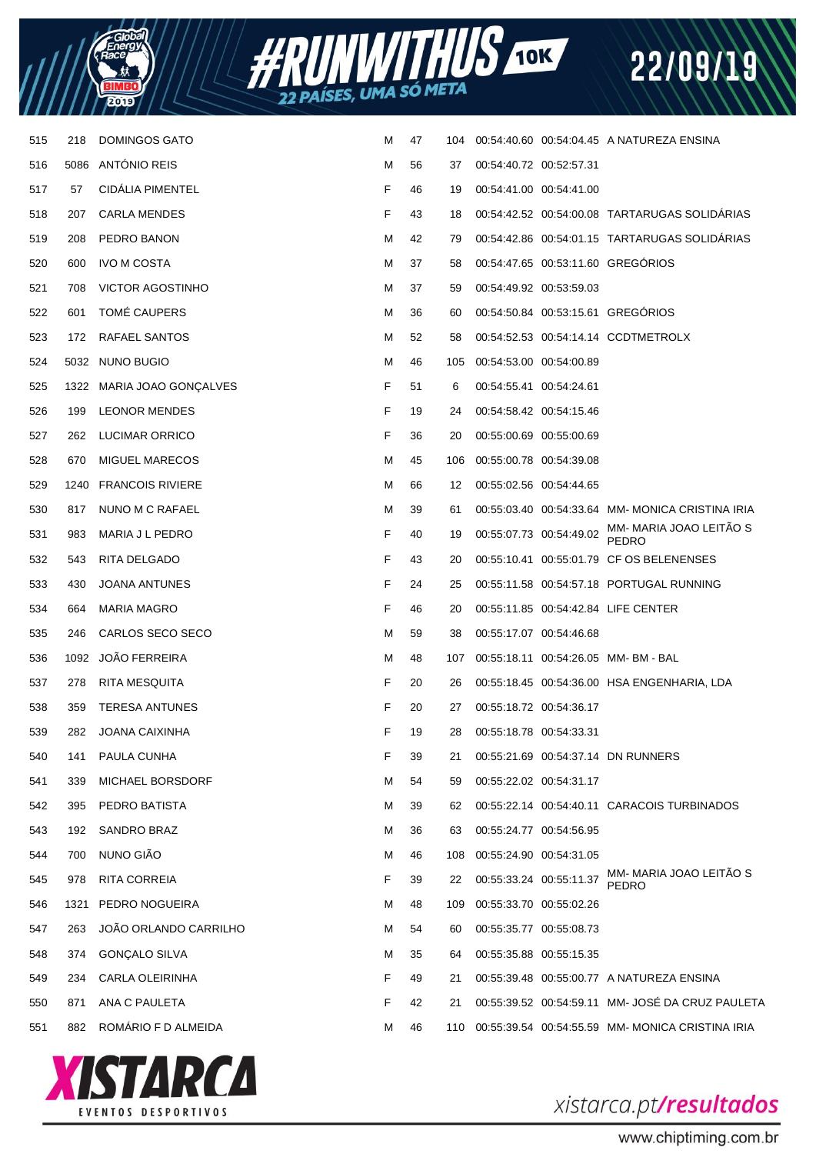



| 515 | 218  | <b>DOMINGOS GATO</b>      | м | 47 | 104 |                         |                         | 00:54:40.60 00:54:04.45 A NATUREZA ENSINA           |
|-----|------|---------------------------|---|----|-----|-------------------------|-------------------------|-----------------------------------------------------|
| 516 |      | 5086 ANTONIO REIS         | M | 56 | 37  | 00:54:40.72 00:52:57.31 |                         |                                                     |
| 517 | 57   | <b>CIDALIA PIMENTEL</b>   | F | 46 | 19  | 00:54:41.00 00:54:41.00 |                         |                                                     |
| 518 | 207  | <b>CARLA MENDES</b>       | F | 43 | 18  |                         |                         | 00:54:42.52 00:54:00.08 TARTARUGAS SOLIDARIAS       |
| 519 | 208  | PEDRO BANON               | M | 42 | 79  |                         |                         | 00:54:42.86 00:54:01.15 TARTARUGAS SOLIDARIAS       |
| 520 | 600  | <b>IVO M COSTA</b>        | м | 37 | 58  |                         |                         | 00:54:47.65 00:53:11.60 GREGORIOS                   |
| 521 | 708  | <b>VICTOR AGOSTINHO</b>   | м | 37 | 59  |                         | 00:54:49.92 00:53:59.03 |                                                     |
| 522 | 601  | TOMÉ CAUPERS              | M | 36 | 60  |                         |                         | 00:54:50.84 00:53:15.61 GREGÓRIOS                   |
| 523 | 172  | RAFAEL SANTOS             | м | 52 | 58  |                         |                         | 00:54:52.53 00:54:14.14 CCDTMETROLX                 |
| 524 |      | 5032 NUNO BUGIO           | M | 46 | 105 | 00:54:53.00 00:54:00.89 |                         |                                                     |
| 525 |      | 1322 MARIA JOAO GONÇALVES | F | 51 | 6   | 00:54:55.41 00:54:24.61 |                         |                                                     |
| 526 | 199  | <b>LEONOR MENDES</b>      | F | 19 | 24  | 00:54:58.42 00:54:15.46 |                         |                                                     |
| 527 | 262  | LUCIMAR ORRICO            | F | 36 | 20  |                         | 00:55:00.69 00:55:00.69 |                                                     |
| 528 | 670  | <b>MIGUEL MARECOS</b>     | M | 45 | 106 | 00:55:00.78 00:54:39.08 |                         |                                                     |
| 529 |      | 1240 FRANCOIS RIVIERE     | M | 66 | 12  | 00:55:02.56 00:54:44.65 |                         |                                                     |
| 530 | 817  | NUNO M C RAFAEL           | M | 39 | 61  |                         |                         | 00:55:03.40 00:54:33.64 MM-MONICA CRISTINA IRIA     |
| 531 | 983  | MARIA J L PEDRO           | F | 40 | 19  | 00:55:07.73 00:54:49.02 |                         | MM- MARIA JOAO LEITÃO S<br><b>PEDRO</b>             |
| 532 | 543  | RITA DELGADO              | F | 43 | 20  |                         |                         | 00:55:10.41 00:55:01.79 CF OS BELENENSES            |
| 533 | 430  | <b>JOANA ANTUNES</b>      | F | 24 | 25  |                         |                         | 00:55:11.58 00:54:57.18 PORTUGAL RUNNING            |
| 534 | 664  | <b>MARIA MAGRO</b>        | F | 46 | 20  |                         |                         | 00:55:11.85 00:54:42.84 LIFE CENTER                 |
| 535 | 246  | CARLOS SECO SECO          | M | 59 | 38  |                         | 00:55:17.07 00:54:46.68 |                                                     |
| 536 |      | 1092 JOÃO FERREIRA        | M | 48 |     |                         |                         | 107  00:55:18.11  00:54:26.05  MM- BM - BAL         |
| 537 | 278  | RITA MESQUITA             | F | 20 | 26  |                         |                         | 00:55:18.45 00:54:36.00 HSA ENGENHARIA, LDA         |
| 538 | 359  | <b>TERESA ANTUNES</b>     | F | 20 | 27  |                         | 00:55:18.72 00:54:36.17 |                                                     |
| 539 | 282  | <b>JOANA CAIXINHA</b>     | F | 19 | 28  | 00:55:18.78 00:54:33.31 |                         |                                                     |
| 540 | 141  | PAULA CUNHA               | F | 39 | 21  |                         |                         | 00:55:21.69 00:54:37.14 DN RUNNERS                  |
| 541 | 339  | <b>MICHAEL BORSDORF</b>   | M | 54 | 59  | 00:55:22.02 00:54:31.17 |                         |                                                     |
| 542 | 395  | PEDRO BATISTA             | M | 39 | 62  |                         |                         | 00:55:22.14 00:54:40.11 CARACOIS TURBINADOS         |
| 543 | 192  | SANDRO BRAZ               | M | 36 | 63  |                         | 00:55:24.77 00:54:56.95 |                                                     |
| 544 | 700  | NUNO GIÃO                 | M | 46 | 108 | 00:55:24.90 00:54:31.05 |                         |                                                     |
| 545 | 978  | RITA CORREIA              | F | 39 | 22  | 00:55:33.24 00:55:11.37 |                         | MM- MARIA JOAO LEITÃO S<br>PEDRO                    |
| 546 | 1321 | PEDRO NOGUEIRA            | M | 48 | 109 | 00:55:33.70 00:55:02.26 |                         |                                                     |
| 547 | 263  | JOÃO ORLANDO CARRILHO     | M | 54 | 60  | 00:55:35.77 00:55:08.73 |                         |                                                     |
| 548 | 374  | <b>GONÇALO SILVA</b>      | м | 35 | 64  |                         | 00:55:35.88 00:55:15.35 |                                                     |
| 549 | 234  | CARLA OLEIRINHA           | F | 49 | 21  |                         |                         | 00:55:39.48 00:55:00.77 A NATUREZA ENSINA           |
| 550 | 871  | ANA C PAULETA             | F | 42 | 21  |                         |                         | 00:55:39.52 00:54:59.11 MM- JOSÉ DA CRUZ PAULETA    |
| 551 | 882  | ROMÁRIO F D ALMEIDA       | M | 46 |     |                         |                         | 110 00:55:39.54 00:54:55.59 MM-MONICA CRISTINA IRIA |



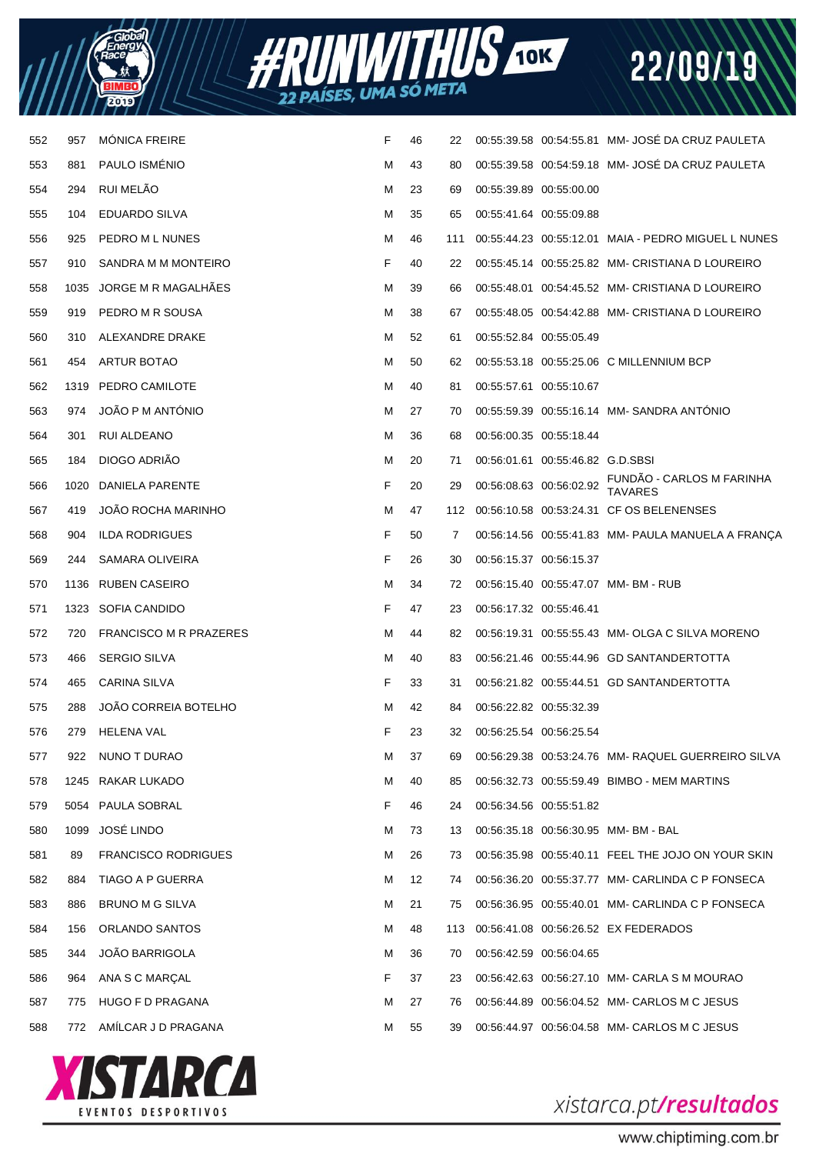| Energy<br>Energy |  |
|------------------|--|
|                  |  |
| ۷                |  |



| 552 | 957  | <b>MONICA FREIRE</b>          | F | 46 | 22  |                         |                                  | 00:55:39.58 00:54:55.81 MM- JOSE DA CRUZ PAULETA    |
|-----|------|-------------------------------|---|----|-----|-------------------------|----------------------------------|-----------------------------------------------------|
| 553 | 881  | PAULO ISMÉNIO                 | M | 43 | 80  |                         |                                  | 00:55:39.58 00:54:59.18 MM- JOSE DA CRUZ PAULETA    |
| 554 | 294  | RUI MELÃO                     | м | 23 | 69  | 00:55:39.89 00:55:00.00 |                                  |                                                     |
| 555 | 104  | <b>EDUARDO SILVA</b>          | M | 35 | 65  | 00:55:41.64 00:55:09.88 |                                  |                                                     |
| 556 | 925  | PEDRO M L NUNES               | м | 46 | 111 |                         |                                  | 00:55:44.23 00:55:12.01 MAIA - PEDRO MIGUEL L NUNES |
| 557 | 910  | SANDRA M M MONTEIRO           | F | 40 | 22  |                         |                                  | 00:55:45.14 00:55:25.82 MM- CRISTIANA D LOUREIRO    |
| 558 |      | 1035 JORGE M R MAGALHAES      | M | 39 | 66  |                         |                                  | 00:55:48.01 00:54:45.52 MM- CRISTIANA D LOUREIRO    |
| 559 | 919  | PEDRO M R SOUSA               | M | 38 | 67  |                         |                                  | 00:55:48.05 00:54:42.88 MM- CRISTIANA D LOUREIRO    |
| 560 | 310  | ALEXANDRE DRAKE               | M | 52 | 61  | 00:55:52.84 00:55:05.49 |                                  |                                                     |
| 561 | 454  | ARTUR BOTAO                   | M | 50 | 62  |                         |                                  | 00:55:53.18 00:55:25.06 C MILLENNIUM BCP            |
| 562 | 1319 | PEDRO CAMILOTE                | M | 40 | 81  | 00:55:57.61 00:55:10.67 |                                  |                                                     |
| 563 | 974  | JOÃO P M ANTÓNIO              | M | 27 | 70  |                         |                                  | 00:55:59.39 00:55:16.14 MM-SANDRA ANTONIO           |
| 564 | 301  | RUI ALDEANO                   | M | 36 | 68  | 00:56:00.35 00:55:18.44 |                                  |                                                     |
| 565 | 184  | DIOGO ADRIÃO                  | M | 20 | 71  |                         | 00:56:01.61 00:55:46.82 G.D.SBSI |                                                     |
| 566 | 1020 | DANIELA PARENTE               | F | 20 | 29  |                         | 00:56:08.63 00:56:02.92          | FUNDÃO - CARLOS M FARINHA<br>TAVARES                |
| 567 | 419  | <b>JOAO ROCHA MARINHO</b>     | M | 47 | 112 |                         |                                  | 00:56:10.58 00:53:24.31 CF OS BELENENSES            |
| 568 | 904  | <b>ILDA RODRIGUES</b>         | F | 50 | 7   |                         |                                  | 00:56:14.56 00:55:41.83 MM- PAULA MANUELA A FRANÇA  |
| 569 | 244  | SAMARA OLIVEIRA               | F | 26 | 30  | 00:56:15.37 00:56:15.37 |                                  |                                                     |
| 570 | 1136 | <b>RUBEN CASEIRO</b>          | M | 34 | 72  |                         |                                  | 00:56:15.40  00:55:47.07  MM- BM - RUB              |
| 571 | 1323 | SOFIA CANDIDO                 | F | 47 | 23  | 00:56:17.32 00:55:46.41 |                                  |                                                     |
| 572 | 720  | <b>FRANCISCO M R PRAZERES</b> | M | 44 | 82  |                         |                                  | 00:56:19.31 00:55:55.43 MM- OLGA C SILVA MORENO     |
| 573 | 466  | <b>SERGIO SILVA</b>           | M | 40 | 83  |                         |                                  | 00:56:21.46 00:55:44.96 GD SANTANDERTOTTA           |
| 574 | 465  | <b>CARINA SILVA</b>           | F | 33 | 31  |                         |                                  | 00:56:21.82 00:55:44.51 GD SANTANDERTOTTA           |
| 575 | 288  | JOÃO CORREIA BOTELHO          | M | 42 | 84  | 00:56:22.82 00:55:32.39 |                                  |                                                     |
| 576 | 279  | <b>HELENA VAL</b>             | F | 23 | 32  | 00:56:25.54 00:56:25.54 |                                  |                                                     |
| 577 | 922  | NUNO T DURAO                  | М | 37 | 69  |                         |                                  | 00:56:29.38 00:53:24.76 MM- RAQUEL GUERREIRO SILVA  |
| 578 | 1245 | RAKAR LUKADO                  | M | 40 | 85  |                         |                                  | 00:56:32.73 00:55:59.49 BIMBO - MEM MARTINS         |
| 579 | 5054 | PAULA SOBRAL                  | F | 46 | 24  | 00:56:34.56 00:55:51.82 |                                  |                                                     |
| 580 | 1099 | JOSÉ LINDO                    | M | 73 | 13  |                         |                                  | 00:56:35.18 00:56:30.95 MM-BM-BAL                   |
| 581 | 89   | <b>FRANCISCO RODRIGUES</b>    | м | 26 | 73  |                         |                                  | 00:56:35.98 00:55:40.11 FEEL THE JOJO ON YOUR SKIN  |
| 582 | 884  | TIAGO A P GUERRA              | M | 12 | 74  |                         |                                  | 00:56:36.20 00:55:37.77 MM- CARLINDA C P FONSECA    |
| 583 | 886  | <b>BRUNO M G SILVA</b>        | м | 21 | 75  |                         |                                  | 00:56:36.95 00:55:40.01 MM- CARLINDA C P FONSECA    |
| 584 | 156  | ORLANDO SANTOS                | м | 48 | 113 |                         |                                  | 00:56:41.08 00:56:26.52 EX FEDERADOS                |
| 585 | 344  | <b>JOÃO BARRIGOLA</b>         | M | 36 | 70  | 00:56:42.59 00:56:04.65 |                                  |                                                     |
| 586 | 964  | ANA S C MARCAL                | F | 37 | 23  |                         |                                  | 00:56:42.63 00:56:27.10 MM- CARLA S M MOURAO        |
| 587 | 775  | HUGO F D PRAGANA              | м | 27 | 76  |                         |                                  | 00:56:44.89 00:56:04.52 MM- CARLOS M C JESUS        |
| 588 | 772  | AMÍLCAR J D PRAGANA           | м | 55 | 39  |                         |                                  | 00:56:44.97 00:56:04.58 MM- CARLOS M C JESUS        |
|     |      |                               |   |    |     |                         |                                  |                                                     |



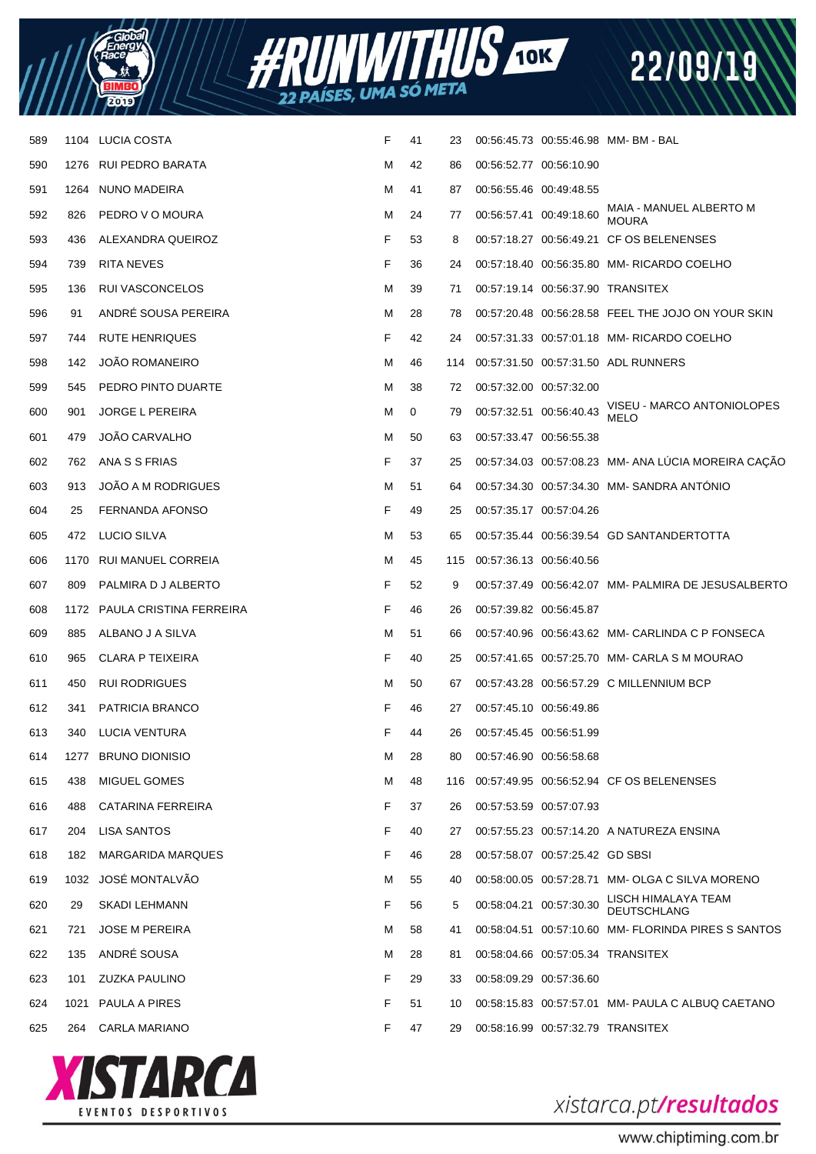



| 589 |      | 1104 LUCIA COSTA             | F | 41 | 23  |                         |                                 | 00:56:45.73 00:55:46.98 MM-BM-BAL                   |
|-----|------|------------------------------|---|----|-----|-------------------------|---------------------------------|-----------------------------------------------------|
| 590 |      | 1276 RUI PEDRO BARATA        | М | 42 | 86  | 00:56:52.77 00:56:10.90 |                                 |                                                     |
| 591 |      | 1264 NUNO MADEIRA            | м | 41 | 87  | 00:56:55.46 00:49:48.55 |                                 |                                                     |
| 592 | 826  | PEDRO V O MOURA              | М | 24 | 77  | 00:56:57.41 00:49:18.60 |                                 | MAIA - MANUEL ALBERTO M<br><b>MOURA</b>             |
| 593 | 436  | ALEXANDRA QUEIROZ            | F | 53 | 8   |                         |                                 | 00:57:18.27 00:56:49.21 CF OS BELENENSES            |
| 594 | 739  | RITA NEVES                   | F | 36 | 24  |                         |                                 | 00:57:18.40 00:56:35.80 MM- RICARDO COELHO          |
| 595 | 136  | RUI VASCONCELOS              | М | 39 | 71  |                         |                                 | 00:57:19.14 00:56:37.90 TRANSITEX                   |
| 596 | 91   | ANDRÉ SOUSA PEREIRA          | М | 28 | 78  |                         |                                 | 00:57:20.48 00:56:28.58 FEEL THE JOJO ON YOUR SKIN  |
| 597 | 744  | RUTE HENRIQUES               | F | 42 | 24  |                         |                                 | 00:57:31.33 00:57:01.18 MM- RICARDO COELHO          |
| 598 | 142  | <b>JOAO ROMANEIRO</b>        | М | 46 | 114 |                         |                                 | 00:57:31.50 00:57:31.50 ADL RUNNERS                 |
| 599 | 545  | PEDRO PINTO DUARTE           | м | 38 | 72  | 00:57:32.00 00:57:32.00 |                                 |                                                     |
| 600 | 901  | <b>JORGE L PEREIRA</b>       | М | 0  | 79  | 00:57:32.51 00:56:40.43 |                                 | VISEU - MARCO ANTONIOLOPES<br><b>MELO</b>           |
| 601 | 479  | JOÃO CARVALHO                | м | 50 | 63  | 00:57:33.47 00:56:55.38 |                                 |                                                     |
| 602 | 762  | ANA S S FRIAS                | F | 37 | 25  |                         |                                 | 00:57:34.03 00:57:08.23 MM- ANA LÚCIA MOREIRA CAÇÃO |
| 603 | 913  | <b>JOAO A M RODRIGUES</b>    | М | 51 | 64  |                         |                                 | 00:57:34.30 00:57:34.30 MM-SANDRA ANTONIO           |
| 604 | 25   | FERNANDA AFONSO              | F | 49 | 25  | 00:57:35.17 00:57:04.26 |                                 |                                                     |
| 605 | 472  | LUCIO SILVA                  | М | 53 | 65  |                         |                                 | 00:57:35.44 00:56:39.54 GD SANTANDERTOTTA           |
| 606 |      | 1170 RUI MANUEL CORREIA      | М | 45 | 115 | 00:57:36.13 00:56:40.56 |                                 |                                                     |
| 607 | 809  | PALMIRA D J ALBERTO          | F | 52 | 9   |                         |                                 | 00:57:37.49 00:56:42.07 MM- PALMIRA DE JESUSALBERTO |
| 608 |      | 1172 PAULA CRISTINA FERREIRA | F | 46 | 26  | 00:57:39.82 00:56:45.87 |                                 |                                                     |
| 609 | 885  | ALBANO J A SILVA             | М | 51 | 66  |                         |                                 | 00:57:40.96 00:56:43.62 MM- CARLINDA C P FONSECA    |
| 610 | 965  | CLARA P TEIXEIRA             | F | 40 | 25  |                         |                                 | 00:57:41.65 00:57:25.70 MM- CARLA S M MOURAO        |
| 611 | 450  | <b>RUI RODRIGUES</b>         | M | 50 | 67  |                         |                                 | 00:57:43.28 00:56:57.29 C MILLENNIUM BCP            |
| 612 | 341  | PATRICIA BRANCO              | F | 46 | 27  | 00:57:45.10 00:56:49.86 |                                 |                                                     |
| 613 | 340  | LUCIA VENTURA                | F | 44 | 26  | 00:57:45.45 00:56:51.99 |                                 |                                                     |
| 614 | 1277 | <b>BRUNO DIONISIO</b>        | М | 28 | 80  | 00:57:46.90 00:56:58.68 |                                 |                                                     |
| 615 | 438  | MIGUEL GOMES                 | М | 48 | 116 |                         |                                 | 00:57:49.95 00:56:52.94 CF OS BELENENSES            |
| 616 | 488  | CATARINA FERREIRA            | F | 37 | 26  | 00:57:53.59 00:57:07.93 |                                 |                                                     |
| 617 | 204  | LISA SANTOS                  | F | 40 | 27  |                         |                                 | 00:57:55.23 00:57:14.20 A NATUREZA ENSINA           |
| 618 | 182  | <b>MARGARIDA MARQUES</b>     | F | 46 | 28  |                         | 00:57:58.07 00:57:25.42 GD SBSI |                                                     |
| 619 |      | 1032 JOSÉ MONTALVÃO          | М | 55 | 40  |                         |                                 | 00:58:00.05 00:57:28.71 MM- OLGA C SILVA MORENO     |
| 620 | 29   | <b>SKADI LEHMANN</b>         | F | 56 | 5   | 00:58:04.21 00:57:30.30 |                                 | LISCH HIMALAYA TEAM<br><b>DEUTSCHLANG</b>           |
| 621 | 721  | <b>JOSE M PEREIRA</b>        | М | 58 | 41  |                         |                                 | 00:58:04.51 00:57:10.60 MM- FLORINDA PIRES S SANTOS |
| 622 | 135  | ANDRÉ SOUSA                  | M | 28 | 81  |                         |                                 | 00:58:04.66 00:57:05.34 TRANSITEX                   |
| 623 | 101  | <b>ZUZKA PAULINO</b>         | F | 29 | 33  | 00:58:09.29 00:57:36.60 |                                 |                                                     |
| 624 | 1021 | PAULA A PIRES                | F | 51 | 10  |                         |                                 | 00:58:15.83 00:57:57.01 MM- PAULA C ALBUQ CAETANO   |
| 625 | 264  | <b>CARLA MARIANO</b>         | F | 47 | 29  |                         |                                 | 00:58:16.99 00:57:32.79 TRANSITEX                   |
|     |      |                              |   |    |     |                         |                                 |                                                     |



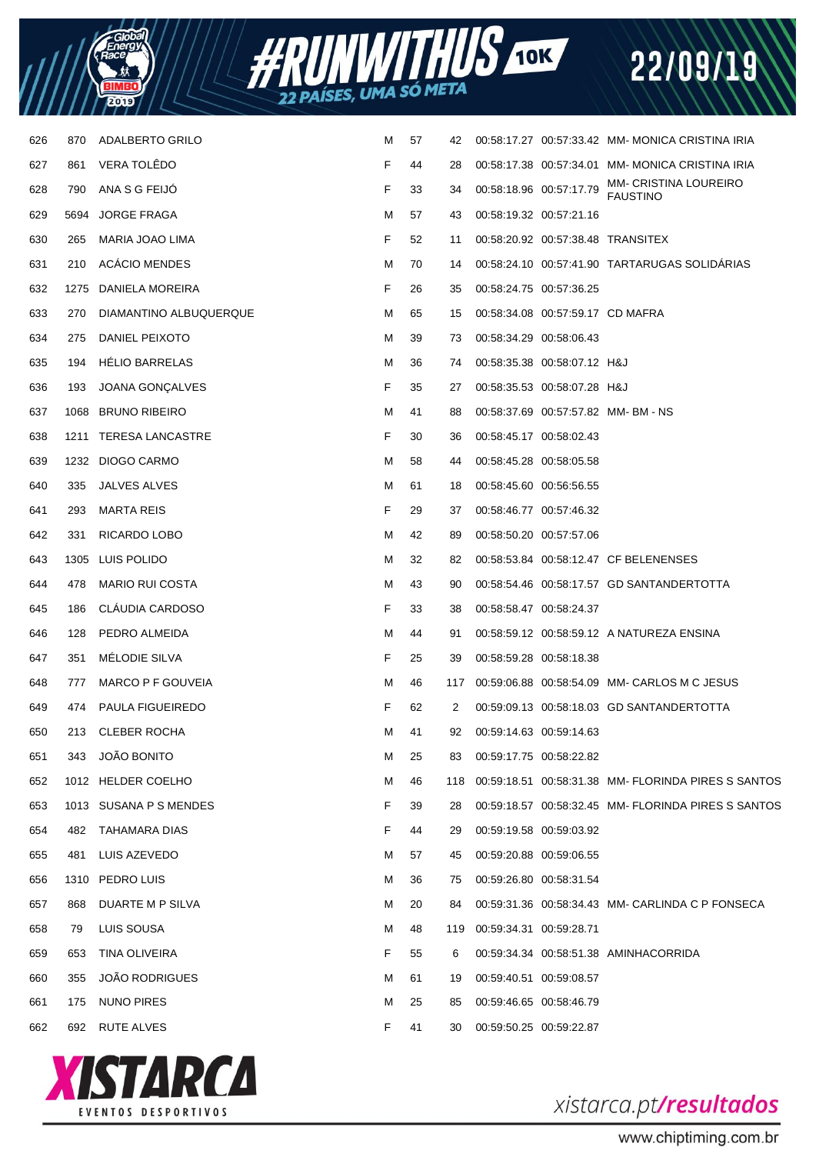



| 626 | 870  | ADALBERTO GRILO         | м | 57 | 42  |                             |                                  | 00:58:17.27 00:57:33.42 MM-MONICA CRISTINA IRIA     |
|-----|------|-------------------------|---|----|-----|-----------------------------|----------------------------------|-----------------------------------------------------|
| 627 | 861  | <b>VERA TOLEDO</b>      | F | 44 | 28  |                             |                                  | 00:58:17.38 00:57:34.01 MM-MONICA CRISTINA IRIA     |
| 628 | 790  | ANA S G FEIJO           | F | 33 | 34  | 00:58:18.96 00:57:17.79     |                                  | <b>MM- CRISTINA LOUREIRO</b><br><b>FAUSTINO</b>     |
| 629 | 5694 | <b>JORGE FRAGA</b>      | м | 57 | 43  | 00:58:19.32 00:57:21.16     |                                  |                                                     |
| 630 | 265  | MARIA JOAO LIMA         | F | 52 | 11  |                             |                                  | 00:58:20.92 00:57:38.48 TRANSITEX                   |
| 631 | 210  | <b>ACACIO MENDES</b>    | м | 70 | 14  |                             |                                  | 00:58:24.10 00:57:41.90 TARTARUGAS SOLIDARIAS       |
| 632 |      | 1275 DANIELA MOREIRA    | F | 26 | 35  | 00:58:24.75 00:57:36.25     |                                  |                                                     |
| 633 | 270  | DIAMANTINO ALBUQUERQUE  | м | 65 | 15  |                             | 00:58:34.08 00:57:59.17 CD MAFRA |                                                     |
| 634 | 275  | DANIEL PEIXOTO          | м | 39 | 73  | 00:58:34.29 00:58:06.43     |                                  |                                                     |
| 635 | 194  | <b>HELIO BARRELAS</b>   | м | 36 | 74  |                             | 00:58:35.38 00:58:07.12 H&J      |                                                     |
| 636 | 193  | JOANA GONÇALVES         | F | 35 | 27  |                             | 00:58:35.53 00:58:07.28 H&J      |                                                     |
| 637 |      | 1068 BRUNO RIBEIRO      | м | 41 | 88  |                             |                                  | 00:58:37.69  00:57:57.82  MM-BM-NS                  |
| 638 |      | 1211 TERESA LANCASTRE   | F | 30 | 36  | 00:58:45.17 00:58:02.43     |                                  |                                                     |
| 639 |      | 1232 DIOGO CARMO        | м | 58 | 44  | 00:58:45.28 00:58:05.58     |                                  |                                                     |
| 640 | 335  | JALVES ALVES            | м | 61 | 18  | 00:58:45.60 00:56:56.55     |                                  |                                                     |
| 641 | 293  | <b>MARTA REIS</b>       | F | 29 | 37  | 00:58:46.77 00:57:46.32     |                                  |                                                     |
| 642 | 331  | RICARDO LOBO            | м | 42 | 89  | 00:58:50.20 00:57:57.06     |                                  |                                                     |
| 643 |      | 1305 LUIS POLIDO        | M | 32 | 82  |                             |                                  | 00:58:53.84 00:58:12.47 CF BELENENSES               |
| 644 | 478  | <b>MARIO RUI COSTA</b>  | м | 43 | 90  |                             |                                  | 00:58:54.46 00:58:17.57 GD SANTANDERTOTTA           |
| 645 | 186  | CLAUDIA CARDOSO         | F | 33 | 38  | 00:58:58.47 00:58:24.37     |                                  |                                                     |
| 646 | 128  | PEDRO ALMEIDA           | м | 44 | 91  |                             |                                  | 00:58:59.12 00:58:59.12 A NATUREZA ENSINA           |
| 647 | 351  | <b>MELODIE SILVA</b>    | F | 25 | 39  | 00:58:59.28 00:58:18.38     |                                  |                                                     |
| 648 | 777  | MARCO P F GOUVEIA       | м | 46 | 117 |                             |                                  | 00:59:06.88 00:58:54.09 MM- CARLOS M C JESUS        |
| 649 | 474  | <b>PAULA FIGUEIREDO</b> | F | 62 | 2   |                             |                                  | 00:59:09.13 00:58:18.03 GD SANTANDERTOTTA           |
| 650 | 213  | <b>CLEBER ROCHA</b>     | M | 41 | 92  | 00:59:14.63 00:59:14.63     |                                  |                                                     |
| 651 | 343  | <b>JOÃO BONITO</b>      | м | 25 | 83  | 00:59:17.75 00:58:22.82     |                                  |                                                     |
| 652 |      | 1012 HELDER COELHO      | м | 46 | 118 |                             |                                  |                                                     |
| 653 |      | 1013 SUSANA P S MENDES  | F | 39 | 28  |                             |                                  | 00:59:18.57 00:58:32.45 MM- FLORINDA PIRES S SANTOS |
| 654 | 482  | TAHAMARA DIAS           | F | 44 | 29  | 00:59:19.58 00:59:03.92     |                                  |                                                     |
| 655 | 481  | LUIS AZEVEDO            | м | 57 | 45  | 00:59:20.88 00:59:06.55     |                                  |                                                     |
| 656 |      | 1310 PEDRO LUIS         | м | 36 | 75  | 00:59:26.80 00:58:31.54     |                                  |                                                     |
| 657 | 868  | DUARTE M P SILVA        | м | 20 | 84  |                             |                                  | 00:59:31.36 00:58:34.43 MM- CARLINDA C P FONSECA    |
| 658 | 79   | LUIS SOUSA              | м | 48 |     | 119 00:59:34.31 00:59:28.71 |                                  |                                                     |
| 659 | 653  | TINA OLIVEIRA           | F | 55 | 6   |                             |                                  | 00:59:34.34 00:58:51.38 AMINHACORRIDA               |
| 660 | 355  | <b>JOÃO RODRIGUES</b>   | м | 61 | 19  | 00:59:40.51 00:59:08.57     |                                  |                                                     |
| 661 | 175  | <b>NUNO PIRES</b>       | м | 25 | 85  | 00:59:46.65 00:58:46.79     |                                  |                                                     |
| 662 | 692  | <b>RUTE ALVES</b>       | F | 41 | 30  | 00:59:50.25 00:59:22.87     |                                  |                                                     |
|     |      |                         |   |    |     |                             |                                  |                                                     |



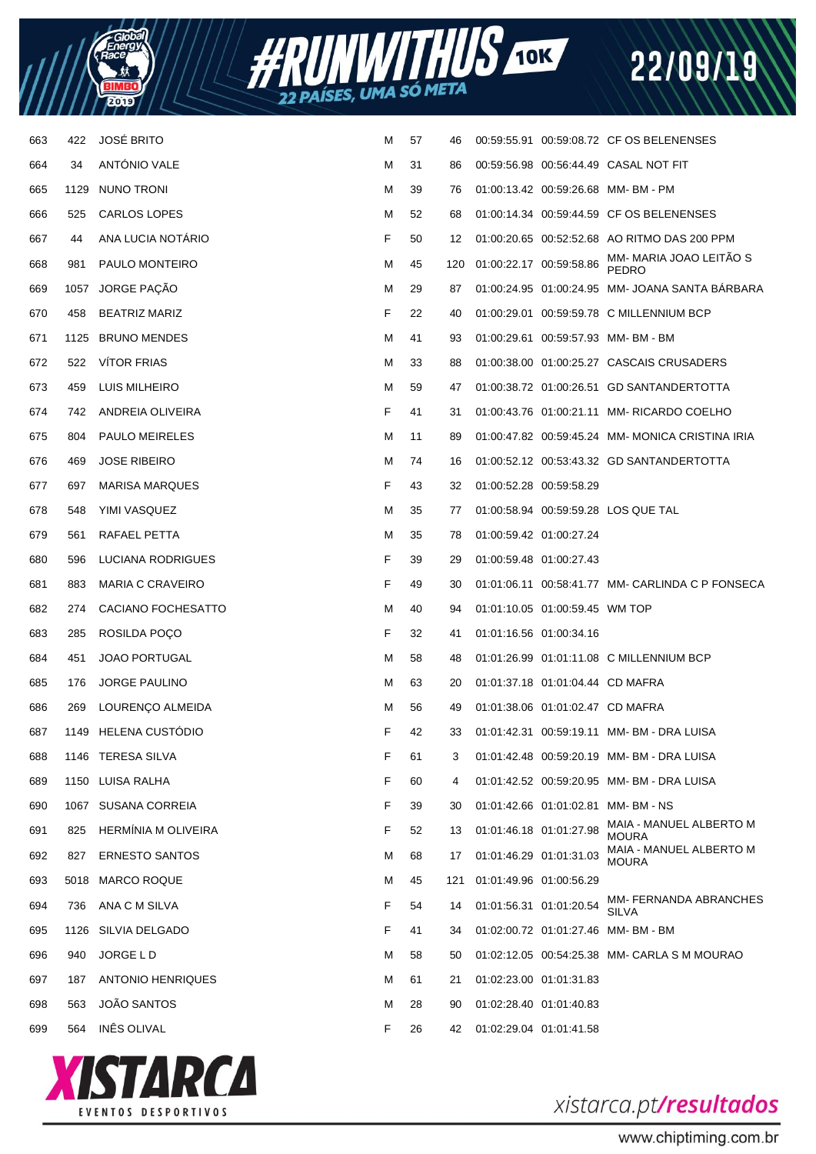

| 663 | 422  | <b>JOSÉ BRITO</b>          | М | 57 | 46  |                             |                                  | 00:59:55.91 00:59:08.72 CF OS BELENENSES          |
|-----|------|----------------------------|---|----|-----|-----------------------------|----------------------------------|---------------------------------------------------|
| 664 | 34   | ANTÓNIO VALE               | М | 31 | 86  |                             |                                  | 00:59:56.98 00:56:44.49 CASAL NOT FIT             |
| 665 |      | 1129 NUNO TRONI            | М | 39 | 76  |                             |                                  | 01:00:13.42 00:59:26.68 MM-BM-PM                  |
| 666 | 525  | CARLOS LOPES               | М | 52 | 68  |                             |                                  | 01:00:14.34 00:59:44.59 CF OS BELENENSES          |
| 667 | 44   | ANA LUCIA NOTÁRIO          | F | 50 | 12  |                             |                                  | 01:00:20.65 00:52:52.68 AO RITMO DAS 200 PPM      |
| 668 | 981  | PAULO MONTEIRO             | М | 45 |     | 120 01:00:22.17 00:59:58.86 |                                  | MM- MARIA JOAO LEITÃO S<br>PEDRO                  |
| 669 |      | 1057 JORGE PAÇÃO           | М | 29 | 87  |                             |                                  | 01:00:24.95  01:00:24.95  MM- JOANA SANTA BARBARA |
| 670 | 458  | <b>BEATRIZ MARIZ</b>       | F | 22 | 40  |                             |                                  | 01:00:29.01 00:59:59.78 C MILLENNIUM BCP          |
| 671 |      | 1125 BRUNO MENDES          | М | 41 | 93  |                             |                                  | 01:00:29.61 00:59:57.93 MM-BM-BM                  |
| 672 | 522  | <b>VITOR FRIAS</b>         | М | 33 | 88  |                             |                                  | 01:00:38.00 01:00:25.27 CASCAIS CRUSADERS         |
| 673 | 459  | LUIS MILHEIRO              | М | 59 | 47  |                             |                                  | 01:00:38.72  01:00:26.51  GD SANTANDERTOTTA       |
| 674 | 742. | ANDREIA OLIVEIRA           | F | 41 | 31  |                             |                                  | 01:00:43.76 01:00:21.11 MM- RICARDO COELHO        |
| 675 | 804  | PAULO MEIRELES             | М | 11 | 89  |                             |                                  | 01:00:47.82 00:59:45.24 MM-MONICA CRISTINA IRIA   |
| 676 | 469  | <b>JOSE RIBEIRO</b>        | М | 74 | 16  |                             |                                  | 01:00:52.12 00:53:43.32 GD SANTANDERTOTTA         |
| 677 | 697  | <b>MARISA MARQUES</b>      | F | 43 | 32  | 01:00:52.28 00:59:58.29     |                                  |                                                   |
| 678 | 548  | YIMI VASQUEZ               | М | 35 | 77  |                             |                                  | 01:00:58.94 00:59:59.28 LOS QUE TAL               |
| 679 | 561  | RAFAEL PETTA               | М | 35 | 78  | 01:00:59.42 01:00:27.24     |                                  |                                                   |
| 680 | 596  | LUCIANA RODRIGUES          | F | 39 | 29  | 01:00:59.48 01:00:27.43     |                                  |                                                   |
| 681 | 883  | <b>MARIA C CRAVEIRO</b>    | F | 49 | 30  |                             |                                  | 01:01:06.11 00:58:41.77 MM- CARLINDA C P FONSECA  |
| 682 | 274  | CACIANO FOCHESATTO         | М | 40 | 94  |                             | 01:01:10.05  01:00:59.45  WM TOP |                                                   |
| 683 | 285  | ROSILDA POÇO               | F | 32 | 41  | 01:01:16.56 01:00:34.16     |                                  |                                                   |
| 684 | 451  | <b>JOAO PORTUGAL</b>       | М | 58 | 48  |                             |                                  | 01:01:26.99  01:01:11.08  C MILLENNIUM BCP        |
| 685 | 176  | <b>JORGE PAULINO</b>       | М | 63 | 20  |                             | 01:01:37.18 01:01:04.44 CD MAFRA |                                                   |
| 686 | 269  | LOURENÇO ALMEIDA           | М | 56 | 49  |                             | 01:01:38.06 01:01:02.47 CD MAFRA |                                                   |
| 687 |      | 1149 HELENA CUSTÓDIO       | F | 42 | 33  |                             |                                  | 01:01:42.31 00:59:19.11 MM-BM-DRA LUISA           |
| 688 |      | 1146 TERESA SILVA          | F | 61 |     |                             |                                  | 01:01:42.48 00:59:20.19 MM-BM-DRA LUISA           |
| 689 |      | 1150 LUISA RALHA           | F | 60 | 4   |                             |                                  | 01:01:42.52 00:59:20.95 MM-BM-DRA LUISA           |
| 690 |      | 1067 SUSANA CORREIA        | F | 39 | 30  |                             |                                  | 01:01:42.66  01:01:02.81  MM- BM - NS             |
| 691 | 825  | <b>HERMINIA M OLIVEIRA</b> | F | 52 | 13  | 01:01:46.18 01:01:27.98     |                                  | MAIA - MANUEL ALBERTO M<br><b>MOURA</b>           |
| 692 | 827  | <b>ERNESTO SANTOS</b>      | М | 68 | 17  | 01:01:46.29 01:01:31.03     |                                  | MAIA - MANUEL ALBERTO M<br><b>MOURA</b>           |
| 693 | 5018 | <b>MARCO ROQUE</b>         | M | 45 | 121 | 01:01:49.96 01:00:56.29     |                                  |                                                   |
| 694 | 736  | ANA C M SILVA              | F | 54 | 14  | 01:01:56.31 01:01:20.54     |                                  | MM- FERNANDA ABRANCHES<br><b>SILVA</b>            |
| 695 | 1126 | SILVIA DELGADO             | F | 41 | 34  |                             |                                  | 01:02:00.72  01:01:27.46  MM- BM - BM             |
| 696 | 940  | JORGE L D                  | М | 58 | 50  |                             |                                  | 01:02:12.05 00:54:25.38 MM- CARLA S M MOURAO      |
| 697 | 187  | <b>ANTONIO HENRIQUES</b>   | M | 61 | 21  | 01:02:23.00 01:01:31.83     |                                  |                                                   |
| 698 | 563  | <b>JOÃO SANTOS</b>         | M | 28 | 90  | 01:02:28.40 01:01:40.83     |                                  |                                                   |
| 699 | 564  | INÊS OLIVAL                | F | 26 | 42  | 01:02:29.04 01:01:41.58     |                                  |                                                   |



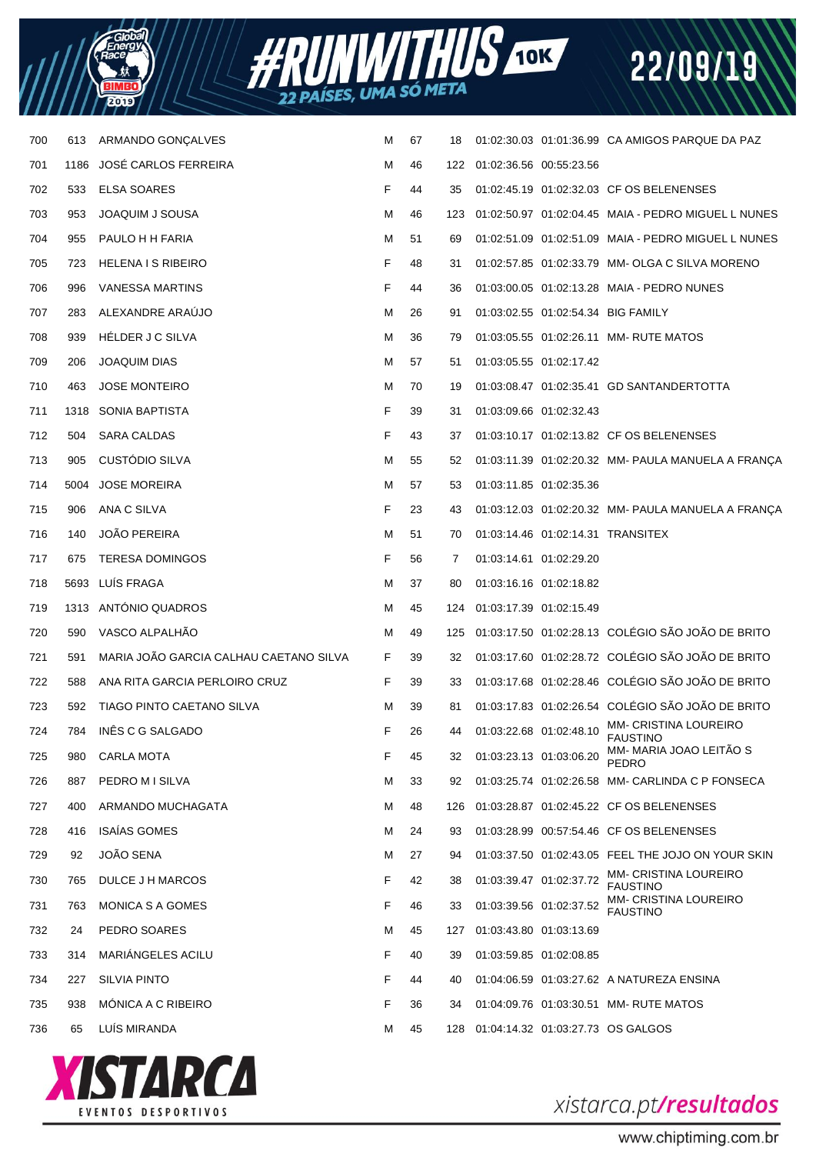



| 700 | 613  | ARMANDO GONÇALVES                      | м | 67 | 18  |                         |                         | 01:02:30.03  01:01:36.99  CA  AMIGOS PARQUE DA  PAZ   |
|-----|------|----------------------------------------|---|----|-----|-------------------------|-------------------------|-------------------------------------------------------|
| 701 | 1186 | JOSÉ CARLOS FERREIRA                   | M | 46 | 122 | 01:02:36.56 00:55:23.56 |                         |                                                       |
| 702 | 533  | ELSA SOARES                            | F | 44 | 35  |                         |                         | 01:02:45.19 01:02:32.03 CF OS BELENENSES              |
| 703 | 953  | JOAQUIM J SOUSA                        | M | 46 | 123 |                         |                         | 01:02:50.97  01:02:04.45  MAIA - PEDRO MIGUEL L NUNES |
| 704 | 955  | PAULO H H FARIA                        | M | 51 | 69  |                         |                         | 01:02:51.09  01:02:51.09  MAIA - PEDRO MIGUEL L NUNES |
| 705 | 723  | <b>HELENA I S RIBEIRO</b>              | F | 48 | 31  |                         |                         | 01:02:57.85  01:02:33.79  MM- OLGA C SILVA MORENO     |
| 706 | 996  | VANESSA MARTINS                        | F | 44 | 36  |                         |                         | 01:03:00.05  01:02:13.28  MAIA - PEDRO NUNES          |
| 707 | 283  | ALEXANDRE ARAÚJO                       | M | 26 | 91  |                         |                         | 01:03:02.55 01:02:54.34 BIG FAMILY                    |
| 708 | 939  | HÉLDER J C SILVA                       | M | 36 | 79  |                         |                         | 01:03:05.55  01:02:26.11  MM- RUTE MATOS              |
| 709 | 206  | <b>JOAQUIM DIAS</b>                    | M | 57 | 51  |                         | 01:03:05.55 01:02:17.42 |                                                       |
| 710 | 463  | <b>JOSE MONTEIRO</b>                   | M | 70 | 19  |                         |                         | 01:03:08.47  01:02:35.41  GD SANTANDERTOTTA           |
| 711 | 1318 | SONIA BAPTISTA                         | F | 39 | 31  |                         | 01:03:09.66 01:02:32.43 |                                                       |
| 712 | 504  | <b>SARA CALDAS</b>                     | F | 43 | 37  |                         |                         | 01:03:10.17 01:02:13.82 CF OS BELENENSES              |
| 713 | 905  | CUSTÓDIO SILVA                         | M | 55 | 52  |                         |                         | 01:03:11.39  01:02:20.32  MM-  PAULA MANUELA A FRANÇA |
| 714 | 5004 | <b>JOSE MOREIRA</b>                    | M | 57 | 53  |                         | 01:03:11.85 01:02:35.36 |                                                       |
| 715 | 906  | ANA C SILVA                            | F | 23 | 43  |                         |                         | 01:03:12.03  01:02:20.32  MM-  PAULA MANUELA A FRANÇA |
| 716 | 140  | <b>JOÃO PEREIRA</b>                    | M | 51 | 70  |                         |                         | 01:03:14.46  01:02:14.31  TRANSITEX                   |
| 717 | 675  | <b>TERESA DOMINGOS</b>                 | F | 56 | 7   | 01:03:14.61 01:02:29.20 |                         |                                                       |
| 718 |      | 5693 LUÍS FRAGA                        | M | 37 | 80  | 01:03:16.16 01:02:18.82 |                         |                                                       |
| 719 | 1313 | ANTÓNIO QUADROS                        | M | 45 | 124 | 01:03:17.39 01:02:15.49 |                         |                                                       |
| 720 | 590  | VASCO ALPALHÃO                         | M | 49 | 125 |                         |                         | 01:03:17.50 01:02:28.13 COLÉGIO SÃO JOÃO DE BRITO     |
| 721 | 591  | MARIA JOÃO GARCIA CALHAU CAETANO SILVA | F | 39 | 32  |                         |                         | 01:03:17.60 01:02:28.72 COLÉGIO SÃO JOÃO DE BRITO     |
| 722 | 588  | ANA RITA GARCIA PERLOIRO CRUZ          | F | 39 | 33  |                         |                         | 01:03:17.68 01:02:28.46 COLÉGIO SÃO JOÃO DE BRITO     |
| 723 | 592  | TIAGO PINTO CAETANO SILVA              | M | 39 | 81  |                         |                         | 01:03:17.83 01:02:26.54 COLÉGIO SÃO JOÃO DE BRITO     |
| 724 | 784  | INÊS C G SALGADO                       | F | 26 | 44  | 01:03:22.68 01:02:48.10 |                         | MM- CRISTINA LOUREIRO<br><b>FAUSTINO</b>              |
| 725 | 980  | <b>CARLA MOTA</b>                      | F | 45 | 32  |                         | 01:03:23.13 01:03:06.20 | MM- MARIA JOAO LEITÃO S<br><b>PEDRO</b>               |
| 726 | 887  | PEDRO M I SILVA                        | M | 33 | 92  |                         |                         | 01:03:25.74 01:02:26.58 MM- CARLINDA C P FONSECA      |
| 727 | 400  | ARMANDO MUCHAGATA                      | M | 48 | 126 |                         |                         | 01:03:28.87 01:02:45.22 CF OS BELENENSES              |
| 728 | 416  | <b>ISAÍAS GOMES</b>                    | M | 24 | 93  |                         |                         | 01:03:28.99 00:57:54.46 CF OS BELENENSES              |
| 729 | 92   | JOÃO SENA                              | M | 27 | 94  |                         |                         | 01:03:37.50 01:02:43.05 FEEL THE JOJO ON YOUR SKIN    |
| 730 | 765  | DULCE J H MARCOS                       | F | 42 | 38  |                         | 01:03:39.47 01:02:37.72 | <b>MM- CRISTINA LOUREIRO</b><br><b>FAUSTINO</b>       |
| 731 | 763  | MONICA S A GOMES                       | F | 46 | 33  | 01:03:39.56 01:02:37.52 |                         | <b>MM- CRISTINA LOUREIRO</b><br><b>FAUSTINO</b>       |
| 732 | 24   | PEDRO SOARES                           | M | 45 | 127 | 01:03:43.80 01:03:13.69 |                         |                                                       |
| 733 | 314  | MARIÁNGELES ACILU                      | F | 40 | 39  | 01:03:59.85 01:02:08.85 |                         |                                                       |
| 734 | 227  | <b>SILVIA PINTO</b>                    | F | 44 | 40  |                         |                         | 01:04:06.59  01:03:27.62  A NATUREZA ENSINA           |
| 735 | 938  | MÓNICA A C RIBEIRO                     | F | 36 | 34  |                         |                         | 01:04:09.76  01:03:30.51  MM- RUTE MATOS              |
| 736 | 65   | LUÍS MIRANDA                           | M | 45 | 128 |                         |                         | 01:04:14.32 01:03:27.73 OS GALGOS                     |
|     |      |                                        |   |    |     |                         |                         |                                                       |



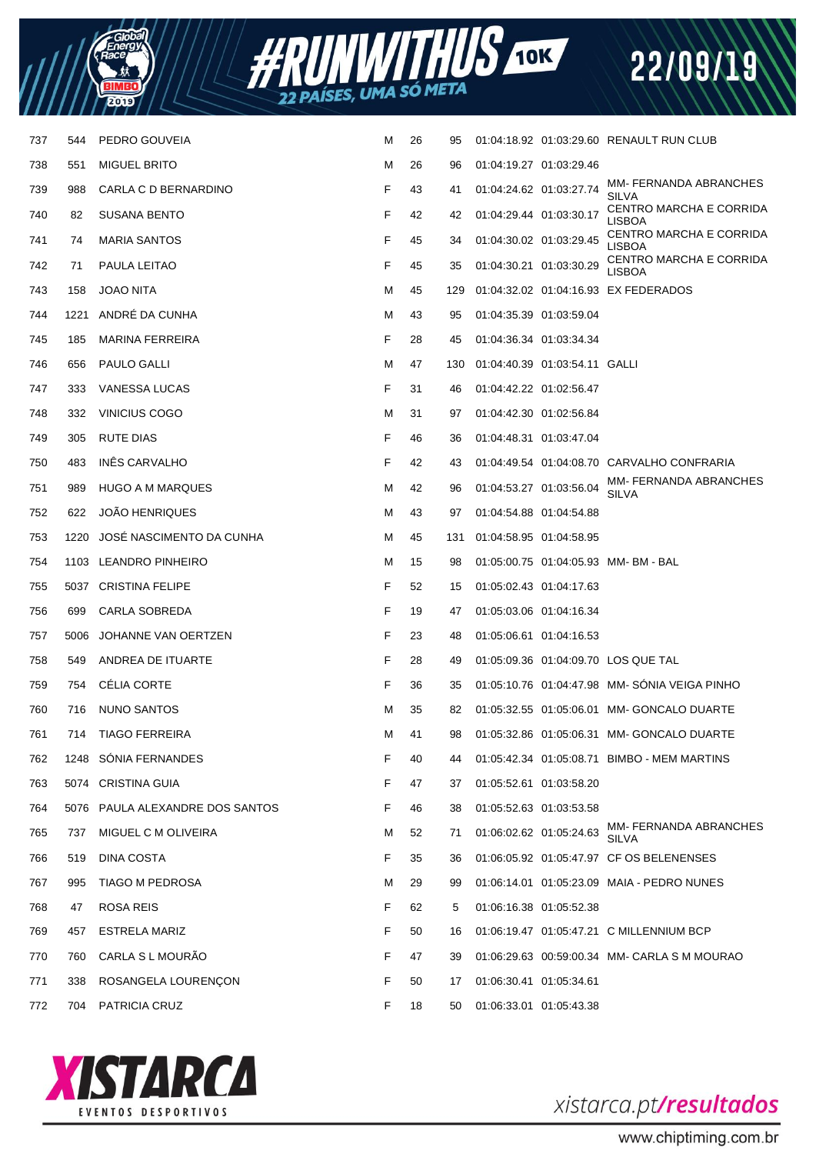



| 737 | 544  | PEDRO GOUVEIA                   | Μ  | 26 | 95  |                         |                                 | 01:04:18.92  01:03:29.60  RENAULT RUN CLUB    |
|-----|------|---------------------------------|----|----|-----|-------------------------|---------------------------------|-----------------------------------------------|
| 738 | 551  | <b>MIGUEL BRITO</b>             | М  | 26 | 96  | 01:04:19.27 01:03:29.46 |                                 |                                               |
| 739 | 988  | CARLA C D BERNARDINO            | F  | 43 | 41  | 01:04:24.62 01:03:27.74 |                                 | MM- FERNANDA ABRANCHES<br><b>SILVA</b>        |
| 740 | 82   | SUSANA BENTO                    | F  | 42 | 42  | 01:04:29.44 01:03:30.17 |                                 | CENTRO MARCHA E CORRIDA<br><b>LISBOA</b>      |
| 741 | 74   | <b>MARIA SANTOS</b>             | F  | 45 | 34  | 01:04:30.02 01:03:29.45 |                                 | CENTRO MARCHA E CORRIDA<br><b>LISBOA</b>      |
| 742 | 71   | PAULA LEITAO                    | F  | 45 | 35  | 01:04:30.21 01:03:30.29 |                                 | CENTRO MARCHA E CORRIDA<br><b>LISBOA</b>      |
| 743 | 158  | <b>JOAO NITA</b>                | М  | 45 | 129 |                         |                                 | 01:04:32.02  01:04:16.93  EX FEDERADOS        |
| 744 | 1221 | ANDRÉ DA CUNHA                  | М  | 43 | 95  | 01:04:35.39 01:03:59.04 |                                 |                                               |
| 745 | 185  | <b>MARINA FERREIRA</b>          | F  | 28 | 45  | 01:04:36.34 01:03:34.34 |                                 |                                               |
| 746 | 656  | PAULO GALLI                     | М  | 47 | 130 |                         | 01:04:40.39  01:03:54.11  GALLI |                                               |
| 747 | 333  | VANESSA LUCAS                   | F. | 31 | 46  | 01:04:42.22 01:02:56.47 |                                 |                                               |
| 748 | 332  | VINICIUS COGO                   | М  | 31 | 97  | 01:04:42.30 01:02:56.84 |                                 |                                               |
| 749 | 305  | RUTE DIAS                       | F  | 46 | 36  | 01:04:48.31 01:03:47.04 |                                 |                                               |
| 750 | 483  | INÊS CARVALHO                   | F  | 42 | 43  |                         |                                 | 01:04:49.54 01:04:08.70 CARVALHO CONFRARIA    |
| 751 | 989  | HUGO A M MARQUES                | м  | 42 | 96  |                         | 01:04:53.27 01:03:56.04         | MM- FERNANDA ABRANCHES<br><b>SILVA</b>        |
| 752 | 622  | <b>JOÃO HENRIQUES</b>           | М  | 43 | 97  | 01:04:54.88 01:04:54.88 |                                 |                                               |
| 753 | 1220 | JOSÉ NASCIMENTO DA CUNHA        | М  | 45 | 131 | 01:04:58.95 01:04:58.95 |                                 |                                               |
| 754 | 1103 | LEANDRO PINHEIRO                | М  | 15 | 98  |                         |                                 |                                               |
| 755 |      | 5037 CRISTINA FELIPE            | F. | 52 | 15  | 01:05:02.43 01:04:17.63 |                                 |                                               |
| 756 | 699  | CARLA SOBREDA                   | F  | 19 | 47  | 01:05:03.06 01:04:16.34 |                                 |                                               |
| 757 | 5006 | JOHANNE VAN OERTZEN             | F  | 23 | 48  | 01:05:06.61 01:04:16.53 |                                 |                                               |
| 758 | 549  | ANDREA DE ITUARTE               | F  | 28 | 49  |                         |                                 | 01:05:09.36  01:04:09.70  LOS QUE TAL         |
| 759 | 754  | CÉLIA CORTE                     | F  | 36 | 35  |                         |                                 | 01:05:10.76 01:04:47.98 MM-SONIA VEIGA PINHO  |
| 760 | 716  | NUNO SANTOS                     | м  | 35 | 82  |                         |                                 | 01:05:32.55  01:05:06.01  MM- GONCALO DUARTE  |
| 761 | 714  | <b>TIAGO FERREIRA</b>           | м  | 41 | 98  |                         |                                 | 01:05:32.86  01:05:06.31  MM- GONCALO DUARTE  |
| 762 | 1248 | SÓNIA FERNANDES                 | F  | 40 | 44  |                         |                                 | 01:05:42.34  01:05:08.71  BIMBO - MEM MARTINS |
| 763 |      | 5074 CRISTINA GUIA              | F  | 47 | 37  |                         | 01:05:52.61 01:03:58.20         |                                               |
| 764 |      | 5076 PAULA ALEXANDRE DOS SANTOS | F  | 46 | 38  | 01:05:52.63 01:03:53.58 |                                 |                                               |
| 765 | 737  | MIGUEL C M OLIVEIRA             | м  | 52 | 71  |                         | 01:06:02.62 01:05:24.63         | MM- FERNANDA ABRANCHES<br>SILVA               |
| 766 | 519  | DINA COSTA                      | F. | 35 | 36  |                         |                                 | 01:06:05.92 01:05:47.97 CF OS BELENENSES      |
| 767 | 995  | TIAGO M PEDROSA                 | М  | 29 | 99  |                         |                                 | 01:06:14.01  01:05:23.09  MAIA - PEDRO NUNES  |
| 768 | 47   | ROSA REIS                       | F. | 62 | 5   | 01:06:16.38 01:05:52.38 |                                 |                                               |
| 769 | 457  | ESTRELA MARIZ                   | F  | 50 | 16  |                         |                                 | 01:06:19.47 01:05:47.21 C MILLENNIUM BCP      |
| 770 | 760  | CARLA S L MOURÃO                | F. | 47 | 39  |                         |                                 | 01:06:29.63 00:59:00.34 MM- CARLA S M MOURAO  |
| 771 | 338  | ROSANGELA LOURENÇON             | F. | 50 | 17  | 01:06:30.41 01:05:34.61 |                                 |                                               |
| 772 | 704  | PATRICIA CRUZ                   | F. | 18 | 50  |                         | 01:06:33.01 01:05:43.38         |                                               |



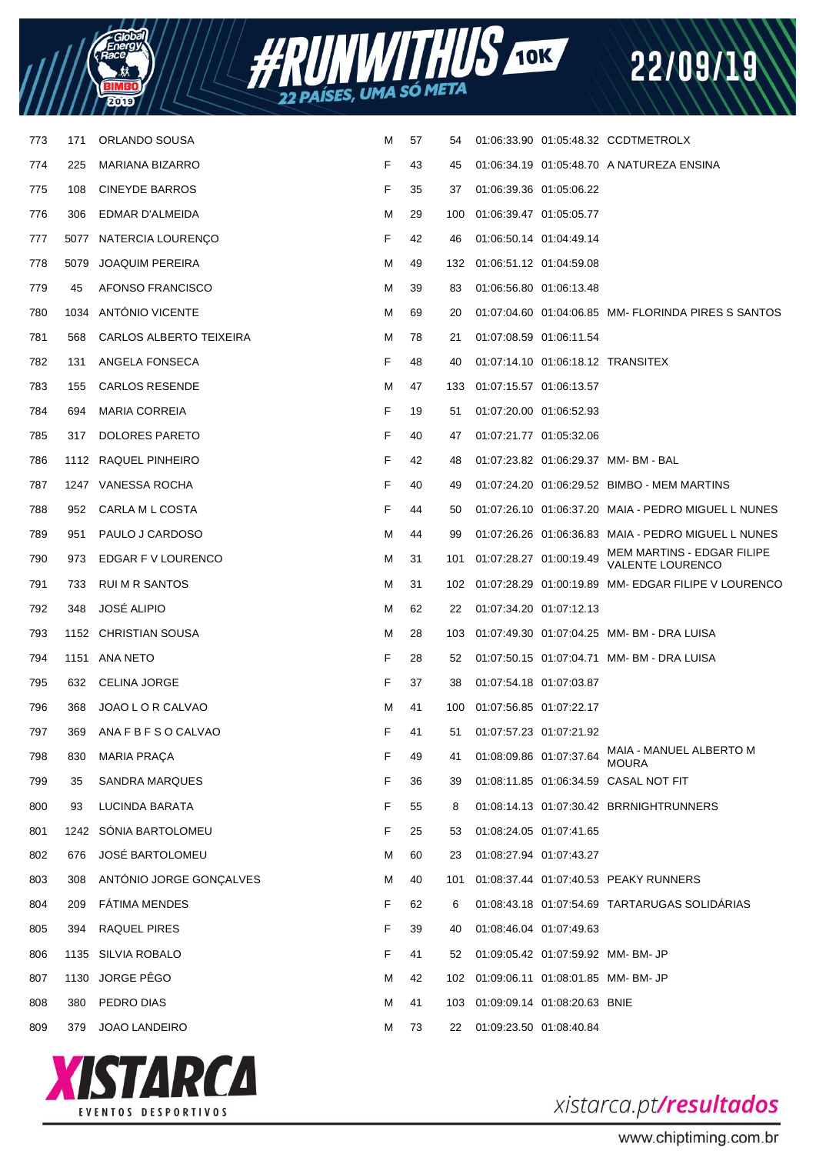



| 773 | 171  | ORLANDO SOUSA           | M | 57 | 54  |                         |                                  | 01:06:33.90  01:05:48.32  CCDTMETROLX                 |
|-----|------|-------------------------|---|----|-----|-------------------------|----------------------------------|-------------------------------------------------------|
| 774 | 225  | MARIANA BIZARRO         | F | 43 | 45  |                         |                                  | 01:06:34.19  01:05:48.70  A NATUREZA ENSINA           |
| 775 | 108  | <b>CINEYDE BARROS</b>   | F | 35 | 37  | 01:06:39.36 01:05:06.22 |                                  |                                                       |
| 776 | 306  | EDMAR D'ALMEIDA         | м | 29 | 100 | 01:06:39.47 01:05:05.77 |                                  |                                                       |
| 777 |      | 5077 NATERCIA LOURENÇO  | F | 42 | 46  | 01:06:50.14 01:04:49.14 |                                  |                                                       |
| 778 | 5079 | <b>JOAQUIM PEREIRA</b>  | м | 49 | 132 | 01:06:51.12 01:04:59.08 |                                  |                                                       |
| 779 | 45   | AFONSO FRANCISCO        | м | 39 | 83  | 01:06:56.80 01:06:13.48 |                                  |                                                       |
| 780 |      | 1034 ANTONIO VICENTE    | M | 69 | 20  |                         |                                  | 01:07:04.60 01:04:06.85 MM- FLORINDA PIRES S SANTOS   |
| 781 | 568  | CARLOS ALBERTO TEIXEIRA | м | 78 | 21  | 01:07:08.59 01:06:11.54 |                                  |                                                       |
| 782 | 131  | ANGELA FONSECA          | F | 48 | 40  |                         |                                  | 01:07:14.10  01:06:18.12  TRANSITEX                   |
| 783 | 155  | <b>CARLOS RESENDE</b>   | м | 47 | 133 | 01:07:15.57 01:06:13.57 |                                  |                                                       |
| 784 | 694  | <b>MARIA CORREIA</b>    | F | 19 | 51  | 01:07:20.00 01:06:52.93 |                                  |                                                       |
| 785 | 317  | DOLORES PARETO          | F | 40 | 47  | 01:07:21.77 01:05:32.06 |                                  |                                                       |
| 786 |      | 1112 RAQUEL PINHEIRO    | F | 42 | 48  |                         |                                  | 01:07:23.82  01:06:29.37  MM- BM - BAL                |
| 787 |      | 1247 VANESSA ROCHA      | F | 40 | 49  |                         |                                  | 01:07:24.20 01:06:29.52 BIMBO - MEM MARTINS           |
| 788 | 952  | CARLA M L COSTA         | F | 44 | 50  |                         |                                  | 01:07:26.10 01:06:37.20 MAIA - PEDRO MIGUEL L NUNES   |
| 789 | 951  | PAULO J CARDOSO         | м | 44 | 99  |                         |                                  | 01:07:26.26  01:06:36.83  MAIA - PEDRO MIGUEL L NUNES |
| 790 | 973  | EDGAR F V LOURENCO      | м | 31 | 101 | 01:07:28.27 01:00:19.49 |                                  | MEM MARTINS - EDGAR FILIPE<br><b>VALENTE LOURENCO</b> |
| 791 | 733  | RUI M R SANTOS          | M | 31 | 102 |                         |                                  | 01:07:28.29  01:00:19.89  MM- EDGAR FILIPE V LOURENCO |
| 792 | 348  | <b>JOSE ALIPIO</b>      | м | 62 | 22  | 01:07:34.20 01:07:12.13 |                                  |                                                       |
| 793 |      | 1152 CHRISTIAN SOUSA    | м | 28 | 103 |                         |                                  | 01:07:49.30  01:07:04.25  MM- BM - DRA LUISA          |
| 794 | 1151 | ANA NETO                | F | 28 | 52  |                         |                                  | 01:07:50.15  01:07:04.71  MM- BM - DRA LUISA          |
| 795 | 632  | <b>CELINA JORGE</b>     | F | 37 | 38  | 01:07:54.18 01:07:03.87 |                                  |                                                       |
| 796 | 368  | JOAO L O R CALVAO       | м | 41 | 100 | 01:07:56.85 01:07:22.17 |                                  |                                                       |
| 797 | 369  | ANA F B F S O CALVAO    | F | 41 | 51  | 01:07:57.23 01:07:21.92 |                                  |                                                       |
| 798 | 830  | <b>MARIA PRAÇA</b>      | F | 49 | 41  | 01:08:09.86 01:07:37.64 |                                  | MAIA - MANUEL ALBERTO M<br><b>MOURA</b>               |
| 799 | 35   | SANDRA MARQUES          | F | 36 | 39  |                         |                                  | 01:08:11.85  01:06:34.59  CASAL NOT FIT               |
| 800 | 93   | LUCINDA BARATA          | F | 55 | 8   |                         |                                  | 01:08:14.13  01:07:30.42  BRRNIGHTRUNNERS             |
| 801 |      | 1242 SÓNIA BARTOLOMEU   | F | 25 | 53  | 01:08:24.05 01:07:41.65 |                                  |                                                       |
| 802 | 676  | JOSÉ BARTOLOMEU         | M | 60 | 23  | 01:08:27.94 01:07:43.27 |                                  |                                                       |
| 803 | 308  | ANTÓNIO JORGE GONCALVES | м | 40 | 101 |                         |                                  | 01:08:37.44 01:07:40.53 PEAKY RUNNERS                 |
| 804 | 209  | <b>FÁTIMA MENDES</b>    | F | 62 | 6   |                         |                                  | 01:08:43.18  01:07:54.69  TARTARUGAS SOLIDÁRIAS       |
| 805 | 394  | RAQUEL PIRES            | F | 39 | 40  | 01:08:46.04 01:07:49.63 |                                  |                                                       |
| 806 |      | 1135 SILVIA ROBALO      | F | 41 | 52  |                         |                                  | 01:09:05.42  01:07:59.92  MM- BM- JP                  |
| 807 | 1130 | JORGE PÊGO              | M | 42 |     |                         |                                  | 102 01:09:06.11 01:08:01.85 MM-BM-JP                  |
| 808 | 380  | PEDRO DIAS              | м | 41 |     |                         | 103 01:09:09.14 01:08:20.63 BNIE |                                                       |
| 809 | 379  | JOAO LANDEIRO           | M | 73 | 22  | 01:09:23.50 01:08:40.84 |                                  |                                                       |
|     |      |                         |   |    |     |                         |                                  |                                                       |



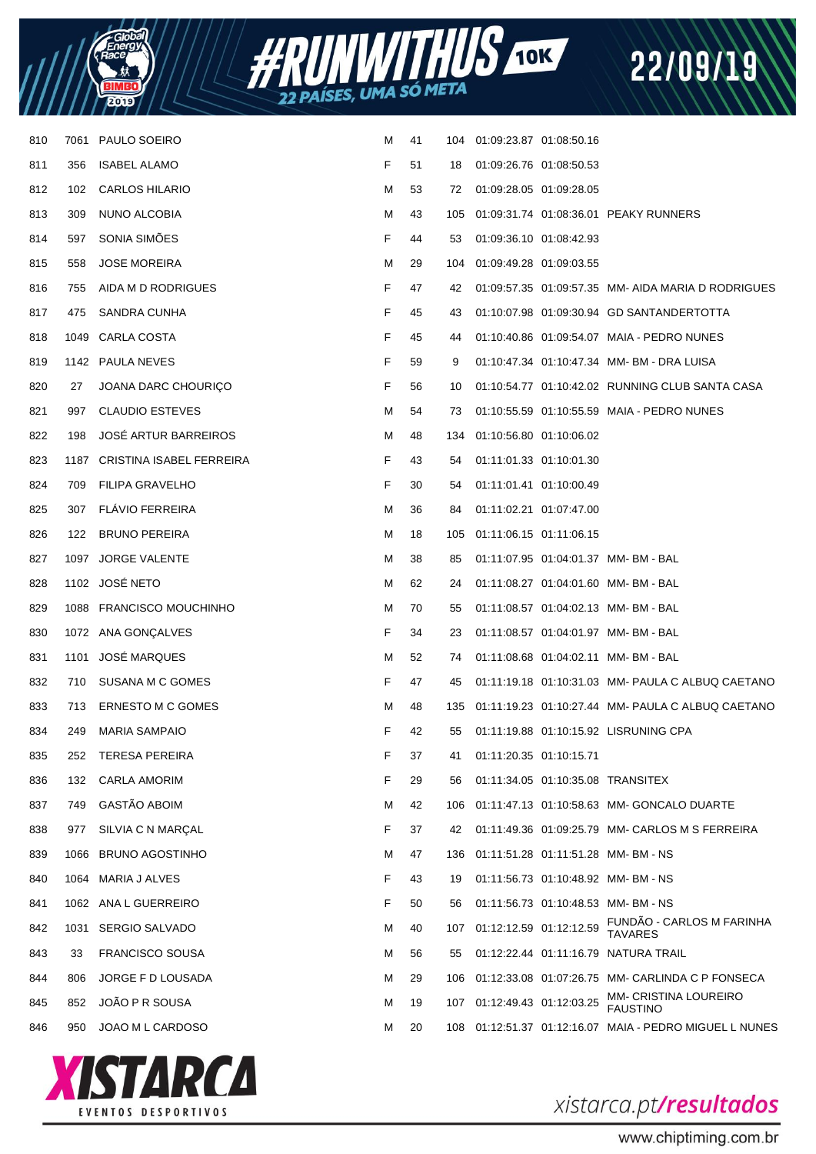| - Globa<br>Energy |  |
|-------------------|--|
| 2                 |  |



| 810 | 7061 | PAULO SOEIRO                  | м | 41 | 104 | 01:09:23.87 01:08:50.16     |                         |                                                       |
|-----|------|-------------------------------|---|----|-----|-----------------------------|-------------------------|-------------------------------------------------------|
| 811 | 356  | <b>ISABEL ALAMO</b>           | F | 51 | 18  | 01:09:26.76 01:08:50.53     |                         |                                                       |
| 812 | 102  | <b>CARLOS HILARIO</b>         | м | 53 | 72  | 01:09:28.05 01:09:28.05     |                         |                                                       |
| 813 | 309  | NUNO ALCOBIA                  | м | 43 | 105 |                             |                         | 01:09:31.74 01:08:36.01 PEAKY RUNNERS                 |
| 814 | 597  | SONIA SIMÕES                  | F | 44 | 53  | 01:09:36.10 01:08:42.93     |                         |                                                       |
| 815 | 558  | <b>JOSE MOREIRA</b>           | м | 29 | 104 | 01:09:49.28 01:09:03.55     |                         |                                                       |
| 816 | 755  | AIDA M D RODRIGUES            | F | 47 | 42  |                             |                         | 01:09:57.35 01:09:57.35 MM- AIDA MARIA D RODRIGUES    |
| 817 | 475  | SANDRA CUNHA                  | F | 45 | 43  |                             |                         | 01:10:07.98  01:09:30.94  GD SANTANDERTOTTA           |
| 818 | 1049 | CARLA COSTA                   | F | 45 | 44  |                             |                         | 01:10:40.86  01:09:54.07  MAIA - PEDRO NUNES          |
| 819 |      | 1142 PAULA NEVES              | F | 59 | 9   |                             |                         | 01:10:47.34  01:10:47.34  MM- BM - DRA LUISA          |
| 820 | 27   | JOANA DARC CHOURIÇO           | F | 56 | 10  |                             |                         | 01:10:54.77  01:10:42.02  RUNNING CLUB SANTA CASA     |
| 821 | 997  | <b>CLAUDIO ESTEVES</b>        | м | 54 | 73  |                             |                         | 01:10:55.59  01:10:55.59  MAIA - PEDRO NUNES          |
| 822 | 198  | <b>JOSÉ ARTUR BARREIROS</b>   | м | 48 | 134 | 01:10:56.80 01:10:06.02     |                         |                                                       |
| 823 |      | 1187 CRISTINA ISABEL FERREIRA | F | 43 | 54  | 01:11:01.33 01:10:01.30     |                         |                                                       |
| 824 | 709  | <b>FILIPA GRAVELHO</b>        | F | 30 | 54  | 01:11:01.41 01:10:00.49     |                         |                                                       |
| 825 | 307  | <b>FLAVIO FERREIRA</b>        | м | 36 | 84  | 01:11:02.21 01:07:47.00     |                         |                                                       |
| 826 | 122  | <b>BRUNO PEREIRA</b>          | м | 18 |     | 105 01:11:06.15 01:11:06.15 |                         |                                                       |
| 827 |      | 1097 JORGE VALENTE            | м | 38 | 85  |                             |                         | 01:11:07.95  01:04:01.37  MM- BM - BAL                |
| 828 |      | 1102 JOSÉ NETO                | м | 62 | 24  |                             |                         | 01:11:08.27  01:04:01.60  MM- BM - BAL                |
| 829 |      | 1088 FRANCISCO MOUCHINHO      | м | 70 | 55  |                             |                         | 01:11:08.57  01:04:02.13  MM- BM - BAL                |
| 830 |      | 1072 ANA GONÇALVES            | F | 34 | 23  |                             |                         | 01:11:08.57  01:04:01.97  MM- BM - BAL                |
| 831 | 1101 | JOSÉ MARQUES                  | М | 52 | 74  |                             |                         | 01:11:08.68  01:04:02.11  MM- BM - BAL                |
| 832 | 710  | SUSANA M C GOMES              | F | 47 | 45  |                             |                         | 01:11:19.18  01:10:31.03  MM-  PAULA C ALBUQ CAETANO  |
| 833 | 713  | ERNESTO M C GOMES             | м | 48 | 135 |                             |                         |                                                       |
| 834 | 249  | <b>MARIA SAMPAIO</b>          | F | 42 | 55  |                             |                         | 01:11:19.88  01:10:15.92  LISRUNING CPA               |
| 835 | 252  | <b>TERESA PEREIRA</b>         | F | 37 | 41  | 01:11:20.35 01:10:15.71     |                         |                                                       |
| 836 | 132  | <b>CARLA AMORIM</b>           | F | 29 | 56  |                             |                         | 01:11:34.05  01:10:35.08  TRANSITEX                   |
| 837 | 749  | <b>GASTÃO ABOIM</b>           | м | 42 | 106 |                             |                         |                                                       |
| 838 | 977  | SILVIA C N MARÇAL             | F | 37 | 42  |                             |                         | 01:11:49.36 01:09:25.79 MM- CARLOS M S FERREIRA       |
| 839 | 1066 | <b>BRUNO AGOSTINHO</b>        | м | 47 | 136 |                             |                         | 01:11:51.28  01:11:51.28  MM- BM - NS                 |
| 840 |      | 1064 MARIA J ALVES            | F | 43 | 19  |                             |                         | 01:11:56.73  01:10:48.92  MM- BM - NS                 |
| 841 |      | 1062 ANA L GUERREIRO          | F | 50 | 56  |                             |                         | 01:11:56.73  01:10:48.53  MM- BM - NS                 |
| 842 |      | 1031 SERGIO SALVADO           | м | 40 | 107 |                             | 01:12:12.59 01:12:12.59 | FUNDÃO - CARLOS M FARINHA<br><b>TAVARES</b>           |
| 843 | 33   | <b>FRANCISCO SOUSA</b>        | м | 56 | 55  |                             |                         | 01:12:22.44    01:11:16.79    NATURA TRAIL            |
| 844 | 806  | JORGE F D LOUSADA             | м | 29 |     |                             |                         | 106 01:12:33.08 01:07:26.75 MM- CARLINDA C P FONSECA  |
| 845 | 852  | JOÃO P R SOUSA                | M | 19 |     | 107 01:12:49.43 01:12:03.25 |                         | MM- CRISTINA LOUREIRO<br><b>FAUSTINO</b>              |
| 846 | 950  | JOAO M L CARDOSO              | М | 20 | 108 |                             |                         | 01:12:51.37  01:12:16.07  MAIA - PEDRO MIGUEL L NUNES |
|     |      |                               |   |    |     |                             |                         |                                                       |



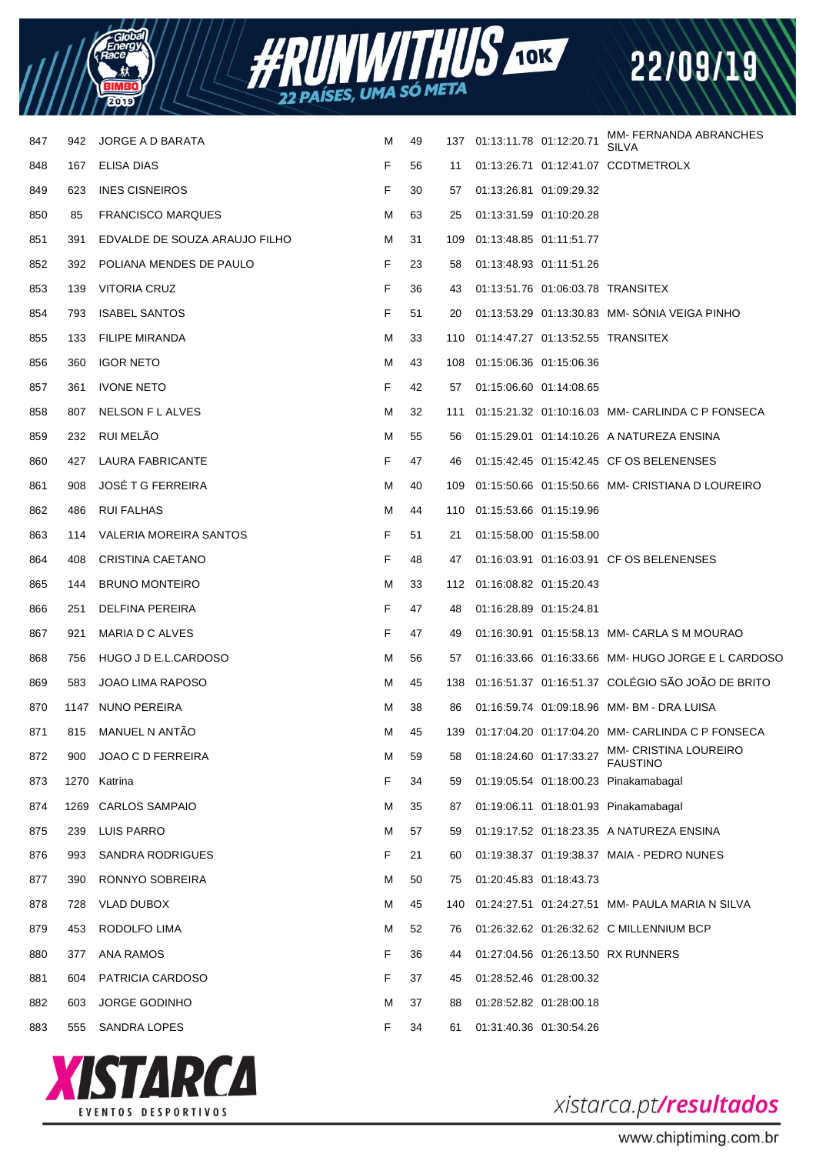



| 847 | 942  | JORGE A D BARATA              | м | 49 |     | 137 01:13:11.78 01:12:20.71 | MM- FERNANDA ABRANCHES<br>SII VA                     |
|-----|------|-------------------------------|---|----|-----|-----------------------------|------------------------------------------------------|
| 848 | 167  | ELISA DIAS                    | F | 56 | 11  |                             | 01:13:26.71  01:12:41.07  CCDTMETROLX                |
| 849 | 623  | <b>INES CISNEIROS</b>         | F | 30 | 57  | 01:13:26.81 01:09:29.32     |                                                      |
| 850 | 85   | <b>FRANCISCO MARQUES</b>      | м | 63 | 25  | 01:13:31.59 01:10:20.28     |                                                      |
| 851 | 391  | EDVALDE DE SOUZA ARAUJO FILHO | м | 31 | 109 | 01:13:48.85 01:11:51.77     |                                                      |
| 852 | 392  | POLIANA MENDES DE PAULO       | F | 23 | 58  | 01:13:48.93 01:11:51.26     |                                                      |
| 853 | 139  | VITORIA CRUZ                  | F | 36 | 43  |                             | 01:13:51.76  01:06:03.78  TRANSITEX                  |
| 854 | 793  | <b>ISABEL SANTOS</b>          | F | 51 | 20  |                             | 01:13:53.29 01:13:30.83 MM-SONIA VEIGA PINHO         |
| 855 | 133  | <b>FILIPE MIRANDA</b>         | м | 33 |     |                             | 110  01:14:47.27  01:13:52.55  TRANSITEX             |
| 856 | 360  | <b>IGOR NETO</b>              | м | 43 | 108 | 01:15:06.36 01:15:06.36     |                                                      |
| 857 | 361  | <b>IVONE NETO</b>             | F | 42 | 57  | 01:15:06.60 01:14:08.65     |                                                      |
| 858 | 807  | NELSON F L ALVES              | м | 32 | 111 |                             | 01:15:21.32  01:10:16.03  MM- CARLINDA C P FONSECA   |
| 859 | 232  | <b>RUI MELAO</b>              | м | 55 | 56  |                             | 01:15:29.01  01:14:10.26  A NATUREZA ENSINA          |
| 860 | 427  | LAURA FABRICANTE              | F | 47 | 46  |                             | 01:15:42.45  01:15:42.45  CF OS BELENENSES           |
| 861 | 908  | <b>JOSÉ T G FERREIRA</b>      | м | 40 | 109 |                             | 01:15:50.66  01:15:50.66  MM- CRISTIANA D LOUREIRO   |
| 862 | 486  | <b>RUI FALHAS</b>             | м | 44 |     | 110 01:15:53.66 01:15:19.96 |                                                      |
| 863 | 114  | VALERIA MOREIRA SANTOS        | F | 51 | 21  | 01:15:58.00 01:15:58.00     |                                                      |
| 864 | 408  | CRISTINA CAETANO              | F | 48 | 47  |                             | 01:16:03.91  01:16:03.91  CF OS BELENENSES           |
| 865 | 144  | <b>BRUNO MONTEIRO</b>         | м | 33 |     | 112 01:16:08.82 01:15:20.43 |                                                      |
| 866 | 251  | DELFINA PEREIRA               | F | 47 | 48  | 01:16:28.89 01:15:24.81     |                                                      |
| 867 | 921  | MARIA D C ALVES               | F | 47 | 49  |                             | 01:16:30.91  01:15:58.13  MM- CARLA S M MOURAO       |
| 868 | 756  | HUGO J D E.L.CARDOSO          | м | 56 | 57  |                             | 01:16:33.66 01:16:33.66 MM- HUGO JORGE E L CARDOSO   |
| 869 | 583  | JOAO LIMA RAPOSO              | м | 45 | 138 |                             | 01:16:51.37  01:16:51.37  COLEGIO SAO JOAO DE BRITO  |
| 870 |      | 1147 NUNO PEREIRA             | м | 38 | 86  |                             |                                                      |
| 871 | 815  | MANUEL N ANTÃO                | м | 45 |     |                             | 139 01:17:04.20 01:17:04.20 MM- CARLINDA C P FONSECA |
| 872 | 900  | JOAO C D FERREIRA             | M | 59 | 58  | 01:18:24.60 01:17:33.27     | <b>MM- CRISTINA LOUREIRO</b><br><b>FAUSTINO</b>      |
| 873 |      | 1270 Katrina                  | F | 34 | 59  |                             | 01:19:05.54 01:18:00.23 Pinakamabagal                |
| 874 | 1269 | <b>CARLOS SAMPAIO</b>         | M | 35 | 87  |                             | 01:19:06.11 01:18:01.93 Pinakamabagal                |
| 875 | 239  | LUIS PARRO                    | м | 57 | 59  |                             | 01:19:17.52 01:18:23.35 A NATUREZA ENSINA            |
| 876 | 993  | SANDRA RODRIGUES              | F | 21 | 60  |                             | 01:19:38.37 01:19:38.37 MAIA - PEDRO NUNES           |
| 877 | 390  | RONNYO SOBREIRA               | м | 50 | 75  | 01:20:45.83 01:18:43.73     |                                                      |
| 878 | 728  | <b>VLAD DUBOX</b>             | M | 45 | 140 |                             | 01:24:27.51  01:24:27.51  MM-  PAULA MARIA N SILVA   |
| 879 | 453  | RODOLFO LIMA                  | м | 52 | 76  |                             | 01:26:32.62 01:26:32.62 C MILLENNIUM BCP             |
| 880 | 377  | ANA RAMOS                     | F | 36 | 44  |                             | 01:27:04.56 01:26:13.50 RX RUNNERS                   |
| 881 | 604  | PATRICIA CARDOSO              | F | 37 | 45  | 01:28:52.46 01:28:00.32     |                                                      |
| 882 | 603  | <b>JORGE GODINHO</b>          | м | 37 | 88  | 01:28:52.82 01:28:00.18     |                                                      |
| 883 | 555  | SANDRA LOPES                  | F | 34 | 61  | 01:31:40.36 01:30:54.26     |                                                      |
|     |      |                               |   |    |     |                             |                                                      |